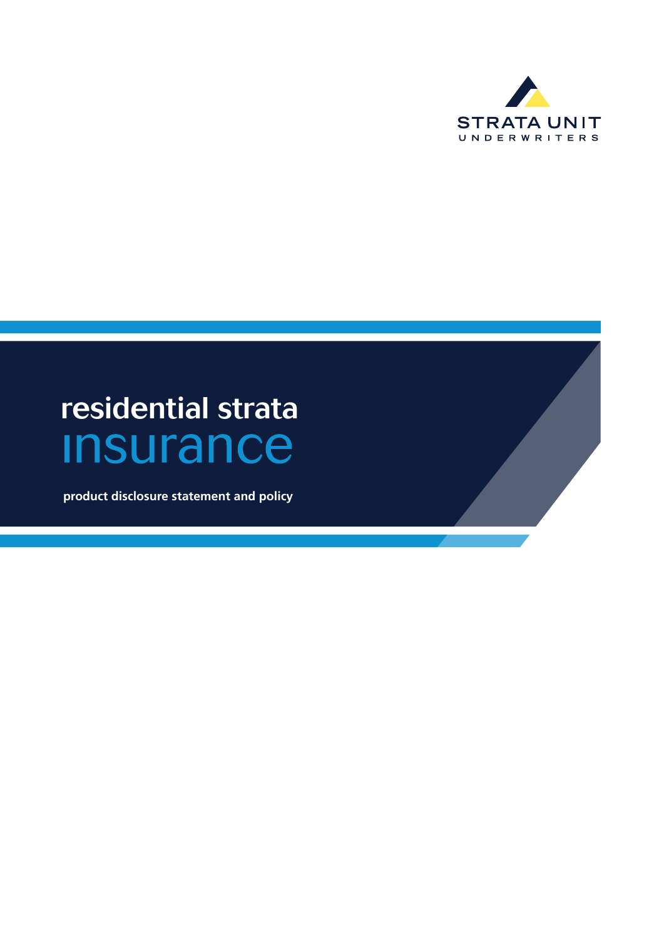

# residential strata **Insurance**

**product disclosure statement and policy**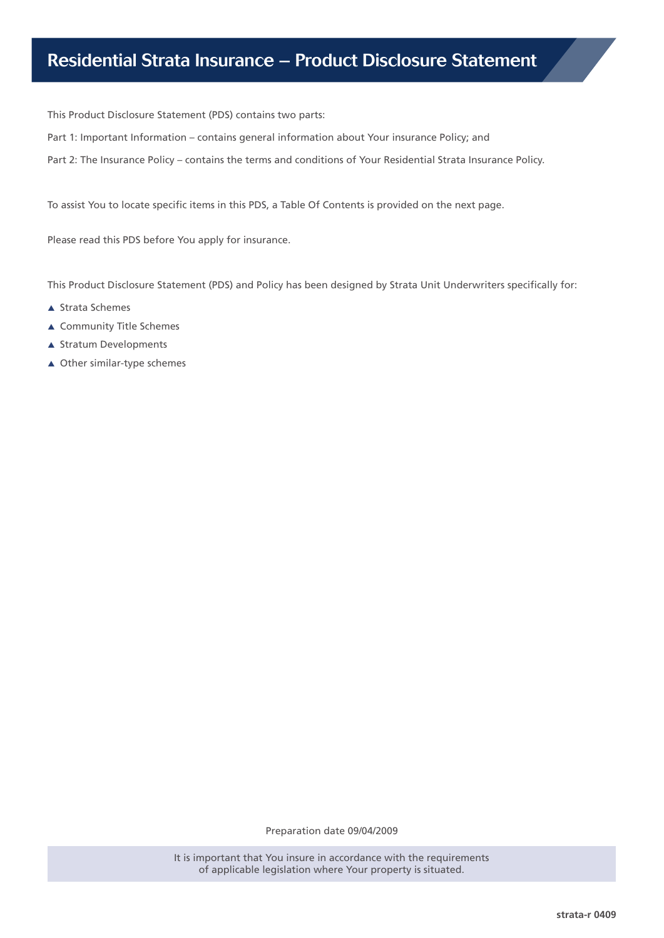## Residential Strata Insurance – Product Disclosure Statement

This Product Disclosure Statement (PDS) contains two parts:

Part 1: Important Information – contains general information about Your insurance Policy; and

Part 2: The Insurance Policy – contains the terms and conditions of Your Residential Strata Insurance Policy.

To assist You to locate specific items in this PDS, a Table Of Contents is provided on the next page.

Please read this PDS before You apply for insurance.

This Product Disclosure Statement (PDS) and Policy has been designed by Strata Unit Underwriters specifically for:

- ▲ Strata Schemes
- $\triangle$  Community Title Schemes
- $\triangle$  Stratum Developments
- $\triangle$  Other similar-type schemes

Preparation date 09/04/2009

It is important that You insure in accordance with the requirements of applicable legislation where Your property is situated.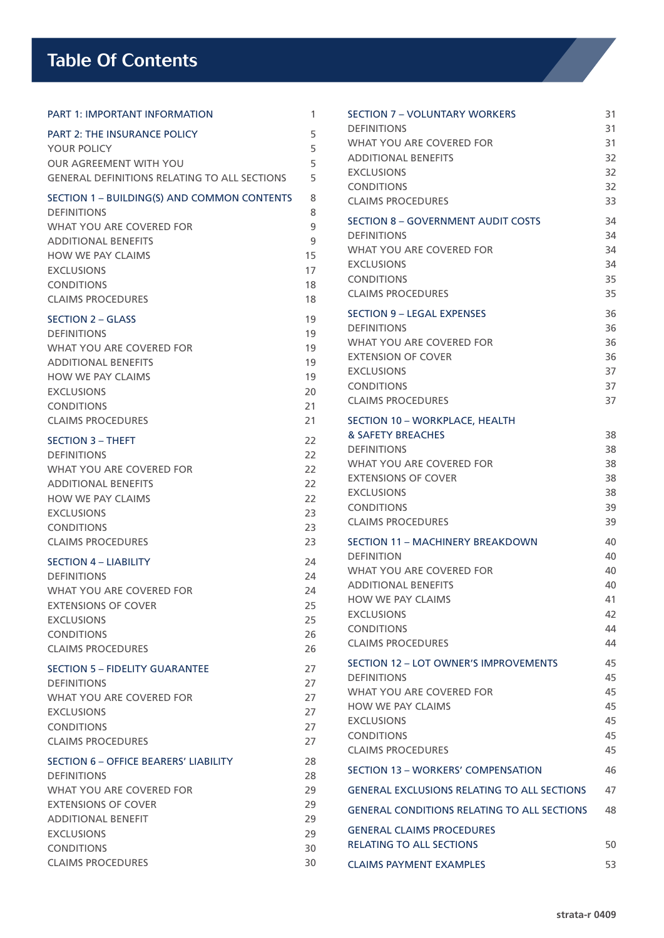## Table Of Contents

| <b>PART 1: IMPORTANT INFORMATION</b>                        | 1        |
|-------------------------------------------------------------|----------|
| <b>PART 2: THE INSURANCE POLICY</b>                         | 5        |
| YOUR POLICY                                                 | 5        |
| <b>OUR AGREEMENT WITH YOU</b>                               | 5        |
| <b>GENERAL DEFINITIONS RELATING TO ALL SECTIONS</b>         | 5        |
| SECTION 1 - BUILDING(S) AND COMMON CONTENTS                 | 8        |
| <b>DEFINITIONS</b>                                          | 8        |
| WHAT YOU ARE COVERED FOR                                    | 9        |
| <b>ADDITIONAL BENEFITS</b>                                  | 9        |
| <b>HOW WE PAY CLAIMS</b>                                    | 15       |
| <b>EXCLUSIONS</b>                                           | 17       |
| <b>CONDITIONS</b>                                           | 18       |
| <b>CLAIMS PROCEDURES</b>                                    | 18       |
| <b>SECTION 2 – GLASS</b>                                    | 19       |
| <b>DEFINITIONS</b>                                          | 19       |
| <b>WHAT YOU ARE COVERED FOR</b>                             | 19       |
| <b>ADDITIONAL BENEFITS</b>                                  | 19       |
| <b>HOW WE PAY CLAIMS</b>                                    | 19       |
| <b>EXCLUSIONS</b>                                           | 20       |
| <b>CONDITIONS</b>                                           | 21       |
| <b>CLAIMS PROCEDURES</b>                                    | 21       |
| <b>SECTION 3 - THEFT</b>                                    | 22       |
| <b>DEFINITIONS</b>                                          | 22       |
| WHAT YOU ARE COVERED FOR                                    | 22       |
| <b>ADDITIONAL BENEFITS</b>                                  | 22       |
| <b>HOW WE PAY CLAIMS</b>                                    | 22       |
| <b>EXCLUSIONS</b>                                           | 23       |
| <b>CONDITIONS</b>                                           | 23       |
| <b>CLAIMS PROCEDURES</b>                                    | 23       |
| <b>SECTION 4 - LIABILITY</b>                                | 24       |
| <b>DEFINITIONS</b>                                          | 24       |
| WHAT YOU ARE COVERED FOR                                    | 24       |
| <b>EXTENSIONS OF COVER</b><br><b>EXCLUSIONS</b>             | 25       |
| <b>CONDITIONS</b>                                           | 25<br>26 |
| <b>CLAIMS PROCEDURES</b>                                    | 26       |
|                                                             |          |
| <b>SECTION 5 - FIDELITY GUARANTEE</b><br><b>DEFINITIONS</b> | 27       |
| WHAT YOU ARE COVERED FOR                                    | 27<br>27 |
| <b>EXCLUSIONS</b>                                           | 27       |
| <b>CONDITIONS</b>                                           | 27       |
| <b>CLAIMS PROCEDURES</b>                                    | 27       |
| SECTION 6 - OFFICE BEARERS' LIABILITY                       | 28       |
| <b>DEFINITIONS</b>                                          | 28       |
| WHAT YOU ARE COVERED FOR                                    | 29       |
| <b>EXTENSIONS OF COVER</b>                                  | 29       |
| <b>ADDITIONAL BENEFIT</b>                                   | 29       |
| <b>EXCLUSIONS</b>                                           | 29       |
| <b>CONDITIONS</b>                                           | 30       |
| <b>CLAIMS PROCEDURES</b>                                    | 30       |

| <b>SECTION 7 – VOLUNTARY WORKERS</b><br><b>DEFINITIONS</b><br>WHAT YOU ARE COVERED FOR<br><b>ADDITIONAL BENEFITS</b><br><b>EXCLUSIONS</b><br><b>CONDITIONS</b><br><b>CLAIMS PROCEDURES</b>                                      | 31<br>31<br>31<br>32<br>32<br>32<br>33       |
|---------------------------------------------------------------------------------------------------------------------------------------------------------------------------------------------------------------------------------|----------------------------------------------|
| <b>SECTION 8 - GOVERNMENT AUDIT COSTS</b><br><b>DEFINITIONS</b><br><b>WHAT YOU ARE COVERED FOR</b><br><b>EXCLUSIONS</b><br><b>CONDITIONS</b><br><b>CLAIMS PROCEDURES</b>                                                        | 34<br>34<br>34<br>34<br>35<br>35             |
| <b>SECTION 9 – LEGAL EXPENSES</b><br><b>DEFINITIONS</b><br>WHAT YOU ARE COVERED FOR<br><b>EXTENSION OF COVER</b><br><b>EXCLUSIONS</b><br><b>CONDITIONS</b><br><b>CLAIMS PROCEDURES</b>                                          | 36<br>36<br>36<br>36<br>37<br>37<br>37       |
| SECTION 10 - WORKPLACE, HEALTH<br>& SAFETY BREACHES<br><b>DEFINITIONS</b><br><b>WHAT YOU ARE COVERED FOR</b><br><b>EXTENSIONS OF COVER</b><br><b>EXCLUSIONS</b><br><b>CONDITIONS</b><br><b>CLAIMS PROCEDURES</b>                | 38<br>38<br>38<br>38<br>38<br>39<br>39       |
| <b>SECTION 11 - MACHINERY BREAKDOWN</b><br><b>DEFINITION</b><br><b>WHAT YOU ARE COVERED FOR</b><br><b>ADDITIONAL BENEFITS</b><br><b>HOW WE PAY CLAIMS</b><br><b>EXCLUSIONS</b><br><b>CONDITIONS</b><br><b>CLAIMS PROCEDURES</b> | 40<br>40<br>40<br>40<br>41<br>42<br>44<br>44 |
| SECTION 12 - LOT OWNER'S IMPROVEMENTS<br><b>DEFINITIONS</b><br><b>WHAT YOU ARE COVERED FOR</b><br><b>HOW WE PAY CLAIMS</b><br><b>EXCLUSIONS</b><br><b>CONDITIONS</b><br><b>CLAIMS PROCEDURES</b>                                | 45<br>45<br>45<br>45<br>45<br>45<br>45       |
| SECTION 13 - WORKERS' COMPENSATION                                                                                                                                                                                              | 46                                           |
| <b>GENERAL EXCLUSIONS RELATING TO ALL SECTIONS</b>                                                                                                                                                                              | 47                                           |
| <b>GENERAL CONDITIONS RELATING TO ALL SECTIONS</b><br><b>GENERAL CLAIMS PROCEDURES</b>                                                                                                                                          | 48                                           |
| <b>RELATING TO ALL SECTIONS</b>                                                                                                                                                                                                 | 50                                           |
| <b>CLAIMS PAYMENT EXAMPLES</b>                                                                                                                                                                                                  | 53                                           |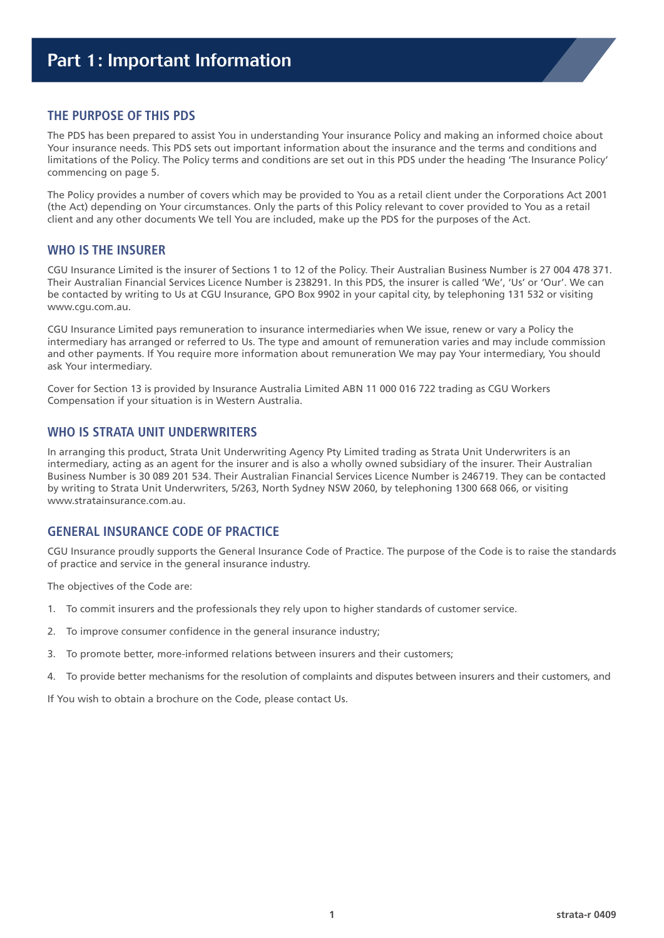## **THE PURPOSE OF THIS PDS**

The PDS has been prepared to assist You in understanding Your insurance Policy and making an informed choice about Your insurance needs. This PDS sets out important information about the insurance and the terms and conditions and limitations of the Policy. The Policy terms and conditions are set out in this PDS under the heading 'The Insurance Policy' commencing on page 5.

The Policy provides a number of covers which may be provided to You as a retail client under the Corporations Act 2001 (the Act) depending on Your circumstances. Only the parts of this Policy relevant to cover provided to You as a retail client and any other documents We tell You are included, make up the PDS for the purposes of the Act.

## **WHO IS THE INSURER**

CGU Insurance Limited is the insurer of Sections 1 to 12 of the Policy. Their Australian Business Number is 27 004 478 371. Their Australian Financial Services Licence Number is 238291. In this PDS, the insurer is called 'We', 'Us' or 'Our'. We can be contacted by writing to Us at CGU Insurance, GPO Box 9902 in your capital city, by telephoning 131 532 or visiting www.cgu.com.au.

CGU Insurance Limited pays remuneration to insurance intermediaries when We issue, renew or vary a Policy the intermediary has arranged or referred to Us. The type and amount of remuneration varies and may include commission and other payments. If You require more information about remuneration We may pay Your intermediary, You should ask Your intermediary.

Cover for Section 13 is provided by Insurance Australia Limited ABN 11 000 016 722 trading as CGU Workers Compensation if your situation is in Western Australia.

## **WHO IS STRATA UNIT UNDERWRITERS**

In arranging this product, Strata Unit Underwriting Agency Pty Limited trading as Strata Unit Underwriters is an intermediary, acting as an agent for the insurer and is also a wholly owned subsidiary of the insurer. Their Australian Business Number is 30 089 201 534. Their Australian Financial Services Licence Number is 246719. They can be contacted by writing to Strata Unit Underwriters, 5/263, North Sydney NSW 2060, by telephoning 1300 668 066, or visiting www.stratainsurance.com.au.

## **GENERAL INSURANCE CODE OF PRACTICE**

CGU Insurance proudly supports the General Insurance Code of Practice. The purpose of the Code is to raise the standards of practice and service in the general insurance industry.

The objectives of the Code are:

- 1. To commit insurers and the professionals they rely upon to higher standards of customer service.
- 2. To improve consumer confidence in the general insurance industry;
- 3. To promote better, more-informed relations between insurers and their customers;
- 4. To provide better mechanisms for the resolution of complaints and disputes between insurers and their customers, and

If You wish to obtain a brochure on the Code, please contact Us.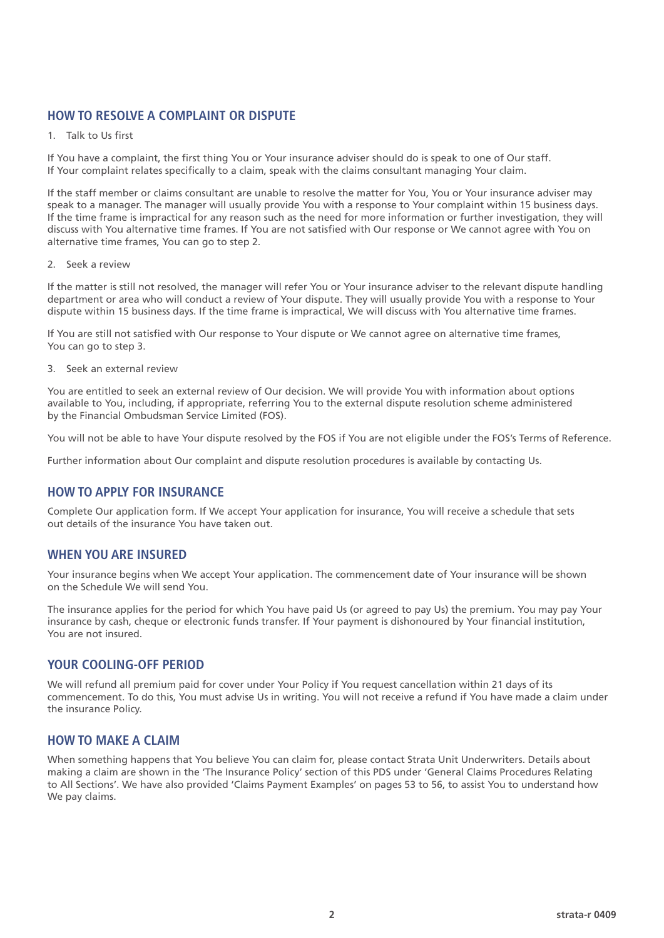## **HOW TO RESOLVE A COMPLAINT OR DISPUTE**

#### 1. Talk to Us first

If You have a complaint, the first thing You or Your insurance adviser should do is speak to one of Our staff. If Your complaint relates specifically to a claim, speak with the claims consultant managing Your claim.

If the staff member or claims consultant are unable to resolve the matter for You, You or Your insurance adviser may speak to a manager. The manager will usually provide You with a response to Your complaint within 15 business days. If the time frame is impractical for any reason such as the need for more information or further investigation, they will discuss with You alternative time frames. If You are not satisfied with Our response or We cannot agree with You on alternative time frames, You can go to step 2.

#### 2. Seek a review

If the matter is still not resolved, the manager will refer You or Your insurance adviser to the relevant dispute handling department or area who will conduct a review of Your dispute. They will usually provide You with a response to Your dispute within 15 business days. If the time frame is impractical, We will discuss with You alternative time frames.

If You are still not satisfied with Our response to Your dispute or We cannot agree on alternative time frames, You can go to step 3.

#### 3. Seek an external review

You are entitled to seek an external review of Our decision. We will provide You with information about options available to You, including, if appropriate, referring You to the external dispute resolution scheme administered by the Financial Ombudsman Service Limited (FOS).

You will not be able to have Your dispute resolved by the FOS if You are not eligible under the FOS's Terms of Reference.

Further information about Our complaint and dispute resolution procedures is available by contacting Us.

## **HOW TO APPLY FOR INSURANCE**

Complete Our application form. If We accept Your application for insurance, You will receive a schedule that sets out details of the insurance You have taken out.

## **WHEN YOU ARE INSURED**

Your insurance begins when We accept Your application. The commencement date of Your insurance will be shown on the Schedule We will send You.

The insurance applies for the period for which You have paid Us (or agreed to pay Us) the premium. You may pay Your insurance by cash, cheque or electronic funds transfer. If Your payment is dishonoured by Your financial institution, You are not insured.

## **YOUR COOLING-OFF PERIOD**

We will refund all premium paid for cover under Your Policy if You request cancellation within 21 days of its commencement. To do this, You must advise Us in writing. You will not receive a refund if You have made a claim under the insurance Policy.

## **HOW TO MAKE A CLAIM**

When something happens that You believe You can claim for, please contact Strata Unit Underwriters. Details about making a claim are shown in the 'The Insurance Policy' section of this PDS under 'General Claims Procedures Relating to All Sections'. We have also provided 'Claims Payment Examples' on pages 53 to 56, to assist You to understand how We pay claims.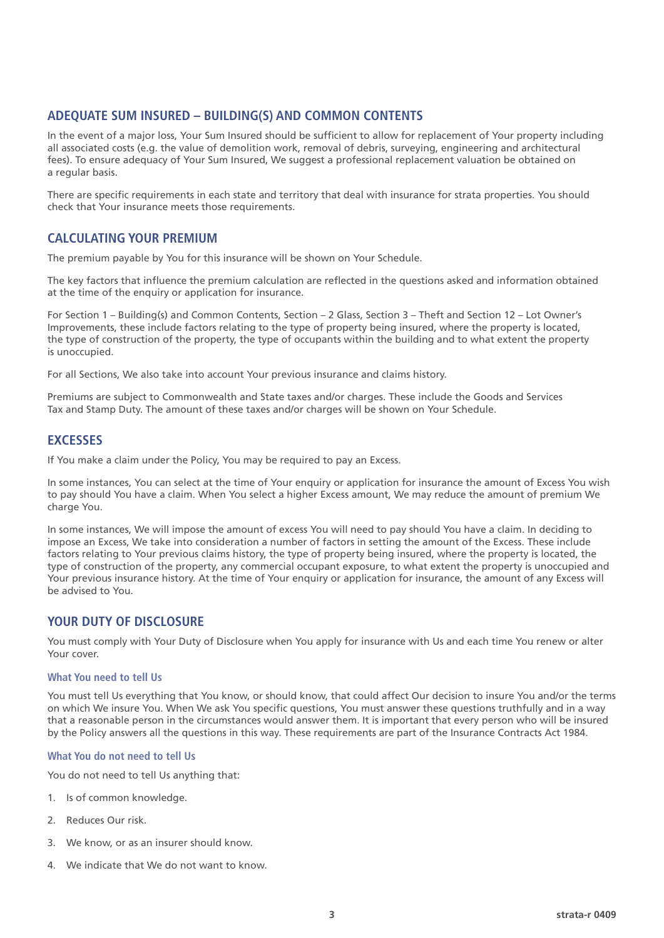## **ADEQUATE SUM INSURED – BUILDING(S) AND COMMON CONTENTS**

In the event of a major loss, Your Sum Insured should be sufficient to allow for replacement of Your property including all associated costs (e.g. the value of demolition work, removal of debris, surveying, engineering and architectural fees). To ensure adequacy of Your Sum Insured, We suggest a professional replacement valuation be obtained on a regular basis.

There are specific requirements in each state and territory that deal with insurance for strata properties. You should check that Your insurance meets those requirements.

## **CALCULATING YOUR PREMIUM**

The premium payable by You for this insurance will be shown on Your Schedule.

The key factors that influence the premium calculation are reflected in the questions asked and information obtained at the time of the enquiry or application for insurance.

For Section 1 – Building(s) and Common Contents, Section – 2 Glass, Section 3 – Theft and Section 12 – Lot Owner's Improvements, these include factors relating to the type of property being insured, where the property is located, the type of construction of the property, the type of occupants within the building and to what extent the property is unoccupied.

For all Sections, We also take into account Your previous insurance and claims history.

Premiums are subject to Commonwealth and State taxes and/or charges. These include the Goods and Services Tax and Stamp Duty. The amount of these taxes and/or charges will be shown on Your Schedule.

## **EXCESSES**

If You make a claim under the Policy, You may be required to pay an Excess.

In some instances, You can select at the time of Your enquiry or application for insurance the amount of Excess You wish to pay should You have a claim. When You select a higher Excess amount, We may reduce the amount of premium We charge You.

In some instances, We will impose the amount of excess You will need to pay should You have a claim. In deciding to impose an Excess, We take into consideration a number of factors in setting the amount of the Excess. These include factors relating to Your previous claims history, the type of property being insured, where the property is located, the type of construction of the property, any commercial occupant exposure, to what extent the property is unoccupied and Your previous insurance history. At the time of Your enquiry or application for insurance, the amount of any Excess will be advised to You.

## **YOUR DUTY OF DISCLOSURE**

You must comply with Your Duty of Disclosure when You apply for insurance with Us and each time You renew or alter Your cover.

#### **What You need to tell Us**

You must tell Us everything that You know, or should know, that could affect Our decision to insure You and/or the terms on which We insure You. When We ask You specific questions, You must answer these questions truthfully and in a way that a reasonable person in the circumstances would answer them. It is important that every person who will be insured by the Policy answers all the questions in this way. These requirements are part of the Insurance Contracts Act 1984.

#### **What You do not need to tell Us**

You do not need to tell Us anything that:

- 1. Is of common knowledge.
- 2. Reduces Our risk.
- 3. We know, or as an insurer should know.
- 4. We indicate that We do not want to know.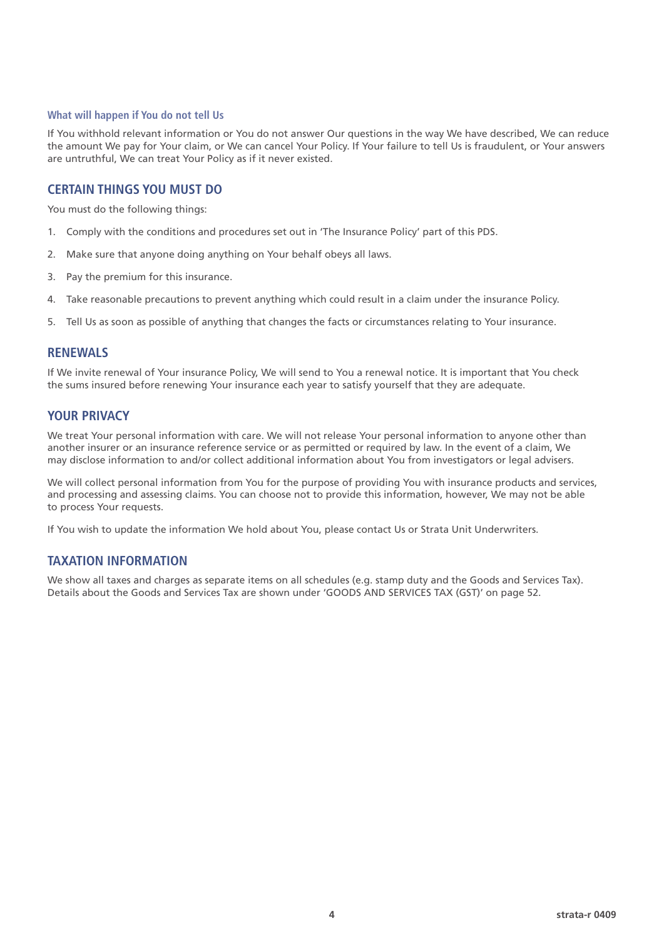#### **What will happen if You do not tell Us**

If You withhold relevant information or You do not answer Our questions in the way We have described, We can reduce the amount We pay for Your claim, or We can cancel Your Policy. If Your failure to tell Us is fraudulent, or Your answers are untruthful, We can treat Your Policy as if it never existed.

## **CERTAIN THINGS YOU MUST DO**

You must do the following things:

- 1. Comply with the conditions and procedures set out in 'The Insurance Policy' part of this PDS.
- 2. Make sure that anyone doing anything on Your behalf obeys all laws.
- 3. Pay the premium for this insurance.
- 4. Take reasonable precautions to prevent anything which could result in a claim under the insurance Policy.
- 5. Tell Us as soon as possible of anything that changes the facts or circumstances relating to Your insurance.

## **RENEWALS**

If We invite renewal of Your insurance Policy, We will send to You a renewal notice. It is important that You check the sums insured before renewing Your insurance each year to satisfy yourself that they are adequate.

## **YOUR PRIVACY**

We treat Your personal information with care. We will not release Your personal information to anyone other than another insurer or an insurance reference service or as permitted or required by law. In the event of a claim, We may disclose information to and/or collect additional information about You from investigators or legal advisers.

We will collect personal information from You for the purpose of providing You with insurance products and services, and processing and assessing claims. You can choose not to provide this information, however, We may not be able to process Your requests.

If You wish to update the information We hold about You, please contact Us or Strata Unit Underwriters.

## **TAXATION INFORMATION**

We show all taxes and charges as separate items on all schedules (e.g. stamp duty and the Goods and Services Tax). Details about the Goods and Services Tax are shown under 'GOODS AND SERVICES TAX (GST)' on page 52.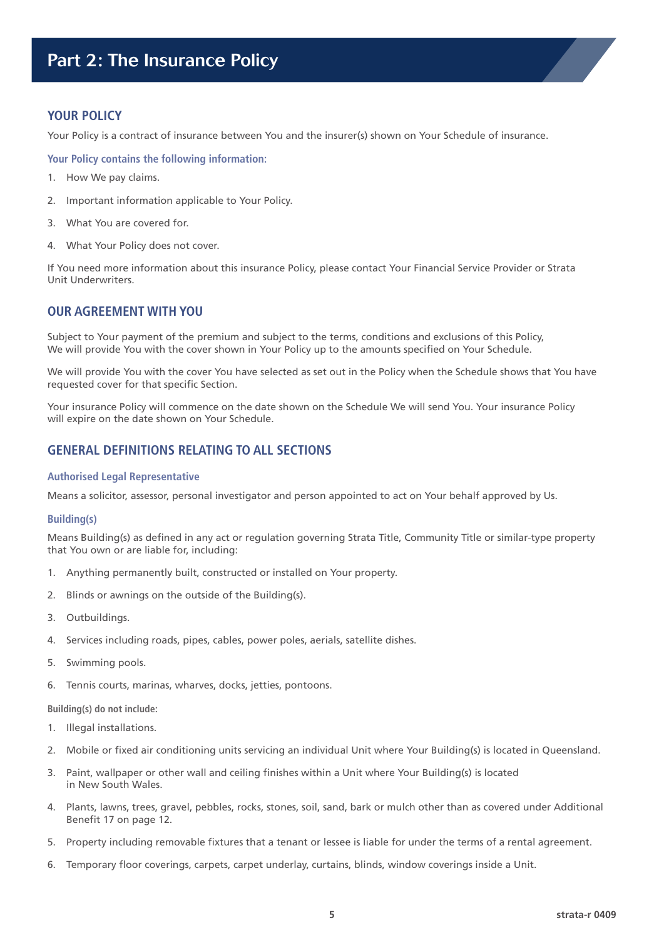## Part 2: The Insurance Policy

## **YOUR POLICY**

Your Policy is a contract of insurance between You and the insurer(s) shown on Your Schedule of insurance.

#### **Your Policy contains the following information:**

- 1. How We pay claims.
- 2. Important information applicable to Your Policy.
- 3. What You are covered for.
- 4. What Your Policy does not cover.

If You need more information about this insurance Policy, please contact Your Financial Service Provider or Strata Unit Underwriters.

## **OUR AGREEMENT WITH YOU**

Subject to Your payment of the premium and subject to the terms, conditions and exclusions of this Policy, We will provide You with the cover shown in Your Policy up to the amounts specified on Your Schedule.

We will provide You with the cover You have selected as set out in the Policy when the Schedule shows that You have requested cover for that specific Section.

Your insurance Policy will commence on the date shown on the Schedule We will send You. Your insurance Policy will expire on the date shown on Your Schedule.

## **GENERAL DEFINITIONS RELATING TO ALL SECTIONS**

#### **Authorised Legal Representative**

Means a solicitor, assessor, personal investigator and person appointed to act on Your behalf approved by Us.

#### **Building(s)**

Means Building(s) as defined in any act or regulation governing Strata Title, Community Title or similar-type property that You own or are liable for, including:

- 1. Anything permanently built, constructed or installed on Your property.
- 2. Blinds or awnings on the outside of the Building(s).
- 3. Outbuildings.
- 4. Services including roads, pipes, cables, power poles, aerials, satellite dishes.
- 5. Swimming pools.
- 6. Tennis courts, marinas, wharves, docks, jetties, pontoons.

**Building(s) do not include:**

- 1. Illegal installations.
- 2. Mobile or fixed air conditioning units servicing an individual Unit where Your Building(s) is located in Queensland.
- 3. Paint, wallpaper or other wall and ceiling finishes within a Unit where Your Building(s) is located in New South Wales.
- 4. Plants, lawns, trees, gravel, pebbles, rocks, stones, soil, sand, bark or mulch other than as covered under Additional Benefit 17 on page 12.
- 5. Property including removable fixtures that a tenant or lessee is liable for under the terms of a rental agreement.
- 6. Temporary floor coverings, carpets, carpet underlay, curtains, blinds, window coverings inside a Unit.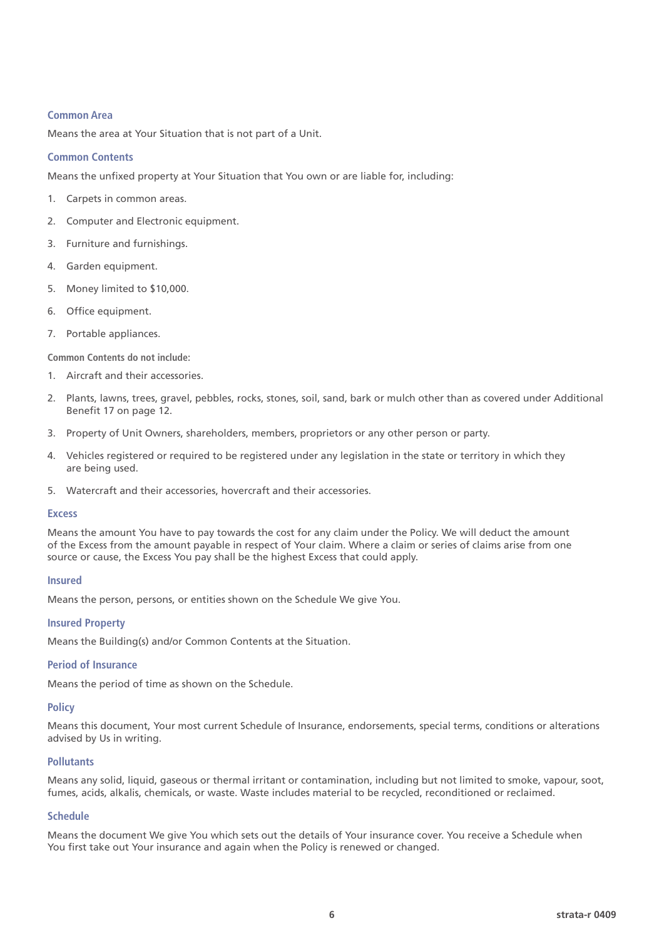#### **Common Area**

Means the area at Your Situation that is not part of a Unit.

#### **Common Contents**

Means the unfixed property at Your Situation that You own or are liable for, including:

- 1. Carpets in common areas.
- 2. Computer and Electronic equipment.
- 3. Furniture and furnishings.
- 4. Garden equipment.
- 5. Money limited to \$10,000.
- 6. Office equipment.
- 7. Portable appliances.

**Common Contents do not include:**

- 1. Aircraft and their accessories.
- 2. Plants, lawns, trees, gravel, pebbles, rocks, stones, soil, sand, bark or mulch other than as covered under Additional Benefit 17 on page 12.
- 3. Property of Unit Owners, shareholders, members, proprietors or any other person or party.
- 4. Vehicles registered or required to be registered under any legislation in the state or territory in which they are being used.
- 5. Watercraft and their accessories, hovercraft and their accessories.

#### **Excess**

Means the amount You have to pay towards the cost for any claim under the Policy. We will deduct the amount of the Excess from the amount payable in respect of Your claim. Where a claim or series of claims arise from one source or cause, the Excess You pay shall be the highest Excess that could apply.

#### **Insured**

Means the person, persons, or entities shown on the Schedule We give You.

#### **Insured Property**

Means the Building(s) and/or Common Contents at the Situation.

#### **Period of Insurance**

Means the period of time as shown on the Schedule.

## **Policy**

Means this document, Your most current Schedule of Insurance, endorsements, special terms, conditions or alterations advised by Us in writing.

#### **Pollutants**

Means any solid, liquid, gaseous or thermal irritant or contamination, including but not limited to smoke, vapour, soot, fumes, acids, alkalis, chemicals, or waste. Waste includes material to be recycled, reconditioned or reclaimed.

#### **Schedule**

Means the document We give You which sets out the details of Your insurance cover. You receive a Schedule when You first take out Your insurance and again when the Policy is renewed or changed.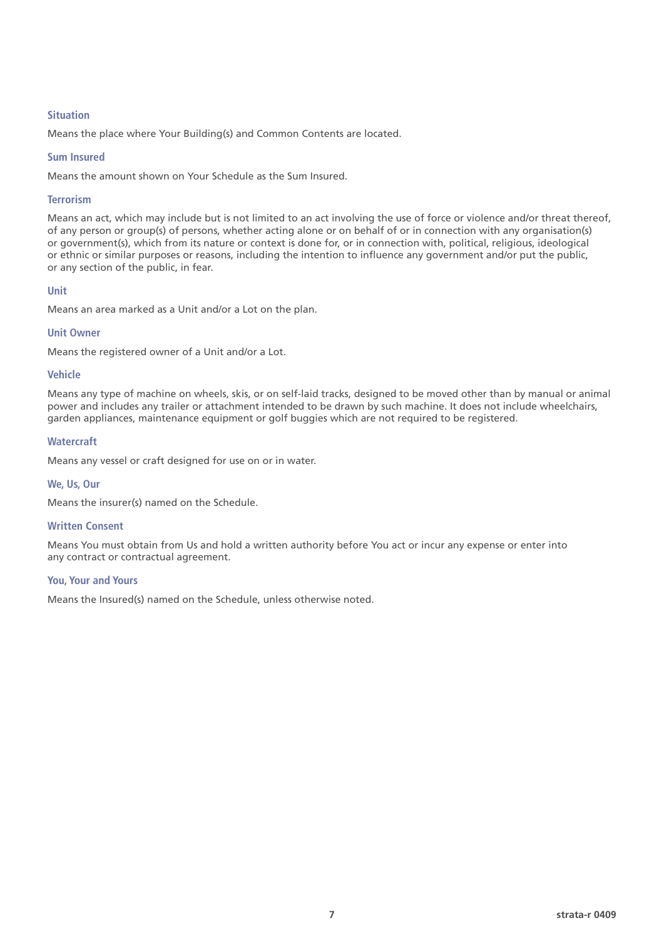#### **Situation**

Means the place where Your Building(s) and Common Contents are located.

#### **Sum Insured**

Means the amount shown on Your Schedule as the Sum Insured.

#### **Terrorism**

Means an act, which may include but is not limited to an act involving the use of force or violence and/or threat thereof, of any person or group(s) of persons, whether acting alone or on behalf of or in connection with any organisation(s) or government(s), which from its nature or context is done for, or in connection with, political, religious, ideological or ethnic or similar purposes or reasons, including the intention to influence any government and/or put the public, or any section of the public, in fear.

#### **Unit**

Means an area marked as a Unit and/or a Lot on the plan.

#### **Unit Owner**

Means the registered owner of a Unit and/or a Lot.

#### **Vehicle**

Means any type of machine on wheels, skis, or on self-laid tracks, designed to be moved other than by manual or animal power and includes any trailer or attachment intended to be drawn by such machine. It does not include wheelchairs, garden appliances, maintenance equipment or golf buggies which are not required to be registered.

#### **Watercraft**

Means any vessel or craft designed for use on or in water.

#### **We, Us, Our**

Means the insurer(s) named on the Schedule.

#### **Written Consent**

Means You must obtain from Us and hold a written authority before You act or incur any expense or enter into any contract or contractual agreement.

#### **You, Your and Yours**

Means the Insured(s) named on the Schedule, unless otherwise noted.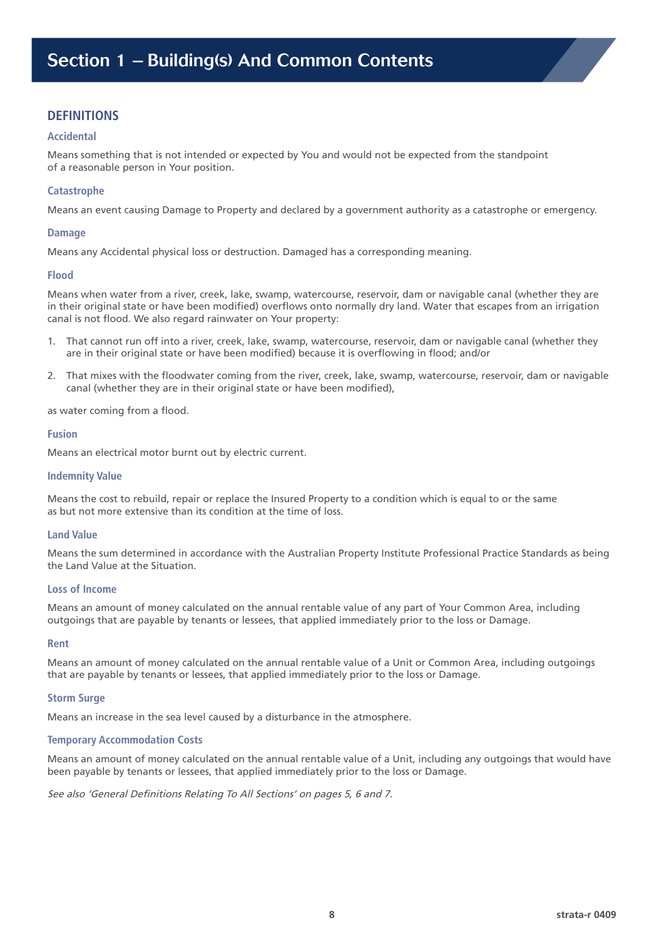## **DEFINITIONS**

#### **Accidental**

Means something that is not intended or expected by You and would not be expected from the standpoint of a reasonable person in Your position.

#### **Catastrophe**

Means an event causing Damage to Property and declared by a government authority as a catastrophe or emergency.

#### **Damage**

Means any Accidental physical loss or destruction. Damaged has a corresponding meaning.

#### **Flood**

Means when water from a river, creek, lake, swamp, watercourse, reservoir, dam or navigable canal (whether they are in their original state or have been modified) overflows onto normally dry land. Water that escapes from an irrigation canal is not flood. We also regard rainwater on Your property:

- 1. That cannot run off into a river, creek, lake, swamp, watercourse, reservoir, dam or navigable canal (whether they are in their original state or have been modified) because it is overflowing in flood; and/or
- 2. That mixes with the floodwater coming from the river, creek, lake, swamp, watercourse, reservoir, dam or navigable canal (whether they are in their original state or have been modified),

as water coming from a flood.

#### **Fusion**

Means an electrical motor burnt out by electric current.

#### **Indemnity Value**

Means the cost to rebuild, repair or replace the Insured Property to a condition which is equal to or the same as but not more extensive than its condition at the time of loss.

#### **Land Value**

Means the sum determined in accordance with the Australian Property Institute Professional Practice Standards as being the Land Value at the Situation.

#### **Loss of Income**

Means an amount of money calculated on the annual rentable value of any part of Your Common Area, including outgoings that are payable by tenants or lessees, that applied immediately prior to the loss or Damage.

#### **Rent**

Means an amount of money calculated on the annual rentable value of a Unit or Common Area, including outgoings that are payable by tenants or lessees, that applied immediately prior to the loss or Damage.

#### **Storm Surge**

Means an increase in the sea level caused by a disturbance in the atmosphere.

#### **Temporary Accommodation Costs**

Means an amount of money calculated on the annual rentable value of a Unit, including any outgoings that would have been payable by tenants or lessees, that applied immediately prior to the loss or Damage.

See also 'General Definitions Relating To All Sections' on pages 5, 6 and 7.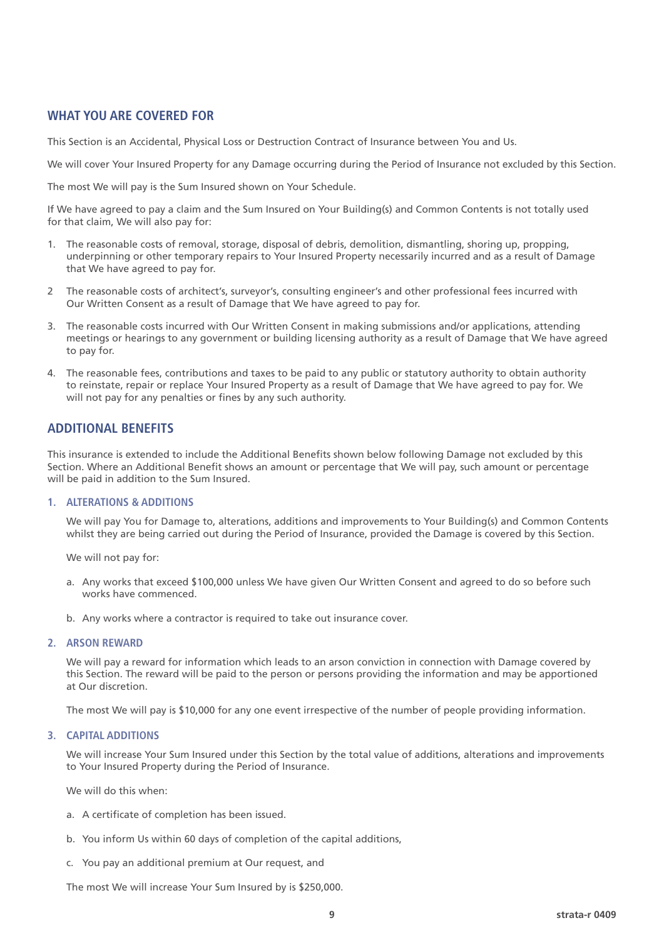## **WHAT YOU ARE COVERED FOR**

This Section is an Accidental, Physical Loss or Destruction Contract of Insurance between You and Us.

We will cover Your Insured Property for any Damage occurring during the Period of Insurance not excluded by this Section.

The most We will pay is the Sum Insured shown on Your Schedule.

If We have agreed to pay a claim and the Sum Insured on Your Building(s) and Common Contents is not totally used for that claim, We will also pay for:

- 1. The reasonable costs of removal, storage, disposal of debris, demolition, dismantling, shoring up, propping, underpinning or other temporary repairs to Your Insured Property necessarily incurred and as a result of Damage that We have agreed to pay for.
- 2 The reasonable costs of architect's, surveyor's, consulting engineer's and other professional fees incurred with Our Written Consent as a result of Damage that We have agreed to pay for.
- 3. The reasonable costs incurred with Our Written Consent in making submissions and/or applications, attending meetings or hearings to any government or building licensing authority as a result of Damage that We have agreed to pay for.
- 4. The reasonable fees, contributions and taxes to be paid to any public or statutory authority to obtain authority to reinstate, repair or replace Your Insured Property as a result of Damage that We have agreed to pay for. We will not pay for any penalties or fines by any such authority.

## **ADDITIONAL BENEFITS**

This insurance is extended to include the Additional Benefits shown below following Damage not excluded by this Section. Where an Additional Benefit shows an amount or percentage that We will pay, such amount or percentage will be paid in addition to the Sum Insured.

#### **1. ALTERATIONS & ADDITIONS**

We will pay You for Damage to, alterations, additions and improvements to Your Building(s) and Common Contents whilst they are being carried out during the Period of Insurance, provided the Damage is covered by this Section.

We will not pay for:

- a. Any works that exceed \$100,000 unless We have given Our Written Consent and agreed to do so before such works have commenced.
- b. Any works where a contractor is required to take out insurance cover.

#### **2. ARSON REWARD**

We will pay a reward for information which leads to an arson conviction in connection with Damage covered by this Section. The reward will be paid to the person or persons providing the information and may be apportioned at Our discretion.

The most We will pay is \$10,000 for any one event irrespective of the number of people providing information.

#### **3. CAPITAL ADDITIONS**

We will increase Your Sum Insured under this Section by the total value of additions, alterations and improvements to Your Insured Property during the Period of Insurance.

We will do this when:

- a. A certificate of completion has been issued.
- b. You inform Us within 60 days of completion of the capital additions,
- c. You pay an additional premium at Our request, and

The most We will increase Your Sum Insured by is \$250,000.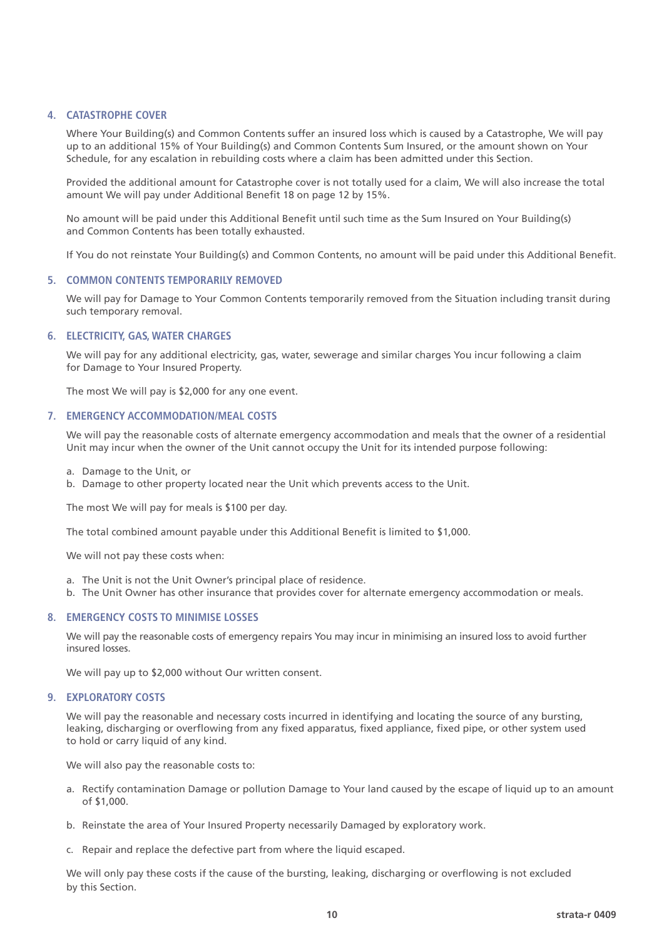#### **4. CATASTROPHE COVER**

Where Your Building(s) and Common Contents suffer an insured loss which is caused by a Catastrophe, We will pay up to an additional 15% of Your Building(s) and Common Contents Sum Insured, or the amount shown on Your Schedule, for any escalation in rebuilding costs where a claim has been admitted under this Section.

Provided the additional amount for Catastrophe cover is not totally used for a claim, We will also increase the total amount We will pay under Additional Benefit 18 on page 12 by 15%.

No amount will be paid under this Additional Benefit until such time as the Sum Insured on Your Building(s) and Common Contents has been totally exhausted.

If You do not reinstate Your Building(s) and Common Contents, no amount will be paid under this Additional Benefit.

#### **5. COMMON CONTENTS TEMPORARILY REMOVED**

We will pay for Damage to Your Common Contents temporarily removed from the Situation including transit during such temporary removal.

#### **6. ELECTRICITY, GAS, WATER CHARGES**

We will pay for any additional electricity, gas, water, sewerage and similar charges You incur following a claim for Damage to Your Insured Property.

The most We will pay is \$2,000 for any one event.

#### **7. EMERGENCY ACCOMMODATION/MEAL COSTS**

We will pay the reasonable costs of alternate emergency accommodation and meals that the owner of a residential Unit may incur when the owner of the Unit cannot occupy the Unit for its intended purpose following:

- a. Damage to the Unit, or
- b. Damage to other property located near the Unit which prevents access to the Unit.

The most We will pay for meals is \$100 per day.

The total combined amount payable under this Additional Benefit is limited to \$1,000.

We will not pay these costs when:

- a. The Unit is not the Unit Owner's principal place of residence.
- b. The Unit Owner has other insurance that provides cover for alternate emergency accommodation or meals.

#### **8. EMERGENCY COSTS TO MINIMISE LOSSES**

We will pay the reasonable costs of emergency repairs You may incur in minimising an insured loss to avoid further insured losses.

We will pay up to \$2,000 without Our written consent.

#### **9. EXPLORATORY COSTS**

We will pay the reasonable and necessary costs incurred in identifying and locating the source of any bursting, leaking, discharging or overflowing from any fixed apparatus, fixed appliance, fixed pipe, or other system used to hold or carry liquid of any kind.

We will also pay the reasonable costs to:

- a. Rectify contamination Damage or pollution Damage to Your land caused by the escape of liquid up to an amount of \$1,000.
- b. Reinstate the area of Your Insured Property necessarily Damaged by exploratory work.
- c. Repair and replace the defective part from where the liquid escaped.

We will only pay these costs if the cause of the bursting, leaking, discharging or overflowing is not excluded by this Section.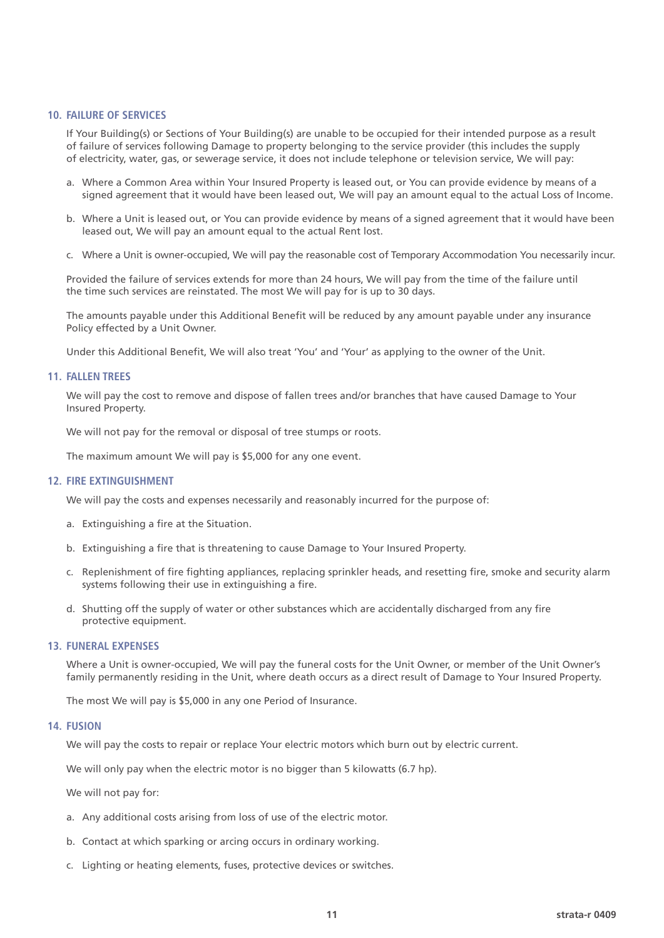#### **10. FAILURE OF SERVICES**

If Your Building(s) or Sections of Your Building(s) are unable to be occupied for their intended purpose as a result of failure of services following Damage to property belonging to the service provider (this includes the supply of electricity, water, gas, or sewerage service, it does not include telephone or television service, We will pay:

- a. Where a Common Area within Your Insured Property is leased out, or You can provide evidence by means of a signed agreement that it would have been leased out, We will pay an amount equal to the actual Loss of Income.
- b. Where a Unit is leased out, or You can provide evidence by means of a signed agreement that it would have been leased out, We will pay an amount equal to the actual Rent lost.
- c. Where a Unit is owner-occupied, We will pay the reasonable cost of Temporary Accommodation You necessarily incur.

Provided the failure of services extends for more than 24 hours, We will pay from the time of the failure until the time such services are reinstated. The most We will pay for is up to 30 days.

The amounts payable under this Additional Benefit will be reduced by any amount payable under any insurance Policy effected by a Unit Owner.

Under this Additional Benefit, We will also treat 'You' and 'Your' as applying to the owner of the Unit.

#### **11. FALLEN TREES**

We will pay the cost to remove and dispose of fallen trees and/or branches that have caused Damage to Your Insured Property.

We will not pay for the removal or disposal of tree stumps or roots.

The maximum amount We will pay is \$5,000 for any one event.

#### **12. FIRE EXTINGUISHMENT**

We will pay the costs and expenses necessarily and reasonably incurred for the purpose of:

- a. Extinguishing a fire at the Situation.
- b. Extinguishing a fire that is threatening to cause Damage to Your Insured Property.
- c. Replenishment of fire fighting appliances, replacing sprinkler heads, and resetting fire, smoke and security alarm systems following their use in extinguishing a fire.
- d. Shutting off the supply of water or other substances which are accidentally discharged from any fire protective equipment.

#### **13. FUNERAL EXPENSES**

Where a Unit is owner-occupied, We will pay the funeral costs for the Unit Owner, or member of the Unit Owner's family permanently residing in the Unit, where death occurs as a direct result of Damage to Your Insured Property.

The most We will pay is \$5,000 in any one Period of Insurance.

#### **14. FUSION**

We will pay the costs to repair or replace Your electric motors which burn out by electric current.

We will only pay when the electric motor is no bigger than 5 kilowatts (6.7 hp).

We will not pay for:

- a. Any additional costs arising from loss of use of the electric motor.
- b. Contact at which sparking or arcing occurs in ordinary working.
- c. Lighting or heating elements, fuses, protective devices or switches.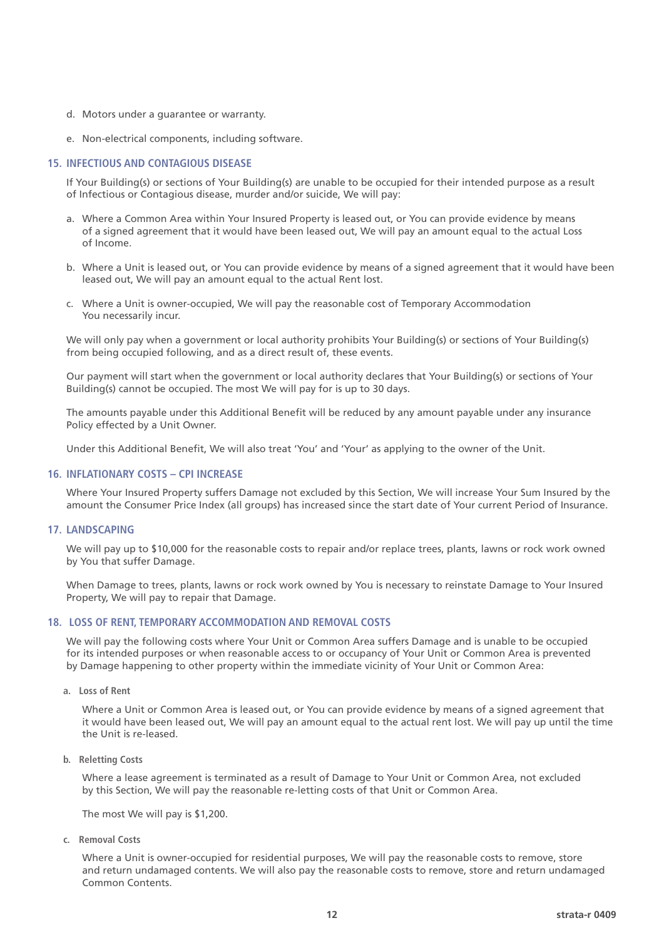- d. Motors under a guarantee or warranty.
- e. Non-electrical components, including software.

#### **15. INFECTIOUS AND CONTAGIOUS DISEASE**

If Your Building(s) or sections of Your Building(s) are unable to be occupied for their intended purpose as a result of Infectious or Contagious disease, murder and/or suicide, We will pay:

- a. Where a Common Area within Your Insured Property is leased out, or You can provide evidence by means of a signed agreement that it would have been leased out, We will pay an amount equal to the actual Loss of Income.
- b. Where a Unit is leased out, or You can provide evidence by means of a signed agreement that it would have been leased out, We will pay an amount equal to the actual Rent lost.
- c. Where a Unit is owner-occupied, We will pay the reasonable cost of Temporary Accommodation You necessarily incur.

We will only pay when a government or local authority prohibits Your Building(s) or sections of Your Building(s) from being occupied following, and as a direct result of, these events.

Our payment will start when the government or local authority declares that Your Building(s) or sections of Your Building(s) cannot be occupied. The most We will pay for is up to 30 days.

The amounts payable under this Additional Benefit will be reduced by any amount payable under any insurance Policy effected by a Unit Owner.

Under this Additional Benefit, We will also treat 'You' and 'Your' as applying to the owner of the Unit.

#### **16. INFLATIONARY COSTS – CPI INCREASE**

Where Your Insured Property suffers Damage not excluded by this Section, We will increase Your Sum Insured by the amount the Consumer Price Index (all groups) has increased since the start date of Your current Period of Insurance.

#### **17. LANDSCAPING**

We will pay up to \$10,000 for the reasonable costs to repair and/or replace trees, plants, lawns or rock work owned by You that suffer Damage.

When Damage to trees, plants, lawns or rock work owned by You is necessary to reinstate Damage to Your Insured Property, We will pay to repair that Damage.

#### **18. LOSS OF RENT, TEMPORARY ACCOMMODATION AND REMOVAL COSTS**

We will pay the following costs where Your Unit or Common Area suffers Damage and is unable to be occupied for its intended purposes or when reasonable access to or occupancy of Your Unit or Common Area is prevented by Damage happening to other property within the immediate vicinity of Your Unit or Common Area:

**a. Loss of Rent** 

Where a Unit or Common Area is leased out, or You can provide evidence by means of a signed agreement that it would have been leased out, We will pay an amount equal to the actual rent lost. We will pay up until the time the Unit is re-leased.

**b. Reletting Costs**

Where a lease agreement is terminated as a result of Damage to Your Unit or Common Area, not excluded by this Section, We will pay the reasonable re-letting costs of that Unit or Common Area.

The most We will pay is \$1,200.

**c. Removal Costs**

Where a Unit is owner-occupied for residential purposes, We will pay the reasonable costs to remove, store and return undamaged contents. We will also pay the reasonable costs to remove, store and return undamaged Common Contents.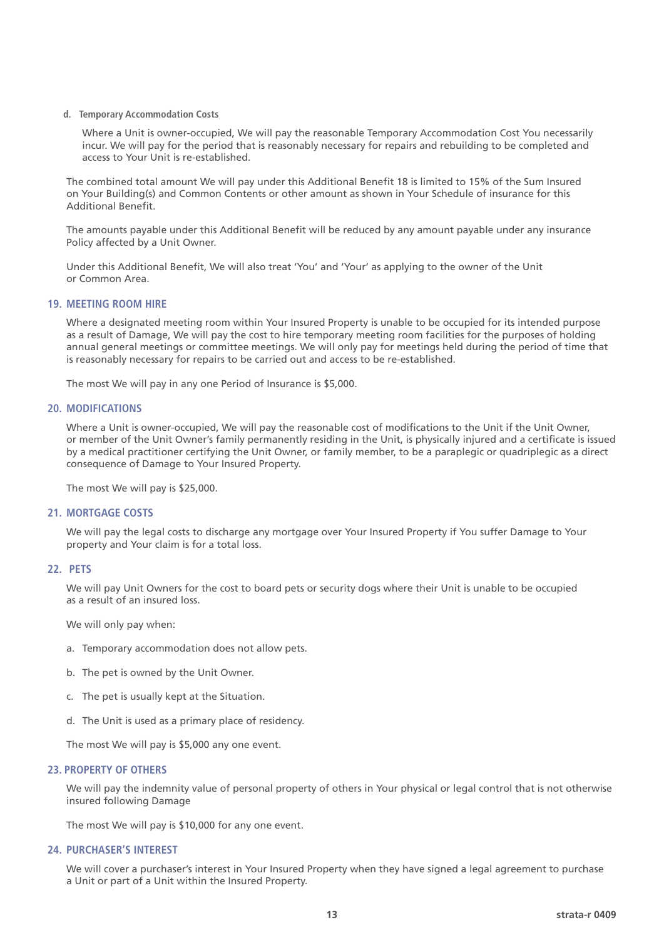**d. Temporary Accommodation Costs**

Where a Unit is owner-occupied, We will pay the reasonable Temporary Accommodation Cost You necessarily incur. We will pay for the period that is reasonably necessary for repairs and rebuilding to be completed and access to Your Unit is re-established.

The combined total amount We will pay under this Additional Benefit 18 is limited to 15% of the Sum Insured on Your Building(s) and Common Contents or other amount as shown in Your Schedule of insurance for this Additional Benefit.

The amounts payable under this Additional Benefit will be reduced by any amount payable under any insurance Policy affected by a Unit Owner.

Under this Additional Benefit, We will also treat 'You' and 'Your' as applying to the owner of the Unit or Common Area.

#### **19. MEETING ROOM HIRE**

Where a designated meeting room within Your Insured Property is unable to be occupied for its intended purpose as a result of Damage, We will pay the cost to hire temporary meeting room facilities for the purposes of holding annual general meetings or committee meetings. We will only pay for meetings held during the period of time that is reasonably necessary for repairs to be carried out and access to be re-established.

The most We will pay in any one Period of Insurance is \$5,000.

#### **20. MODIFICATIONS**

Where a Unit is owner-occupied, We will pay the reasonable cost of modifications to the Unit if the Unit Owner, or member of the Unit Owner's family permanently residing in the Unit, is physically injured and a certificate is issued by a medical practitioner certifying the Unit Owner, or family member, to be a paraplegic or quadriplegic as a direct consequence of Damage to Your Insured Property.

The most We will pay is \$25,000.

#### **21. MORTGAGE COSTS**

We will pay the legal costs to discharge any mortgage over Your Insured Property if You suffer Damage to Your property and Your claim is for a total loss.

#### **22. PETS**

We will pay Unit Owners for the cost to board pets or security dogs where their Unit is unable to be occupied as a result of an insured loss.

We will only pay when:

- a. Temporary accommodation does not allow pets.
- b. The pet is owned by the Unit Owner.
- c. The pet is usually kept at the Situation.
- d. The Unit is used as a primary place of residency.

The most We will pay is \$5,000 any one event.

#### **23. PROPERTY OF OTHERS**

We will pay the indemnity value of personal property of others in Your physical or legal control that is not otherwise insured following Damage

The most We will pay is \$10,000 for any one event.

#### **24. PURCHASER'S INTEREST**

We will cover a purchaser's interest in Your Insured Property when they have signed a legal agreement to purchase a Unit or part of a Unit within the Insured Property.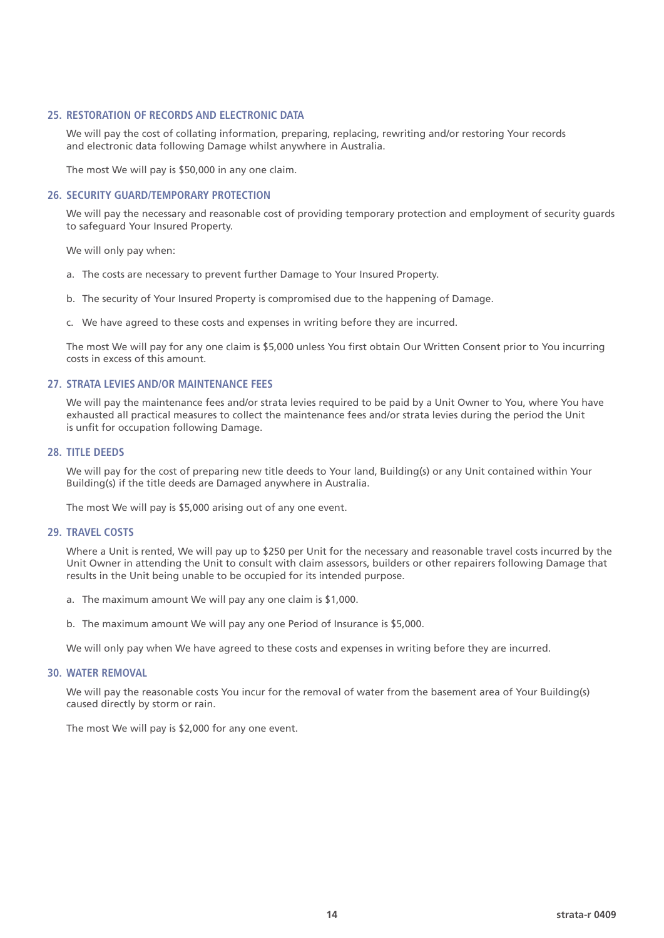## **25. RESTORATION OF RECORDS AND ELECTRONIC DATA**

We will pay the cost of collating information, preparing, replacing, rewriting and/or restoring Your records and electronic data following Damage whilst anywhere in Australia.

The most We will pay is \$50,000 in any one claim.

#### **26. SECURITY GUARD/TEMPORARY PROTECTION**

We will pay the necessary and reasonable cost of providing temporary protection and employment of security guards to safeguard Your Insured Property.

We will only pay when:

- a. The costs are necessary to prevent further Damage to Your Insured Property.
- b. The security of Your Insured Property is compromised due to the happening of Damage.
- c. We have agreed to these costs and expenses in writing before they are incurred.

The most We will pay for any one claim is \$5,000 unless You first obtain Our Written Consent prior to You incurring costs in excess of this amount.

#### **27. STRATA LEVIES AND/OR MAINTENANCE FEES**

We will pay the maintenance fees and/or strata levies required to be paid by a Unit Owner to You, where You have exhausted all practical measures to collect the maintenance fees and/or strata levies during the period the Unit is unfit for occupation following Damage.

#### **28. TITLE DEEDS**

We will pay for the cost of preparing new title deeds to Your land, Building(s) or any Unit contained within Your Building(s) if the title deeds are Damaged anywhere in Australia.

The most We will pay is \$5,000 arising out of any one event.

#### **29. TRAVEL COSTS**

Where a Unit is rented, We will pay up to \$250 per Unit for the necessary and reasonable travel costs incurred by the Unit Owner in attending the Unit to consult with claim assessors, builders or other repairers following Damage that results in the Unit being unable to be occupied for its intended purpose.

- a. The maximum amount We will pay any one claim is \$1,000.
- b. The maximum amount We will pay any one Period of Insurance is \$5,000.

We will only pay when We have agreed to these costs and expenses in writing before they are incurred.

#### **30. WATER REMOVAL**

We will pay the reasonable costs You incur for the removal of water from the basement area of Your Building(s) caused directly by storm or rain.

The most We will pay is \$2,000 for any one event.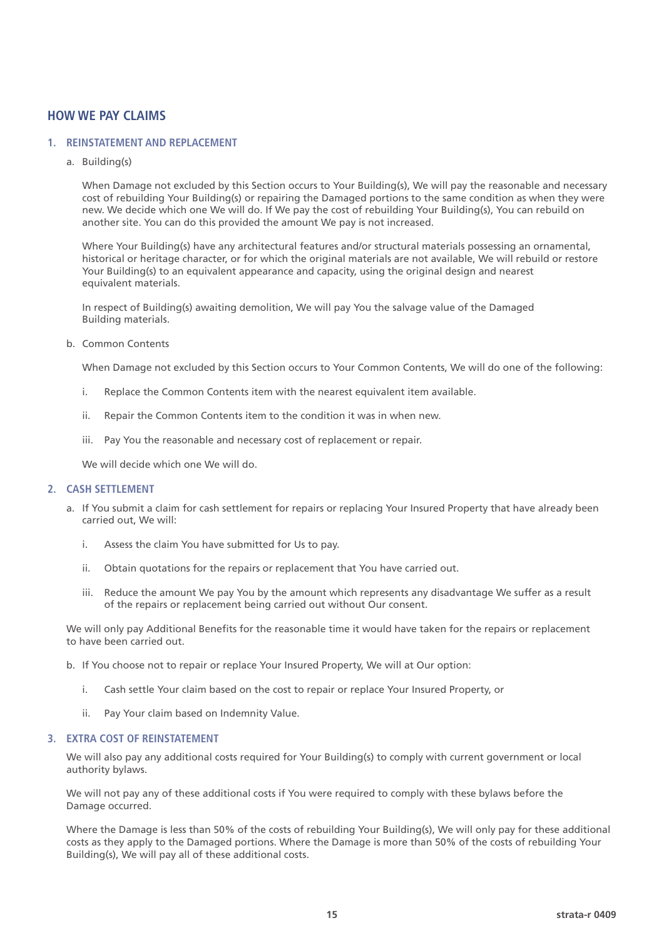## **HOW WE PAY CLAIMS**

#### **1. REINSTATEMENT AND REPLACEMENT**

a. Building(s)

When Damage not excluded by this Section occurs to Your Building(s), We will pay the reasonable and necessary cost of rebuilding Your Building(s) or repairing the Damaged portions to the same condition as when they were new. We decide which one We will do. If We pay the cost of rebuilding Your Building(s), You can rebuild on another site. You can do this provided the amount We pay is not increased.

Where Your Building(s) have any architectural features and/or structural materials possessing an ornamental, historical or heritage character, or for which the original materials are not available, We will rebuild or restore Your Building(s) to an equivalent appearance and capacity, using the original design and nearest equivalent materials.

In respect of Building(s) awaiting demolition, We will pay You the salvage value of the Damaged Building materials.

b. Common Contents

When Damage not excluded by this Section occurs to Your Common Contents, We will do one of the following:

- i. Replace the Common Contents item with the nearest equivalent item available.
- ii. Repair the Common Contents item to the condition it was in when new.
- iii. Pay You the reasonable and necessary cost of replacement or repair.

We will decide which one We will do.

#### **2. CASH SETTLEMENT**

- a. If You submit a claim for cash settlement for repairs or replacing Your Insured Property that have already been carried out, We will:
	- i. Assess the claim You have submitted for Us to pay.
	- ii. Obtain quotations for the repairs or replacement that You have carried out.
	- iii. Reduce the amount We pay You by the amount which represents any disadvantage We suffer as a result of the repairs or replacement being carried out without Our consent.

We will only pay Additional Benefits for the reasonable time it would have taken for the repairs or replacement to have been carried out.

- b. If You choose not to repair or replace Your Insured Property, We will at Our option:
	- i. Cash settle Your claim based on the cost to repair or replace Your Insured Property, or
	- ii. Pay Your claim based on Indemnity Value.

#### **3. EXTRA COST OF REINSTATEMENT**

We will also pay any additional costs required for Your Building(s) to comply with current government or local authority bylaws.

We will not pay any of these additional costs if You were required to comply with these bylaws before the Damage occurred.

Where the Damage is less than 50% of the costs of rebuilding Your Building(s), We will only pay for these additional costs as they apply to the Damaged portions. Where the Damage is more than 50% of the costs of rebuilding Your Building(s), We will pay all of these additional costs.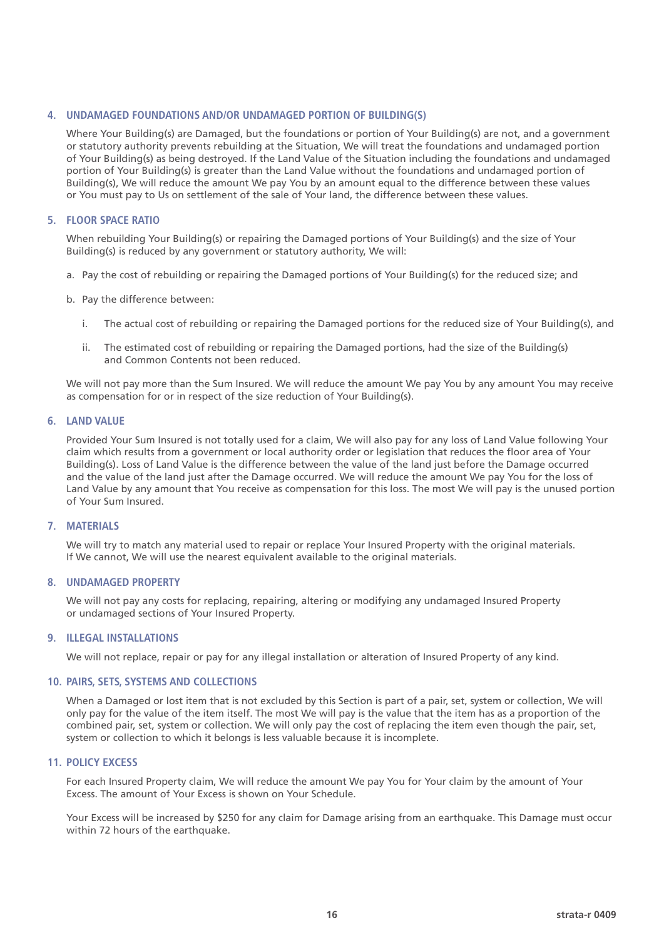#### **4. UNDAMAGED FOUNDATIONS AND/OR UNDAMAGED PORTION OF BUILDING(S)**

Where Your Building(s) are Damaged, but the foundations or portion of Your Building(s) are not, and a government or statutory authority prevents rebuilding at the Situation, We will treat the foundations and undamaged portion of Your Building(s) as being destroyed. If the Land Value of the Situation including the foundations and undamaged portion of Your Building(s) is greater than the Land Value without the foundations and undamaged portion of Building(s), We will reduce the amount We pay You by an amount equal to the difference between these values or You must pay to Us on settlement of the sale of Your land, the difference between these values.

#### **5. FLOOR SPACE RATIO**

When rebuilding Your Building(s) or repairing the Damaged portions of Your Building(s) and the size of Your Building(s) is reduced by any government or statutory authority, We will:

- a. Pay the cost of rebuilding or repairing the Damaged portions of Your Building(s) for the reduced size; and
- b. Pay the difference between:
	- i. The actual cost of rebuilding or repairing the Damaged portions for the reduced size of Your Building(s), and
	- ii. The estimated cost of rebuilding or repairing the Damaged portions, had the size of the Building(s) and Common Contents not been reduced.

We will not pay more than the Sum Insured. We will reduce the amount We pay You by any amount You may receive as compensation for or in respect of the size reduction of Your Building(s).

#### **6. LAND VALUE**

Provided Your Sum Insured is not totally used for a claim, We will also pay for any loss of Land Value following Your claim which results from a government or local authority order or legislation that reduces the floor area of Your Building(s). Loss of Land Value is the difference between the value of the land just before the Damage occurred and the value of the land just after the Damage occurred. We will reduce the amount We pay You for the loss of Land Value by any amount that You receive as compensation for this loss. The most We will pay is the unused portion of Your Sum Insured.

#### **7. MATERIALS**

We will try to match any material used to repair or replace Your Insured Property with the original materials. If We cannot, We will use the nearest equivalent available to the original materials.

#### **8. UNDAMAGED PROPERTY**

We will not pay any costs for replacing, repairing, altering or modifying any undamaged Insured Property or undamaged sections of Your Insured Property.

#### **9. ILLEGAL INSTALLATIONS**

We will not replace, repair or pay for any illegal installation or alteration of Insured Property of any kind.

#### **10. PAIRS, SETS, SYSTEMS AND COLLECTIONS**

When a Damaged or lost item that is not excluded by this Section is part of a pair, set, system or collection, We will only pay for the value of the item itself. The most We will pay is the value that the item has as a proportion of the combined pair, set, system or collection. We will only pay the cost of replacing the item even though the pair, set, system or collection to which it belongs is less valuable because it is incomplete.

#### **11. POLICY EXCESS**

For each Insured Property claim, We will reduce the amount We pay You for Your claim by the amount of Your Excess. The amount of Your Excess is shown on Your Schedule.

Your Excess will be increased by \$250 for any claim for Damage arising from an earthquake. This Damage must occur within 72 hours of the earthquake.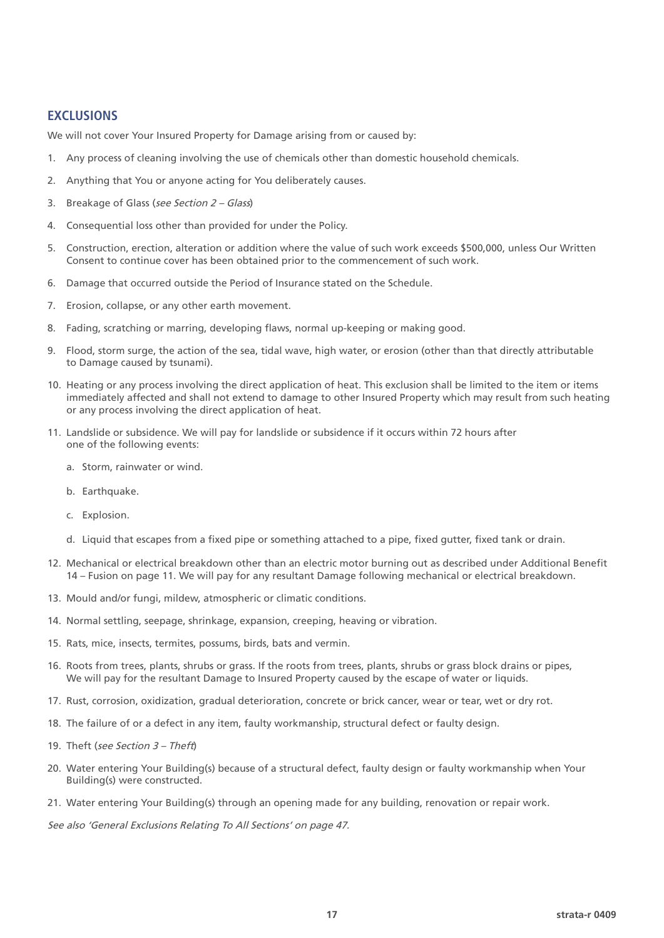## **EXCLUSIONS**

We will not cover Your Insured Property for Damage arising from or caused by:

- 1. Any process of cleaning involving the use of chemicals other than domestic household chemicals.
- 2. Anything that You or anyone acting for You deliberately causes.
- 3. Breakage of Glass (see Section 2 Glass)
- 4. Consequential loss other than provided for under the Policy.
- 5. Construction, erection, alteration or addition where the value of such work exceeds \$500,000, unless Our Written Consent to continue cover has been obtained prior to the commencement of such work.
- 6. Damage that occurred outside the Period of Insurance stated on the Schedule.
- 7. Erosion, collapse, or any other earth movement.
- 8. Fading, scratching or marring, developing flaws, normal up-keeping or making good.
- 9. Flood, storm surge, the action of the sea, tidal wave, high water, or erosion (other than that directly attributable to Damage caused by tsunami).
- 10. Heating or any process involving the direct application of heat. This exclusion shall be limited to the item or items immediately affected and shall not extend to damage to other Insured Property which may result from such heating or any process involving the direct application of heat.
- 11. Landslide or subsidence. We will pay for landslide or subsidence if it occurs within 72 hours after one of the following events:
	- a. Storm, rainwater or wind.
	- b. Earthquake.
	- c. Explosion.
	- d. Liquid that escapes from a fixed pipe or something attached to a pipe, fixed gutter, fixed tank or drain.
- 12. Mechanical or electrical breakdown other than an electric motor burning out as described under Additional Benefit 14 – Fusion on page 11. We will pay for any resultant Damage following mechanical or electrical breakdown.
- 13. Mould and/or fungi, mildew, atmospheric or climatic conditions.
- 14. Normal settling, seepage, shrinkage, expansion, creeping, heaving or vibration.
- 15. Rats, mice, insects, termites, possums, birds, bats and vermin.
- 16. Roots from trees, plants, shrubs or grass. If the roots from trees, plants, shrubs or grass block drains or pipes, We will pay for the resultant Damage to Insured Property caused by the escape of water or liquids.
- 17. Rust, corrosion, oxidization, gradual deterioration, concrete or brick cancer, wear or tear, wet or dry rot.
- 18. The failure of or a defect in any item, faulty workmanship, structural defect or faulty design.
- 19. Theft (see Section 3 Theft)
- 20. Water entering Your Building(s) because of a structural defect, faulty design or faulty workmanship when Your Building(s) were constructed.
- 21. Water entering Your Building(s) through an opening made for any building, renovation or repair work.

See also 'General Exclusions Relating To All Sections' on page 47.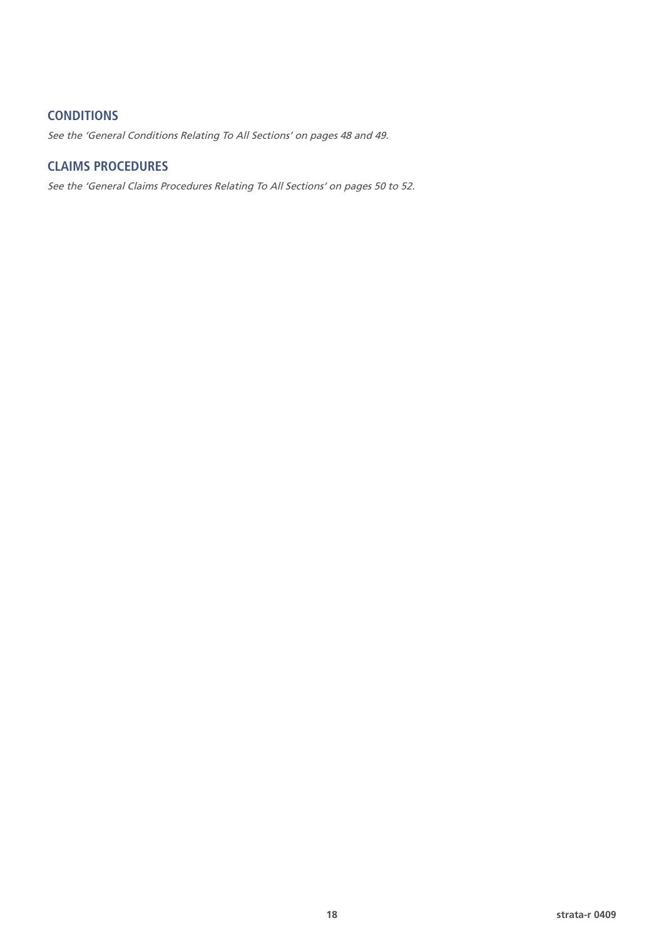## **CONDITIONS**

See the 'General Conditions Relating To All Sections' on pages 48 and 49.

## **CLAIMS PROCEDURES**

See the 'General Claims Procedures Relating To All Sections' on pages 50 to 52.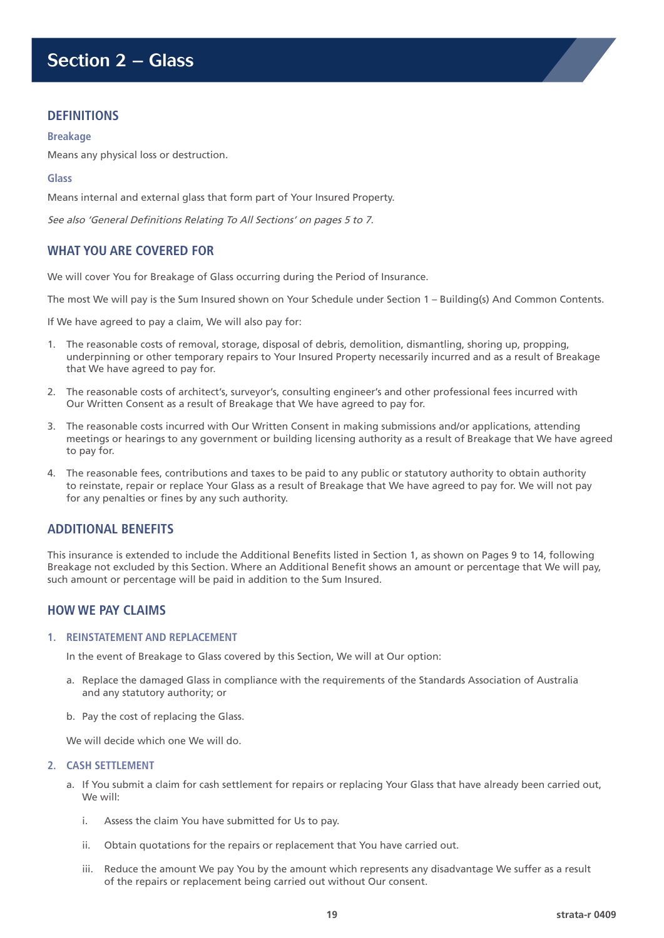## Section 2 – Glass

## **DEFINITIONS**

#### **Breakage**

Means any physical loss or destruction.

#### **Glass**

Means internal and external glass that form part of Your Insured Property.

See also 'General Definitions Relating To All Sections' on pages 5 to 7.

## **WHAT YOU ARE COVERED FOR**

We will cover You for Breakage of Glass occurring during the Period of Insurance.

The most We will pay is the Sum Insured shown on Your Schedule under Section 1 – Building(s) And Common Contents.

If We have agreed to pay a claim, We will also pay for:

- 1. The reasonable costs of removal, storage, disposal of debris, demolition, dismantling, shoring up, propping, underpinning or other temporary repairs to Your Insured Property necessarily incurred and as a result of Breakage that We have agreed to pay for.
- 2. The reasonable costs of architect's, surveyor's, consulting engineer's and other professional fees incurred with Our Written Consent as a result of Breakage that We have agreed to pay for.
- 3. The reasonable costs incurred with Our Written Consent in making submissions and/or applications, attending meetings or hearings to any government or building licensing authority as a result of Breakage that We have agreed to pay for.
- 4. The reasonable fees, contributions and taxes to be paid to any public or statutory authority to obtain authority to reinstate, repair or replace Your Glass as a result of Breakage that We have agreed to pay for. We will not pay for any penalties or fines by any such authority.

## **ADDITIONAL BENEFITS**

This insurance is extended to include the Additional Benefits listed in Section 1, as shown on Pages 9 to 14, following Breakage not excluded by this Section. Where an Additional Benefit shows an amount or percentage that We will pay, such amount or percentage will be paid in addition to the Sum Insured.

## **HOW WE PAY CLAIMS**

#### **1. REINSTATEMENT AND REPLACEMENT**

In the event of Breakage to Glass covered by this Section, We will at Our option:

- a. Replace the damaged Glass in compliance with the requirements of the Standards Association of Australia and any statutory authority; or
- b. Pay the cost of replacing the Glass.

We will decide which one We will do.

#### **2. CASH SETTLEMENT**

- a. If You submit a claim for cash settlement for repairs or replacing Your Glass that have already been carried out, We will:
	- i. Assess the claim You have submitted for Us to pay.
	- ii. Obtain quotations for the repairs or replacement that You have carried out.
	- iii. Reduce the amount We pay You by the amount which represents any disadvantage We suffer as a result of the repairs or replacement being carried out without Our consent.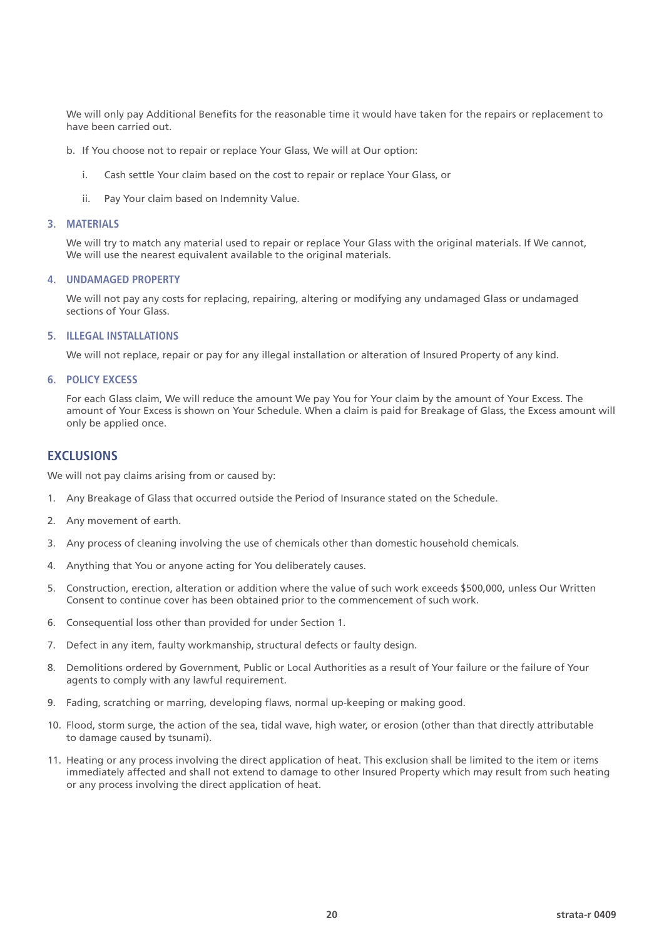We will only pay Additional Benefits for the reasonable time it would have taken for the repairs or replacement to have been carried out.

b. If You choose not to repair or replace Your Glass, We will at Our option:

- i. Cash settle Your claim based on the cost to repair or replace Your Glass, or
- ii. Pay Your claim based on Indemnity Value.

#### **3. MATERIALS**

We will try to match any material used to repair or replace Your Glass with the original materials. If We cannot, We will use the nearest equivalent available to the original materials.

#### **4. UNDAMAGED PROPERTY**

We will not pay any costs for replacing, repairing, altering or modifying any undamaged Glass or undamaged sections of Your Glass.

#### **5. ILLEGAL INSTALLATIONS**

We will not replace, repair or pay for any illegal installation or alteration of Insured Property of any kind.

#### **6. POLICY EXCESS**

For each Glass claim, We will reduce the amount We pay You for Your claim by the amount of Your Excess. The amount of Your Excess is shown on Your Schedule. When a claim is paid for Breakage of Glass, the Excess amount will only be applied once.

#### **EXCLUSIONS**

We will not pay claims arising from or caused by:

- 1. Any Breakage of Glass that occurred outside the Period of Insurance stated on the Schedule.
- 2. Any movement of earth.
- 3. Any process of cleaning involving the use of chemicals other than domestic household chemicals.
- 4. Anything that You or anyone acting for You deliberately causes.
- 5. Construction, erection, alteration or addition where the value of such work exceeds \$500,000, unless Our Written Consent to continue cover has been obtained prior to the commencement of such work.
- 6. Consequential loss other than provided for under Section 1.
- 7. Defect in any item, faulty workmanship, structural defects or faulty design.
- 8. Demolitions ordered by Government, Public or Local Authorities as a result of Your failure or the failure of Your agents to comply with any lawful requirement.
- 9. Fading, scratching or marring, developing flaws, normal up-keeping or making good.
- 10. Flood, storm surge, the action of the sea, tidal wave, high water, or erosion (other than that directly attributable to damage caused by tsunami).
- 11. Heating or any process involving the direct application of heat. This exclusion shall be limited to the item or items immediately affected and shall not extend to damage to other Insured Property which may result from such heating or any process involving the direct application of heat.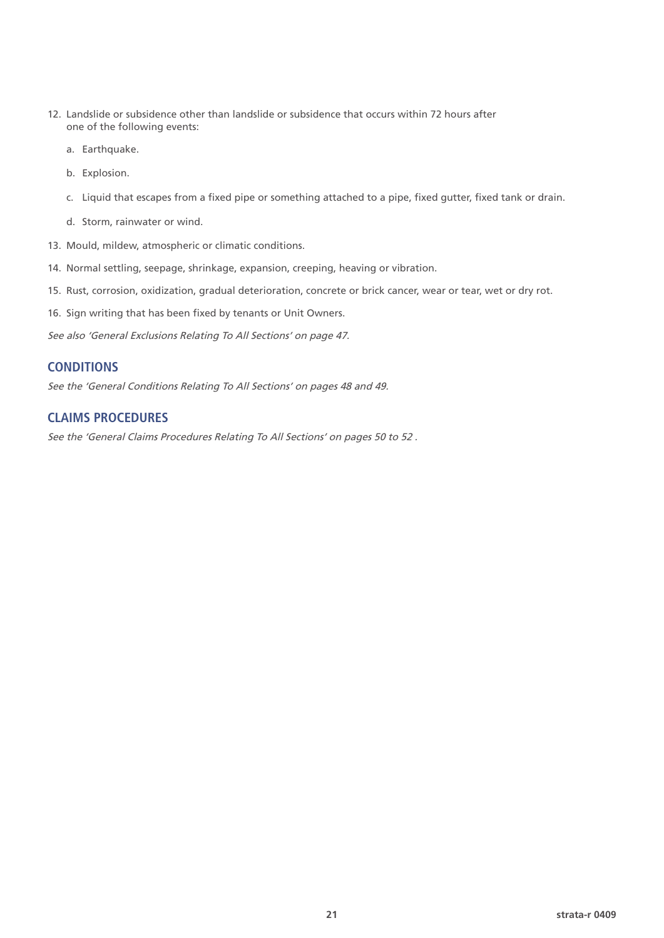- 12. Landslide or subsidence other than landslide or subsidence that occurs within 72 hours after one of the following events:
	- a. Earthquake.
	- b. Explosion.
	- c. Liquid that escapes from a fixed pipe or something attached to a pipe, fixed gutter, fixed tank or drain.
	- d. Storm, rainwater or wind.
- 13. Mould, mildew, atmospheric or climatic conditions.
- 14. Normal settling, seepage, shrinkage, expansion, creeping, heaving or vibration.
- 15. Rust, corrosion, oxidization, gradual deterioration, concrete or brick cancer, wear or tear, wet or dry rot.
- 16. Sign writing that has been fixed by tenants or Unit Owners.

See also 'General Exclusions Relating To All Sections' on page 47.

## **CONDITIONS**

See the 'General Conditions Relating To All Sections' on pages 48 and 49.

## **CLAIMS PROCEDURES**

See the 'General Claims Procedures Relating To All Sections' on pages 50 to 52 .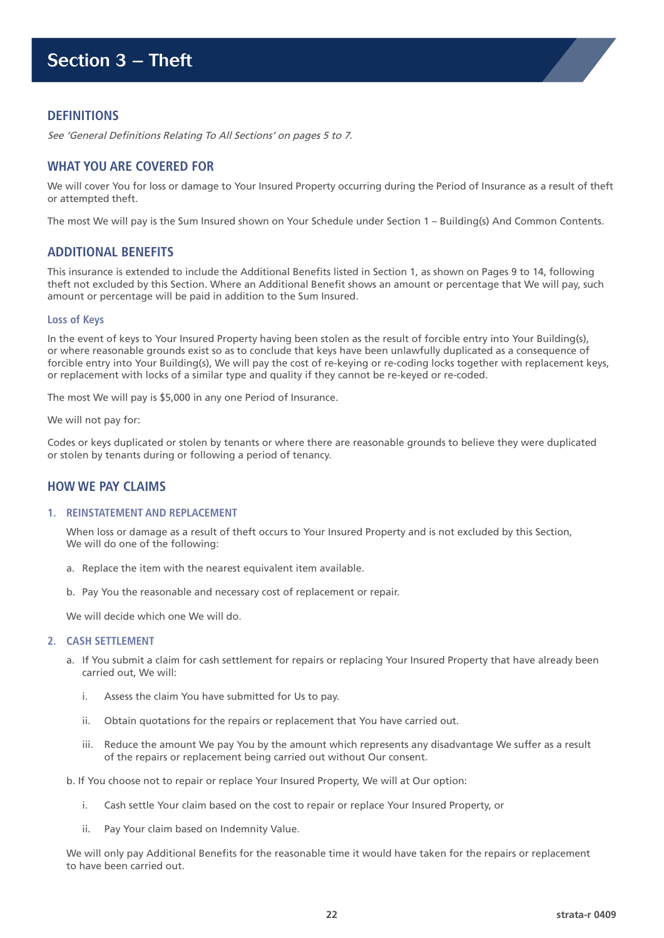## Section 3 – Theft

## **DEFINITIONS**

See 'General Definitions Relating To All Sections' on pages 5 to 7.

## **WHAT YOU ARE COVERED FOR**

We will cover You for loss or damage to Your Insured Property occurring during the Period of Insurance as a result of theft or attempted theft.

The most We will pay is the Sum Insured shown on Your Schedule under Section 1 – Building(s) And Common Contents.

## **ADDITIONAL BENEFITS**

This insurance is extended to include the Additional Benefits listed in Section 1, as shown on Pages 9 to 14, following theft not excluded by this Section. Where an Additional Benefit shows an amount or percentage that We will pay, such amount or percentage will be paid in addition to the Sum Insured.

#### **Loss of Keys**

In the event of keys to Your Insured Property having been stolen as the result of forcible entry into Your Building(s), or where reasonable grounds exist so as to conclude that keys have been unlawfully duplicated as a consequence of forcible entry into Your Building(s), We will pay the cost of re-keying or re-coding locks together with replacement keys, or replacement with locks of a similar type and quality if they cannot be re-keyed or re-coded.

The most We will pay is \$5,000 in any one Period of Insurance.

We will not pay for:

Codes or keys duplicated or stolen by tenants or where there are reasonable grounds to believe they were duplicated or stolen by tenants during or following a period of tenancy.

## **HOW WE PAY CLAIMS**

#### **1. REINSTATEMENT AND REPLACEMENT**

When loss or damage as a result of theft occurs to Your Insured Property and is not excluded by this Section, We will do one of the following:

- a. Replace the item with the nearest equivalent item available.
- b. Pay You the reasonable and necessary cost of replacement or repair.

We will decide which one We will do.

#### **2. CASH SETTLEMENT**

- a. If You submit a claim for cash settlement for repairs or replacing Your Insured Property that have already been carried out, We will:
	- i. Assess the claim You have submitted for Us to pay.
	- ii. Obtain quotations for the repairs or replacement that You have carried out.
	- iii. Reduce the amount We pay You by the amount which represents any disadvantage We suffer as a result of the repairs or replacement being carried out without Our consent.

b. If You choose not to repair or replace Your Insured Property, We will at Our option:

- i. Cash settle Your claim based on the cost to repair or replace Your Insured Property, or
- ii. Pay Your claim based on Indemnity Value.

We will only pay Additional Benefits for the reasonable time it would have taken for the repairs or replacement to have been carried out.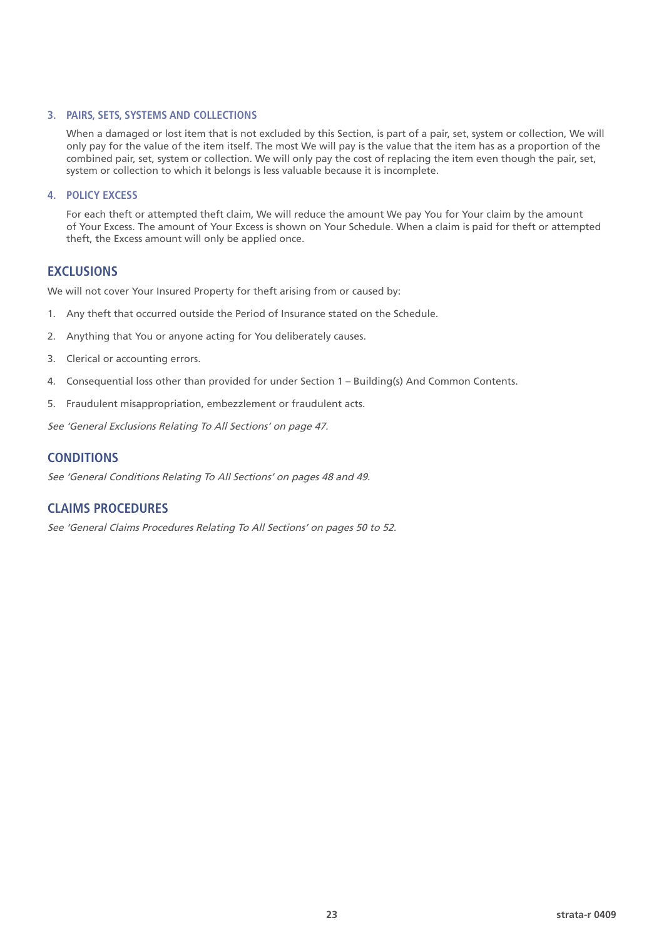#### **3. PAIRS, SETS, SYSTEMS AND COLLECTIONS**

When a damaged or lost item that is not excluded by this Section, is part of a pair, set, system or collection, We will only pay for the value of the item itself. The most We will pay is the value that the item has as a proportion of the combined pair, set, system or collection. We will only pay the cost of replacing the item even though the pair, set, system or collection to which it belongs is less valuable because it is incomplete.

#### **4. POLICY EXCESS**

For each theft or attempted theft claim, We will reduce the amount We pay You for Your claim by the amount of Your Excess. The amount of Your Excess is shown on Your Schedule. When a claim is paid for theft or attempted theft, the Excess amount will only be applied once.

## **EXCLUSIONS**

We will not cover Your Insured Property for theft arising from or caused by:

- 1. Any theft that occurred outside the Period of Insurance stated on the Schedule.
- 2. Anything that You or anyone acting for You deliberately causes.
- 3. Clerical or accounting errors.
- 4. Consequential loss other than provided for under Section 1 Building(s) And Common Contents.
- 5. Fraudulent misappropriation, embezzlement or fraudulent acts.

See 'General Exclusions Relating To All Sections' on page 47.

## **CONDITIONS**

See 'General Conditions Relating To All Sections' on pages 48 and 49.

## **CLAIMS PROCEDURES**

See 'General Claims Procedures Relating To All Sections' on pages 50 to 52.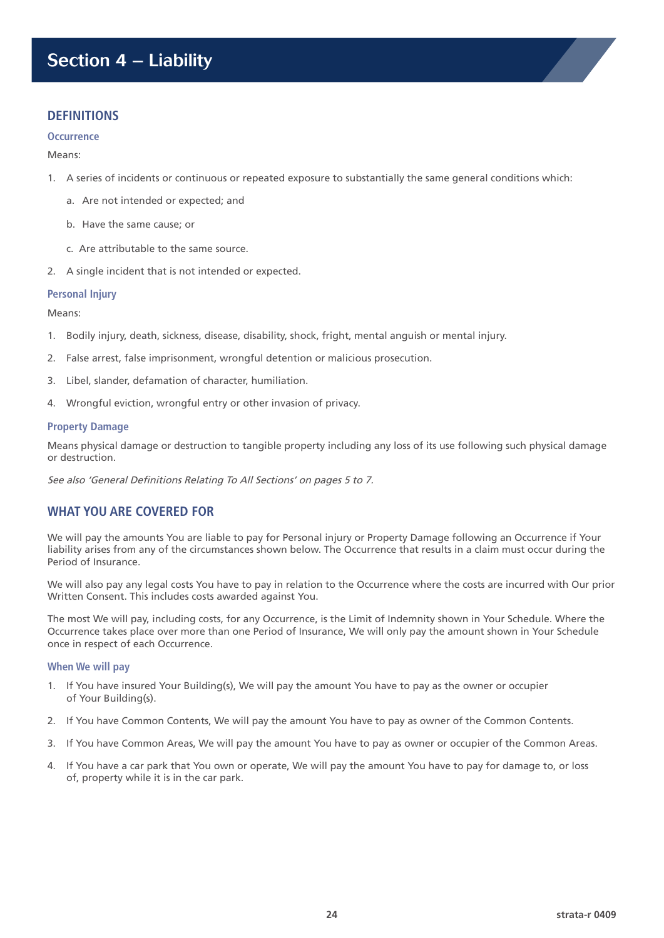## Section 4 – Liability

## **DEFINITIONS**

#### **Occurrence**

Means:

- 1. A series of incidents or continuous or repeated exposure to substantially the same general conditions which:
	- a. Are not intended or expected; and
	- b. Have the same cause; or
	- c. Are attributable to the same source.
- 2. A single incident that is not intended or expected.

#### **Personal Injury**

Means:

- 1. Bodily injury, death, sickness, disease, disability, shock, fright, mental anguish or mental injury.
- 2. False arrest, false imprisonment, wrongful detention or malicious prosecution.
- 3. Libel, slander, defamation of character, humiliation.
- 4. Wrongful eviction, wrongful entry or other invasion of privacy.

#### **Property Damage**

Means physical damage or destruction to tangible property including any loss of its use following such physical damage or destruction.

See also 'General Definitions Relating To All Sections' on pages 5 to 7.

## **WHAT YOU ARE COVERED FOR**

We will pay the amounts You are liable to pay for Personal injury or Property Damage following an Occurrence if Your liability arises from any of the circumstances shown below. The Occurrence that results in a claim must occur during the Period of Insurance.

We will also pay any legal costs You have to pay in relation to the Occurrence where the costs are incurred with Our prior Written Consent. This includes costs awarded against You.

The most We will pay, including costs, for any Occurrence, is the Limit of Indemnity shown in Your Schedule. Where the Occurrence takes place over more than one Period of Insurance, We will only pay the amount shown in Your Schedule once in respect of each Occurrence.

#### **When We will pay**

- 1. If You have insured Your Building(s), We will pay the amount You have to pay as the owner or occupier of Your Building(s).
- 2. If You have Common Contents, We will pay the amount You have to pay as owner of the Common Contents.
- 3. If You have Common Areas, We will pay the amount You have to pay as owner or occupier of the Common Areas.
- 4. If You have a car park that You own or operate, We will pay the amount You have to pay for damage to, or loss of, property while it is in the car park.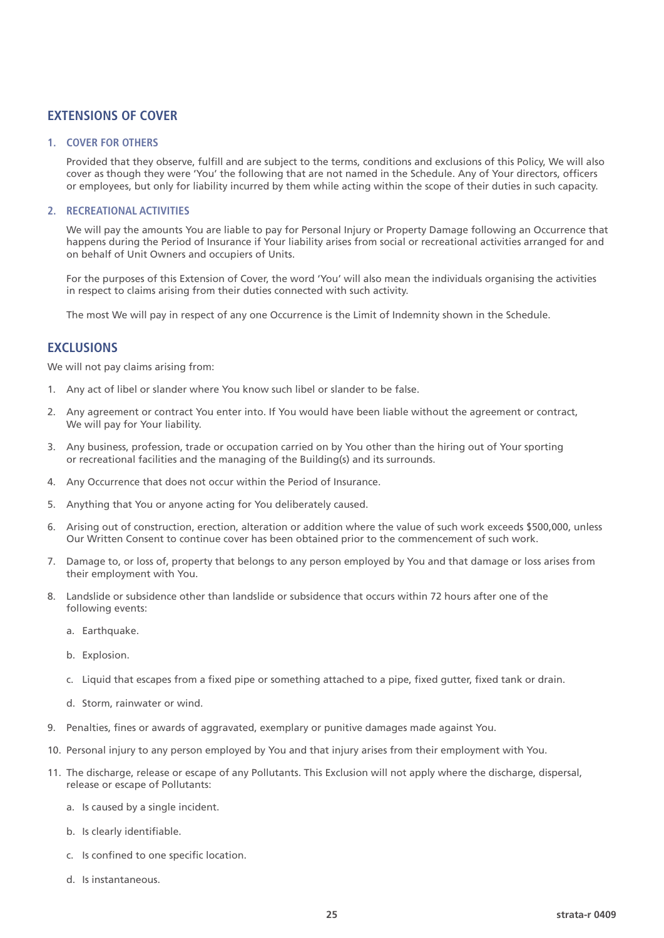## **EXTENSIONS OF COVER**

#### **1. COVER FOR OTHERS**

Provided that they observe, fulfill and are subject to the terms, conditions and exclusions of this Policy, We will also cover as though they were 'You' the following that are not named in the Schedule. Any of Your directors, officers or employees, but only for liability incurred by them while acting within the scope of their duties in such capacity.

#### **2. RECREATIONAL ACTIVITIES**

We will pay the amounts You are liable to pay for Personal Injury or Property Damage following an Occurrence that happens during the Period of Insurance if Your liability arises from social or recreational activities arranged for and on behalf of Unit Owners and occupiers of Units.

For the purposes of this Extension of Cover, the word 'You' will also mean the individuals organising the activities in respect to claims arising from their duties connected with such activity.

The most We will pay in respect of any one Occurrence is the Limit of Indemnity shown in the Schedule.

## **EXCLUSIONS**

We will not pay claims arising from:

- 1. Any act of libel or slander where You know such libel or slander to be false.
- 2. Any agreement or contract You enter into. If You would have been liable without the agreement or contract, We will pay for Your liability.
- 3. Any business, profession, trade or occupation carried on by You other than the hiring out of Your sporting or recreational facilities and the managing of the Building(s) and its surrounds.
- 4. Any Occurrence that does not occur within the Period of Insurance.
- 5. Anything that You or anyone acting for You deliberately caused.
- 6. Arising out of construction, erection, alteration or addition where the value of such work exceeds \$500,000, unless Our Written Consent to continue cover has been obtained prior to the commencement of such work.
- 7. Damage to, or loss of, property that belongs to any person employed by You and that damage or loss arises from their employment with You.
- 8. Landslide or subsidence other than landslide or subsidence that occurs within 72 hours after one of the following events:
	- a. Earthquake.
	- b. Explosion.
	- c. Liquid that escapes from a fixed pipe or something attached to a pipe, fixed gutter, fixed tank or drain.
	- d. Storm, rainwater or wind.
- 9. Penalties, fines or awards of aggravated, exemplary or punitive damages made against You.
- 10. Personal injury to any person employed by You and that injury arises from their employment with You.
- 11. The discharge, release or escape of any Pollutants. This Exclusion will not apply where the discharge, dispersal, release or escape of Pollutants:
	- a. Is caused by a single incident.
	- b. Is clearly identifiable.
	- c. Is confined to one specific location.
	- d. Is instantaneous.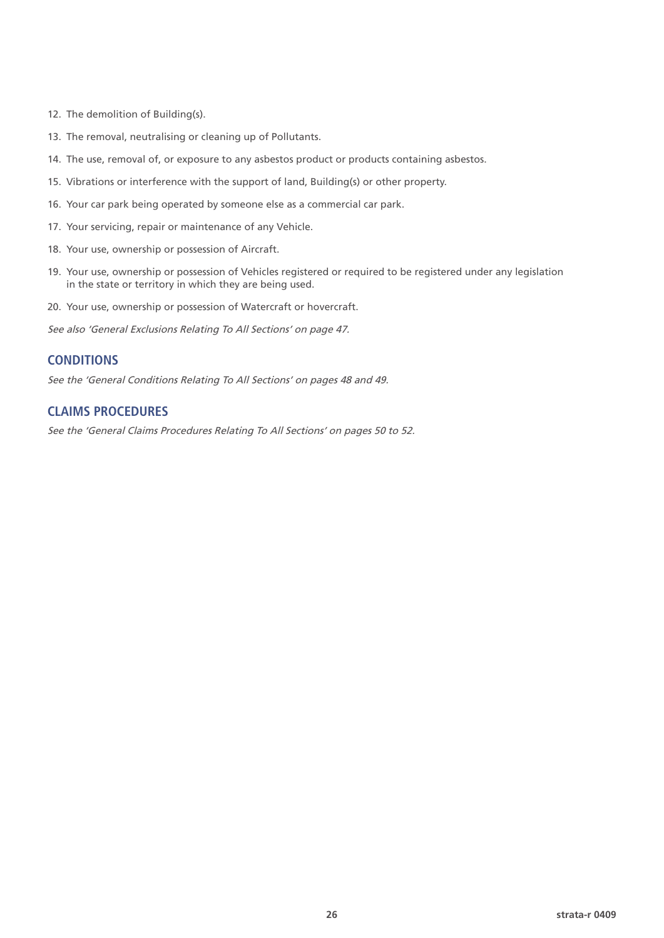- 12. The demolition of Building(s).
- 13. The removal, neutralising or cleaning up of Pollutants.
- 14. The use, removal of, or exposure to any asbestos product or products containing asbestos.
- 15. Vibrations or interference with the support of land, Building(s) or other property.
- 16. Your car park being operated by someone else as a commercial car park.
- 17. Your servicing, repair or maintenance of any Vehicle.
- 18. Your use, ownership or possession of Aircraft.
- 19. Your use, ownership or possession of Vehicles registered or required to be registered under any legislation in the state or territory in which they are being used.
- 20. Your use, ownership or possession of Watercraft or hovercraft.

See also 'General Exclusions Relating To All Sections' on page 47.

## **CONDITIONS**

See the 'General Conditions Relating To All Sections' on pages 48 and 49.

## **CLAIMS PROCEDURES**

See the 'General Claims Procedures Relating To All Sections' on pages 50 to 52.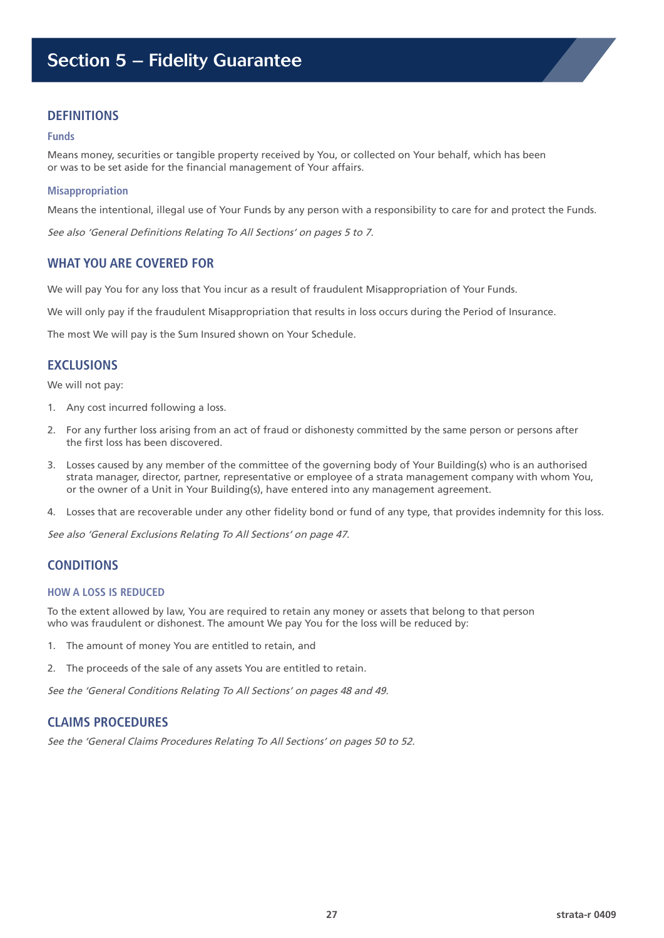## **DEFINITIONS**

#### **Funds**

Means money, securities or tangible property received by You, or collected on Your behalf, which has been or was to be set aside for the financial management of Your affairs.

#### **Misappropriation**

Means the intentional, illegal use of Your Funds by any person with a responsibility to care for and protect the Funds.

See also 'General Definitions Relating To All Sections' on pages 5 to 7.

## **WHAT YOU ARE COVERED FOR**

We will pay You for any loss that You incur as a result of fraudulent Misappropriation of Your Funds.

We will only pay if the fraudulent Misappropriation that results in loss occurs during the Period of Insurance.

The most We will pay is the Sum Insured shown on Your Schedule.

## **EXCLUSIONS**

We will not pay:

- 1. Any cost incurred following a loss.
- 2. For any further loss arising from an act of fraud or dishonesty committed by the same person or persons after the first loss has been discovered.
- 3. Losses caused by any member of the committee of the governing body of Your Building(s) who is an authorised strata manager, director, partner, representative or employee of a strata management company with whom You, or the owner of a Unit in Your Building(s), have entered into any management agreement.
- 4. Losses that are recoverable under any other fidelity bond or fund of any type, that provides indemnity for this loss.

See also 'General Exclusions Relating To All Sections' on page 47.

## **CONDITIONS**

#### **HOW A LOSS IS REDUCED**

To the extent allowed by law, You are required to retain any money or assets that belong to that person who was fraudulent or dishonest. The amount We pay You for the loss will be reduced by:

- 1. The amount of money You are entitled to retain, and
- 2. The proceeds of the sale of any assets You are entitled to retain.

See the 'General Conditions Relating To All Sections' on pages 48 and 49.

## **CLAIMS PROCEDURES**

See the 'General Claims Procedures Relating To All Sections' on pages 50 to 52.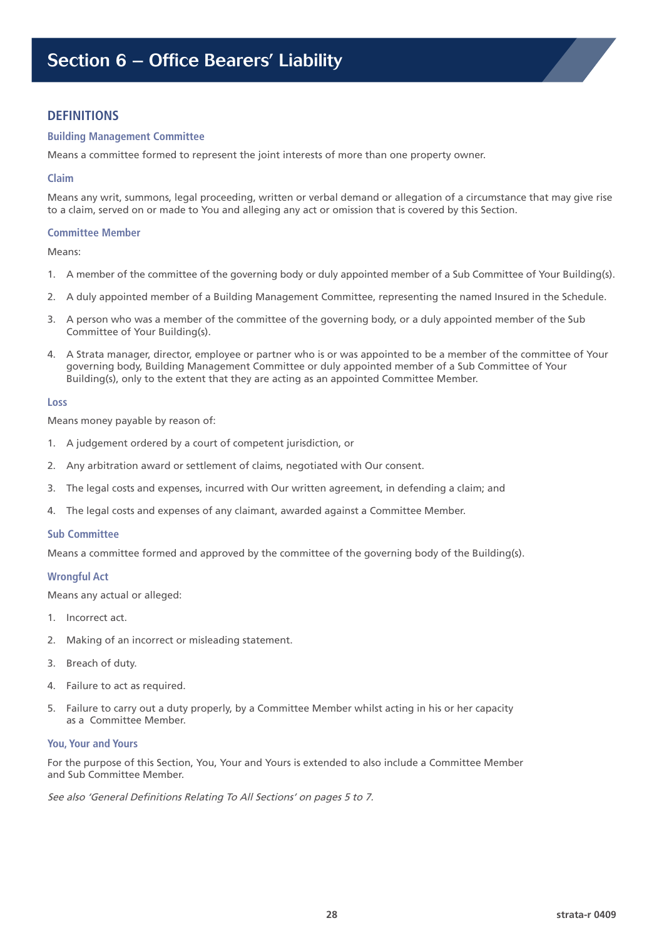## **DEFINITIONS**

#### **Building Management Committee**

Means a committee formed to represent the joint interests of more than one property owner.

#### **Claim**

Means any writ, summons, legal proceeding, written or verbal demand or allegation of a circumstance that may give rise to a claim, served on or made to You and alleging any act or omission that is covered by this Section.

#### **Committee Member**

Means:

- 1. A member of the committee of the governing body or duly appointed member of a Sub Committee of Your Building(s).
- 2. A duly appointed member of a Building Management Committee, representing the named Insured in the Schedule.
- 3. A person who was a member of the committee of the governing body, or a duly appointed member of the Sub Committee of Your Building(s).
- 4. A Strata manager, director, employee or partner who is or was appointed to be a member of the committee of Your governing body, Building Management Committee or duly appointed member of a Sub Committee of Your Building(s), only to the extent that they are acting as an appointed Committee Member.

#### **Loss**

Means money payable by reason of:

- 1. A judgement ordered by a court of competent jurisdiction, or
- 2. Any arbitration award or settlement of claims, negotiated with Our consent.
- 3. The legal costs and expenses, incurred with Our written agreement, in defending a claim; and
- 4. The legal costs and expenses of any claimant, awarded against a Committee Member.

#### **Sub Committee**

Means a committee formed and approved by the committee of the governing body of the Building(s).

#### **Wrongful Act**

Means any actual or alleged:

- 1. Incorrect act.
- 2. Making of an incorrect or misleading statement.
- 3. Breach of duty.
- 4. Failure to act as required.
- 5. Failure to carry out a duty properly, by a Committee Member whilst acting in his or her capacity as a Committee Member.

#### **You, Your and Yours**

For the purpose of this Section, You, Your and Yours is extended to also include a Committee Member and Sub Committee Member.

See also 'General Definitions Relating To All Sections' on pages 5 to 7.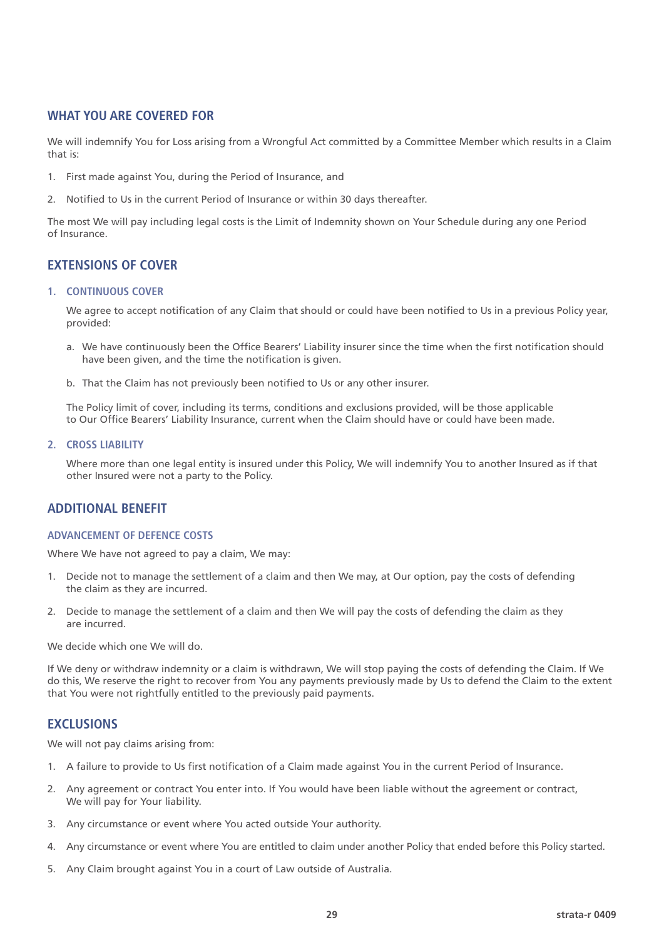## **WHAT YOU ARE COVERED FOR**

We will indemnify You for Loss arising from a Wrongful Act committed by a Committee Member which results in a Claim that is:

- 1. First made against You, during the Period of Insurance, and
- 2. Notified to Us in the current Period of Insurance or within 30 days thereafter.

The most We will pay including legal costs is the Limit of Indemnity shown on Your Schedule during any one Period of Insurance.

## **EXTENSIONS OF COVER**

#### **1. CONTINUOUS COVER**

We agree to accept notification of any Claim that should or could have been notified to Us in a previous Policy year, provided:

- a. We have continuously been the Office Bearers' Liability insurer since the time when the first notification should have been given, and the time the notification is given.
- b. That the Claim has not previously been notified to Us or any other insurer.

The Policy limit of cover, including its terms, conditions and exclusions provided, will be those applicable to Our Office Bearers' Liability Insurance, current when the Claim should have or could have been made.

#### **2. CROSS LIABILITY**

Where more than one legal entity is insured under this Policy, We will indemnify You to another Insured as if that other Insured were not a party to the Policy.

## **ADDITIONAL BENEFIT**

#### **ADVANCEMENT OF DEFENCE COSTS**

Where We have not agreed to pay a claim, We may:

- 1. Decide not to manage the settlement of a claim and then We may, at Our option, pay the costs of defending the claim as they are incurred.
- 2. Decide to manage the settlement of a claim and then We will pay the costs of defending the claim as they are incurred.

We decide which one We will do.

If We deny or withdraw indemnity or a claim is withdrawn, We will stop paying the costs of defending the Claim. If We do this, We reserve the right to recover from You any payments previously made by Us to defend the Claim to the extent that You were not rightfully entitled to the previously paid payments.

## **EXCLUSIONS**

We will not pay claims arising from:

- 1. A failure to provide to Us first notification of a Claim made against You in the current Period of Insurance.
- 2. Any agreement or contract You enter into. If You would have been liable without the agreement or contract, We will pay for Your liability.
- 3. Any circumstance or event where You acted outside Your authority.
- 4. Any circumstance or event where You are entitled to claim under another Policy that ended before this Policy started.
- 5. Any Claim brought against You in a court of Law outside of Australia.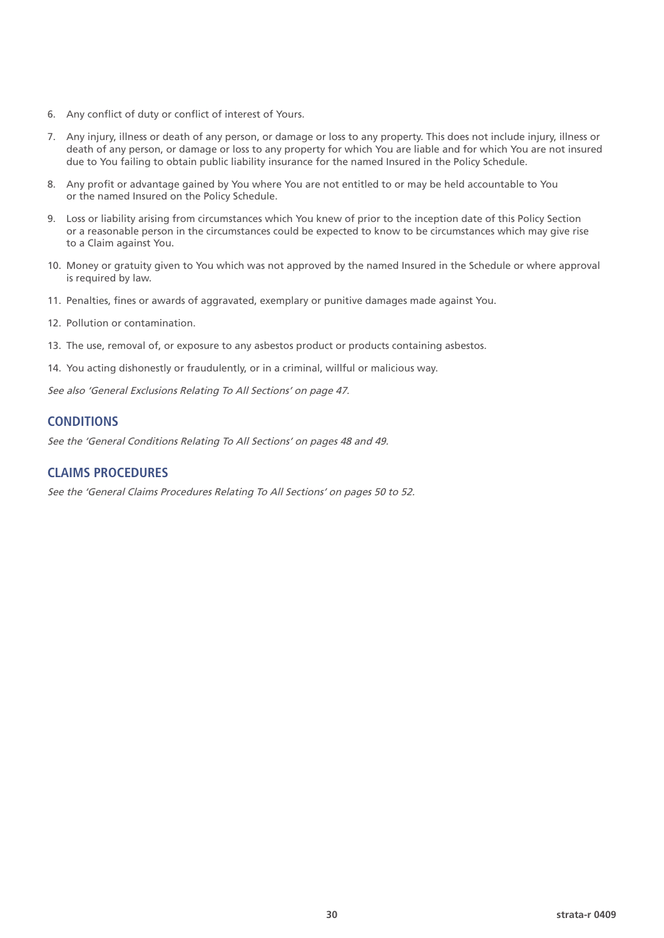- 6. Any conflict of duty or conflict of interest of Yours.
- 7. Any injury, illness or death of any person, or damage or loss to any property. This does not include injury, illness or death of any person, or damage or loss to any property for which You are liable and for which You are not insured due to You failing to obtain public liability insurance for the named Insured in the Policy Schedule.
- 8. Any profit or advantage gained by You where You are not entitled to or may be held accountable to You or the named Insured on the Policy Schedule.
- 9. Loss or liability arising from circumstances which You knew of prior to the inception date of this Policy Section or a reasonable person in the circumstances could be expected to know to be circumstances which may give rise to a Claim against You.
- 10. Money or gratuity given to You which was not approved by the named Insured in the Schedule or where approval is required by law.
- 11. Penalties, fines or awards of aggravated, exemplary or punitive damages made against You.
- 12. Pollution or contamination.
- 13. The use, removal of, or exposure to any asbestos product or products containing asbestos.
- 14. You acting dishonestly or fraudulently, or in a criminal, willful or malicious way.

See also 'General Exclusions Relating To All Sections' on page 47.

## **CONDITIONS**

See the 'General Conditions Relating To All Sections' on pages 48 and 49.

## **CLAIMS PROCEDURES**

See the 'General Claims Procedures Relating To All Sections' on pages 50 to 52.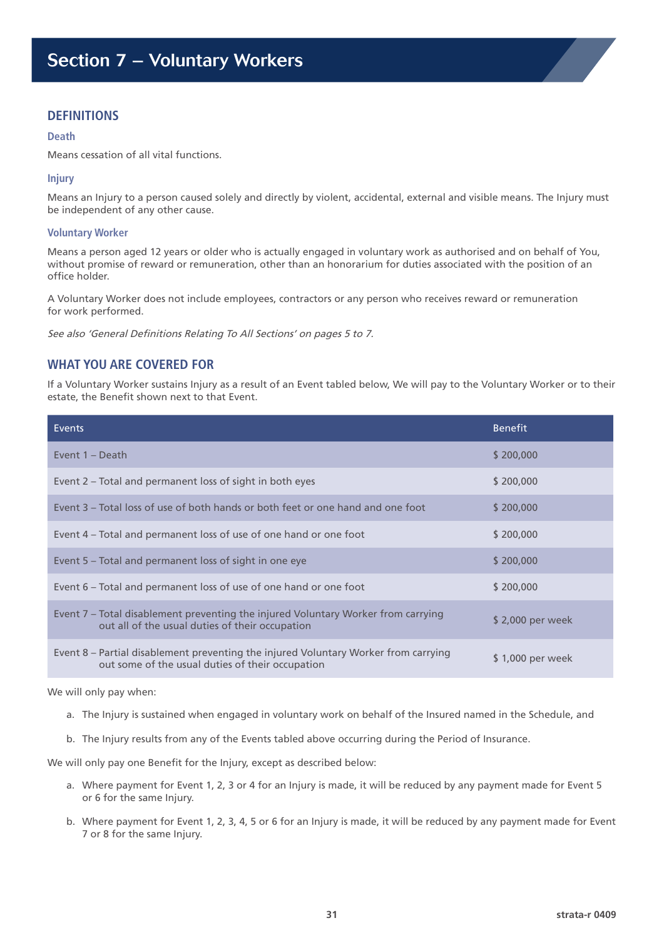## Section 7 – Voluntary Workers

## **DEFINITIONS**

#### **Death**

Means cessation of all vital functions.

#### **Injury**

Means an Injury to a person caused solely and directly by violent, accidental, external and visible means. The Injury must be independent of any other cause.

#### **Voluntary Worker**

Means a person aged 12 years or older who is actually engaged in voluntary work as authorised and on behalf of You, without promise of reward or remuneration, other than an honorarium for duties associated with the position of an office holder.

A Voluntary Worker does not include employees, contractors or any person who receives reward or remuneration for work performed.

See also 'General Definitions Relating To All Sections' on pages 5 to 7.

## **WHAT YOU ARE COVERED FOR**

If a Voluntary Worker sustains Injury as a result of an Event tabled below, We will pay to the Voluntary Worker or to their estate, the Benefit shown next to that Event.

| <b>Events</b>                                                                                                                           | <b>Benefit</b>   |
|-----------------------------------------------------------------------------------------------------------------------------------------|------------------|
| Event 1 - Death                                                                                                                         | \$200,000        |
| Event 2 – Total and permanent loss of sight in both eyes                                                                                | \$200,000        |
| Event 3 – Total loss of use of both hands or both feet or one hand and one foot                                                         | \$200,000        |
| Event 4 – Total and permanent loss of use of one hand or one foot                                                                       | \$200,000        |
| Event 5 - Total and permanent loss of sight in one eye                                                                                  | \$200,000        |
| Event 6 – Total and permanent loss of use of one hand or one foot                                                                       | \$200,000        |
| Event 7 – Total disablement preventing the injured Voluntary Worker from carrying<br>out all of the usual duties of their occupation    | \$2,000 per week |
| Event 8 – Partial disablement preventing the injured Voluntary Worker from carrying<br>out some of the usual duties of their occupation | \$1,000 per week |

We will only pay when:

- a. The Injury is sustained when engaged in voluntary work on behalf of the Insured named in the Schedule, and
- b. The Injury results from any of the Events tabled above occurring during the Period of Insurance.

We will only pay one Benefit for the Injury, except as described below:

- a. Where payment for Event 1, 2, 3 or 4 for an Injury is made, it will be reduced by any payment made for Event 5 or 6 for the same Injury.
- b. Where payment for Event 1, 2, 3, 4, 5 or 6 for an Injury is made, it will be reduced by any payment made for Event 7 or 8 for the same Injury.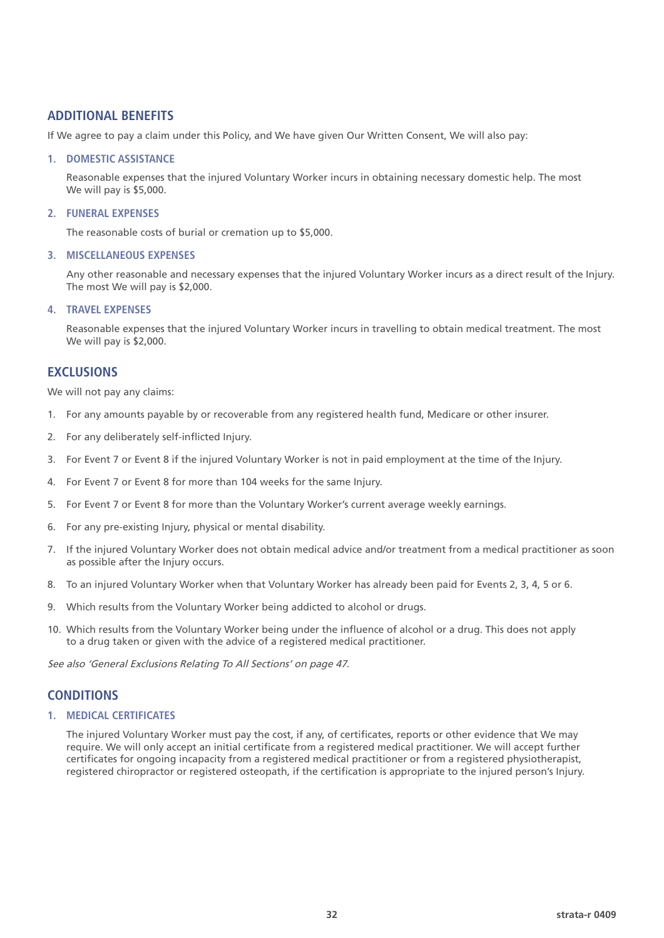## **ADDITIONAL BENEFITS**

If We agree to pay a claim under this Policy, and We have given Our Written Consent, We will also pay:

#### **1. DOMESTIC ASSISTANCE**

 Reasonable expenses that the injured Voluntary Worker incurs in obtaining necessary domestic help. The most We will pay is \$5,000.

#### **2. FUNERAL EXPENSES**

The reasonable costs of burial or cremation up to \$5,000.

#### **3. MISCELLANEOUS EXPENSES**

 Any other reasonable and necessary expenses that the injured Voluntary Worker incurs as a direct result of the Injury. The most We will pay is \$2,000.

#### **4. TRAVEL EXPENSES**

 Reasonable expenses that the injured Voluntary Worker incurs in travelling to obtain medical treatment. The most We will pay is \$2,000.

## **EXCLUSIONS**

We will not pay any claims:

- 1. For any amounts payable by or recoverable from any registered health fund, Medicare or other insurer.
- 2. For any deliberately self-inflicted Injury.
- 3. For Event 7 or Event 8 if the injured Voluntary Worker is not in paid employment at the time of the Injury.
- 4. For Event 7 or Event 8 for more than 104 weeks for the same Injury.
- 5. For Event 7 or Event 8 for more than the Voluntary Worker's current average weekly earnings.
- 6. For any pre-existing Injury, physical or mental disability.
- 7. If the injured Voluntary Worker does not obtain medical advice and/or treatment from a medical practitioner as soon as possible after the Injury occurs.
- 8. To an injured Voluntary Worker when that Voluntary Worker has already been paid for Events 2, 3, 4, 5 or 6.
- 9. Which results from the Voluntary Worker being addicted to alcohol or drugs.
- 10. Which results from the Voluntary Worker being under the influence of alcohol or a drug. This does not apply to a drug taken or given with the advice of a registered medical practitioner.

See also 'General Exclusions Relating To All Sections' on page 47.

## **CONDITIONS**

#### **1. MEDICAL CERTIFICATES**

 The injured Voluntary Worker must pay the cost, if any, of certificates, reports or other evidence that We may require. We will only accept an initial certificate from a registered medical practitioner. We will accept further certificates for ongoing incapacity from a registered medical practitioner or from a registered physiotherapist, registered chiropractor or registered osteopath, if the certification is appropriate to the injured person's Injury.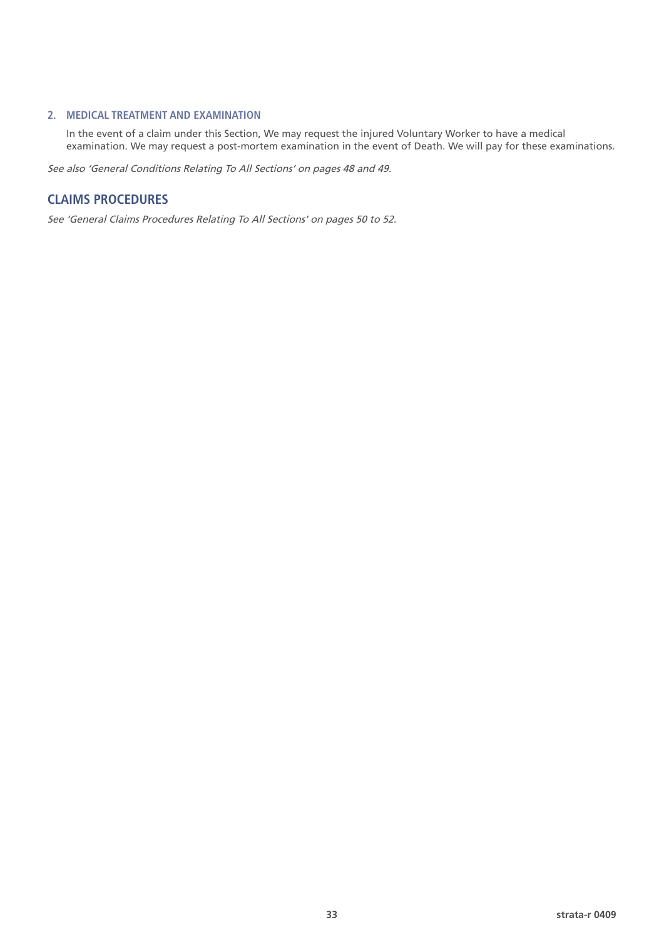## **2. MEDICAL TREATMENT AND EXAMINATION**

 In the event of a claim under this Section, We may request the injured Voluntary Worker to have a medical examination. We may request a post-mortem examination in the event of Death. We will pay for these examinations.

See also 'General Conditions Relating To All Sections' on pages 48 and 49.

## **CLAIMS PROCEDURES**

See 'General Claims Procedures Relating To All Sections' on pages 50 to 52.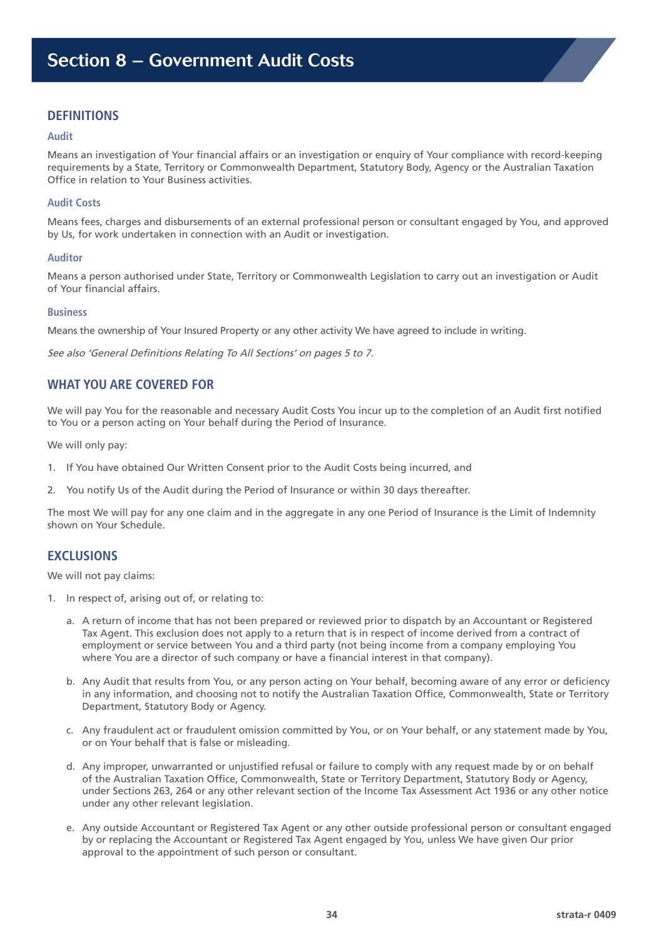## **DEFINITIONS**

#### **Audit**

Means an investigation of Your financial affairs or an investigation or enquiry of Your compliance with record-keeping requirements by a State, Territory or Commonwealth Department, Statutory Body, Agency or the Australian Taxation Office in relation to Your Business activities.

#### **Audit Costs**

Means fees, charges and disbursements of an external professional person or consultant engaged by You, and approved by Us, for work undertaken in connection with an Audit or investigation.

#### **Auditor**

Means a person authorised under State, Territory or Commonwealth Legislation to carry out an investigation or Audit of Your financial affairs.

#### **Business**

Means the ownership of Your Insured Property or any other activity We have agreed to include in writing.

See also 'General Definitions Relating To All Sections' on pages 5 to 7.

## **WHAT YOU ARE COVERED FOR**

We will pay You for the reasonable and necessary Audit Costs You incur up to the completion of an Audit first notified to You or a person acting on Your behalf during the Period of Insurance.

We will only pay:

- 1. If You have obtained Our Written Consent prior to the Audit Costs being incurred, and
- 2. You notify Us of the Audit during the Period of Insurance or within 30 days thereafter.

The most We will pay for any one claim and in the aggregate in any one Period of Insurance is the Limit of Indemnity shown on Your Schedule.

## **EXCLUSIONS**

We will not pay claims:

- 1. In respect of, arising out of, or relating to:
	- a. A return of income that has not been prepared or reviewed prior to dispatch by an Accountant or Registered Tax Agent. This exclusion does not apply to a return that is in respect of income derived from a contract of employment or service between You and a third party (not being income from a company employing You where You are a director of such company or have a financial interest in that company).
	- b. Any Audit that results from You, or any person acting on Your behalf, becoming aware of any error or deficiency in any information, and choosing not to notify the Australian Taxation Office, Commonwealth, State or Territory Department, Statutory Body or Agency.
	- c. Any fraudulent act or fraudulent omission committed by You, or on Your behalf, or any statement made by You, or on Your behalf that is false or misleading.
	- d. Any improper, unwarranted or unjustified refusal or failure to comply with any request made by or on behalf of the Australian Taxation Office, Commonwealth, State or Territory Department, Statutory Body or Agency, under Sections 263, 264 or any other relevant section of the Income Tax Assessment Act 1936 or any other notice under any other relevant legislation.
	- e. Any outside Accountant or Registered Tax Agent or any other outside professional person or consultant engaged by or replacing the Accountant or Registered Tax Agent engaged by You, unless We have given Our prior approval to the appointment of such person or consultant.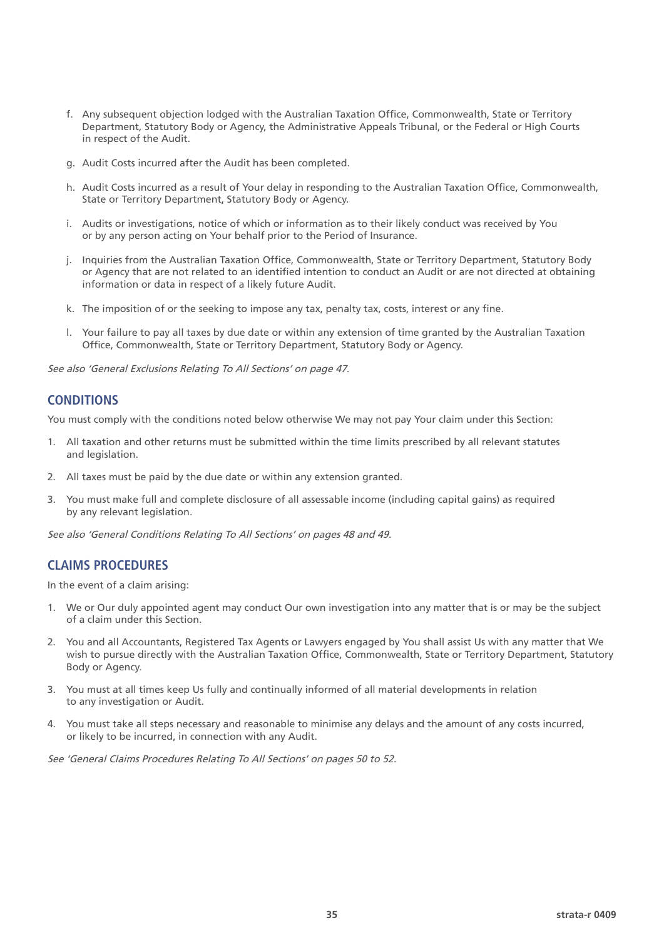- f. Any subsequent objection lodged with the Australian Taxation Office, Commonwealth, State or Territory Department, Statutory Body or Agency, the Administrative Appeals Tribunal, or the Federal or High Courts in respect of the Audit.
- g. Audit Costs incurred after the Audit has been completed.
- h. Audit Costs incurred as a result of Your delay in responding to the Australian Taxation Office, Commonwealth, State or Territory Department, Statutory Body or Agency.
- i. Audits or investigations, notice of which or information as to their likely conduct was received by You or by any person acting on Your behalf prior to the Period of Insurance.
- j. Inquiries from the Australian Taxation Office, Commonwealth, State or Territory Department, Statutory Body or Agency that are not related to an identified intention to conduct an Audit or are not directed at obtaining information or data in respect of a likely future Audit.
- k. The imposition of or the seeking to impose any tax, penalty tax, costs, interest or any fine.
- l. Your failure to pay all taxes by due date or within any extension of time granted by the Australian Taxation Office, Commonwealth, State or Territory Department, Statutory Body or Agency.

See also 'General Exclusions Relating To All Sections' on page 47.

## **CONDITIONS**

You must comply with the conditions noted below otherwise We may not pay Your claim under this Section:

- 1. All taxation and other returns must be submitted within the time limits prescribed by all relevant statutes and legislation.
- 2. All taxes must be paid by the due date or within any extension granted.
- 3. You must make full and complete disclosure of all assessable income (including capital gains) as required by any relevant legislation.

See also 'General Conditions Relating To All Sections' on pages 48 and 49.

## **CLAIMS PROCEDURES**

In the event of a claim arising:

- 1. We or Our duly appointed agent may conduct Our own investigation into any matter that is or may be the subject of a claim under this Section.
- 2. You and all Accountants, Registered Tax Agents or Lawyers engaged by You shall assist Us with any matter that We wish to pursue directly with the Australian Taxation Office, Commonwealth, State or Territory Department, Statutory Body or Agency.
- 3. You must at all times keep Us fully and continually informed of all material developments in relation to any investigation or Audit.
- 4. You must take all steps necessary and reasonable to minimise any delays and the amount of any costs incurred, or likely to be incurred, in connection with any Audit.

See 'General Claims Procedures Relating To All Sections' on pages 50 to 52.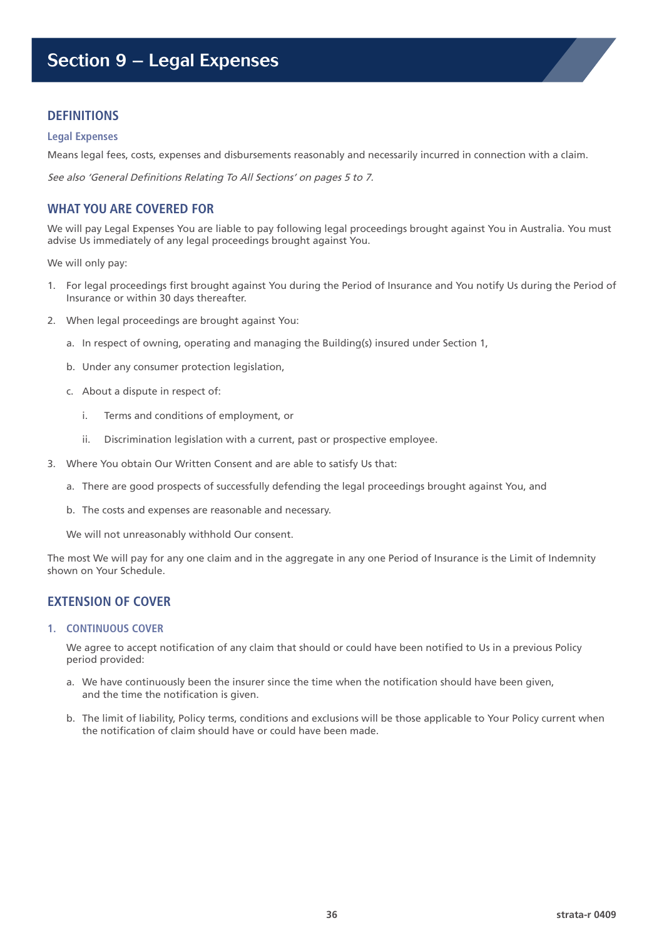## Section 9 – Legal Expenses

## **DEFINITIONS**

#### **Legal Expenses**

Means legal fees, costs, expenses and disbursements reasonably and necessarily incurred in connection with a claim.

See also 'General Definitions Relating To All Sections' on pages 5 to 7.

## **WHAT YOU ARE COVERED FOR**

We will pay Legal Expenses You are liable to pay following legal proceedings brought against You in Australia. You must advise Us immediately of any legal proceedings brought against You.

We will only pay:

- 1. For legal proceedings first brought against You during the Period of Insurance and You notify Us during the Period of Insurance or within 30 days thereafter.
- 2. When legal proceedings are brought against You:
	- a. In respect of owning, operating and managing the Building(s) insured under Section 1,
	- b. Under any consumer protection legislation,
	- c. About a dispute in respect of:
		- i. Terms and conditions of employment, or
		- ii. Discrimination legislation with a current, past or prospective employee.
- 3. Where You obtain Our Written Consent and are able to satisfy Us that:
	- a. There are good prospects of successfully defending the legal proceedings brought against You, and
	- b. The costs and expenses are reasonable and necessary.

We will not unreasonably withhold Our consent.

The most We will pay for any one claim and in the aggregate in any one Period of Insurance is the Limit of Indemnity shown on Your Schedule.

## **EXTENSION OF COVER**

#### **1. CONTINUOUS COVER**

 We agree to accept notification of any claim that should or could have been notified to Us in a previous Policy period provided:

- a. We have continuously been the insurer since the time when the notification should have been given, and the time the notification is given.
- b. The limit of liability, Policy terms, conditions and exclusions will be those applicable to Your Policy current when the notification of claim should have or could have been made.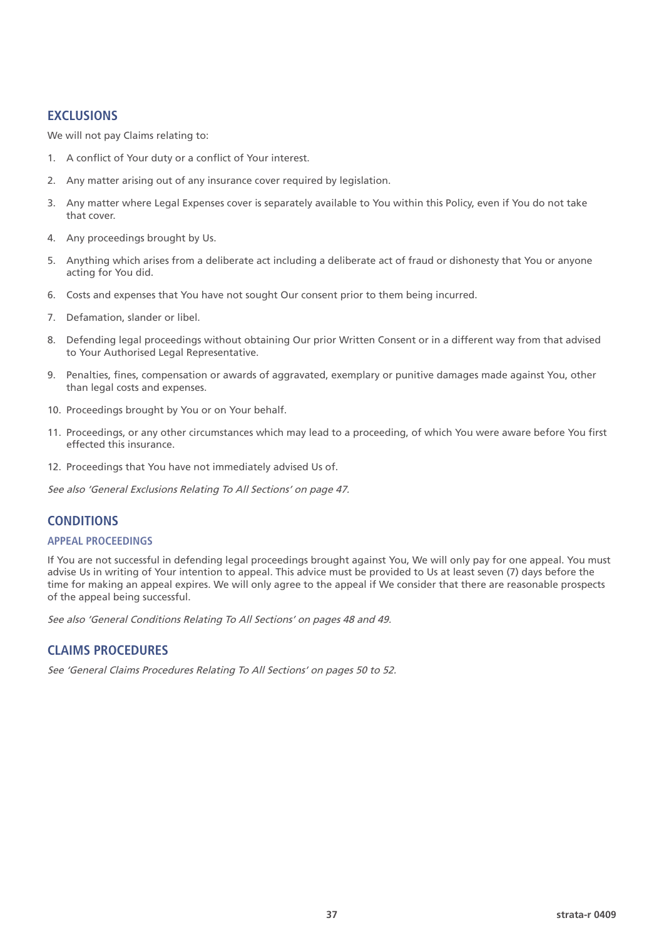## **EXCLUSIONS**

We will not pay Claims relating to:

- 1. A conflict of Your duty or a conflict of Your interest.
- 2. Any matter arising out of any insurance cover required by legislation.
- 3. Any matter where Legal Expenses cover is separately available to You within this Policy, even if You do not take that cover.
- 4. Any proceedings brought by Us.
- 5. Anything which arises from a deliberate act including a deliberate act of fraud or dishonesty that You or anyone acting for You did.
- 6. Costs and expenses that You have not sought Our consent prior to them being incurred.
- 7. Defamation, slander or libel.
- 8. Defending legal proceedings without obtaining Our prior Written Consent or in a different way from that advised to Your Authorised Legal Representative.
- 9. Penalties, fines, compensation or awards of aggravated, exemplary or punitive damages made against You, other than legal costs and expenses.
- 10. Proceedings brought by You or on Your behalf.
- 11. Proceedings, or any other circumstances which may lead to a proceeding, of which You were aware before You first effected this insurance.
- 12. Proceedings that You have not immediately advised Us of.

See also 'General Exclusions Relating To All Sections' on page 47.

## **CONDITIONS**

#### **APPEAL PROCEEDINGS**

If You are not successful in defending legal proceedings brought against You, We will only pay for one appeal. You must advise Us in writing of Your intention to appeal. This advice must be provided to Us at least seven (7) days before the time for making an appeal expires. We will only agree to the appeal if We consider that there are reasonable prospects of the appeal being successful.

See also 'General Conditions Relating To All Sections' on pages 48 and 49.

## **CLAIMS PROCEDURES**

See 'General Claims Procedures Relating To All Sections' on pages 50 to 52.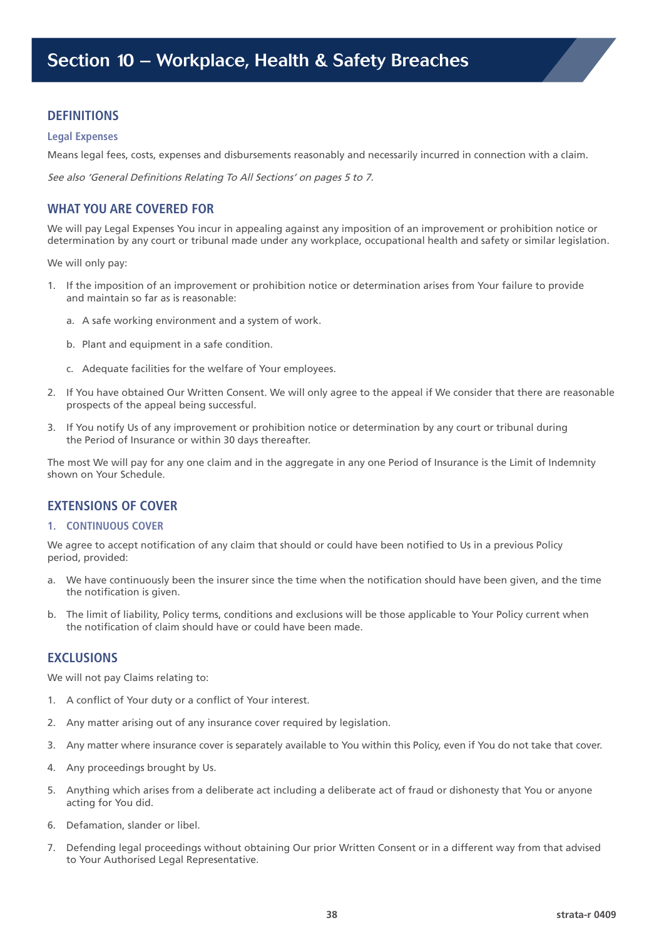## **DEFINITIONS**

#### **Legal Expenses**

Means legal fees, costs, expenses and disbursements reasonably and necessarily incurred in connection with a claim.

See also 'General Definitions Relating To All Sections' on pages 5 to 7.

## **WHAT YOU ARE COVERED FOR**

We will pay Legal Expenses You incur in appealing against any imposition of an improvement or prohibition notice or determination by any court or tribunal made under any workplace, occupational health and safety or similar legislation.

We will only pay:

- 1. If the imposition of an improvement or prohibition notice or determination arises from Your failure to provide and maintain so far as is reasonable:
	- a. A safe working environment and a system of work.
	- b. Plant and equipment in a safe condition.
	- c. Adequate facilities for the welfare of Your employees.
- 2. If You have obtained Our Written Consent. We will only agree to the appeal if We consider that there are reasonable prospects of the appeal being successful.
- 3. If You notify Us of any improvement or prohibition notice or determination by any court or tribunal during the Period of Insurance or within 30 days thereafter.

The most We will pay for any one claim and in the aggregate in any one Period of Insurance is the Limit of Indemnity shown on Your Schedule.

## **EXTENSIONS OF COVER**

#### **1. CONTINUOUS COVER**

We agree to accept notification of any claim that should or could have been notified to Us in a previous Policy period, provided:

- a. We have continuously been the insurer since the time when the notification should have been given, and the time the notification is given.
- b. The limit of liability, Policy terms, conditions and exclusions will be those applicable to Your Policy current when the notification of claim should have or could have been made.

## **EXCLUSIONS**

We will not pay Claims relating to:

- 1. A conflict of Your duty or a conflict of Your interest.
- 2. Any matter arising out of any insurance cover required by legislation.
- 3. Any matter where insurance cover is separately available to You within this Policy, even if You do not take that cover.
- 4. Any proceedings brought by Us.
- 5. Anything which arises from a deliberate act including a deliberate act of fraud or dishonesty that You or anyone acting for You did.
- 6. Defamation, slander or libel.
- 7. Defending legal proceedings without obtaining Our prior Written Consent or in a different way from that advised to Your Authorised Legal Representative.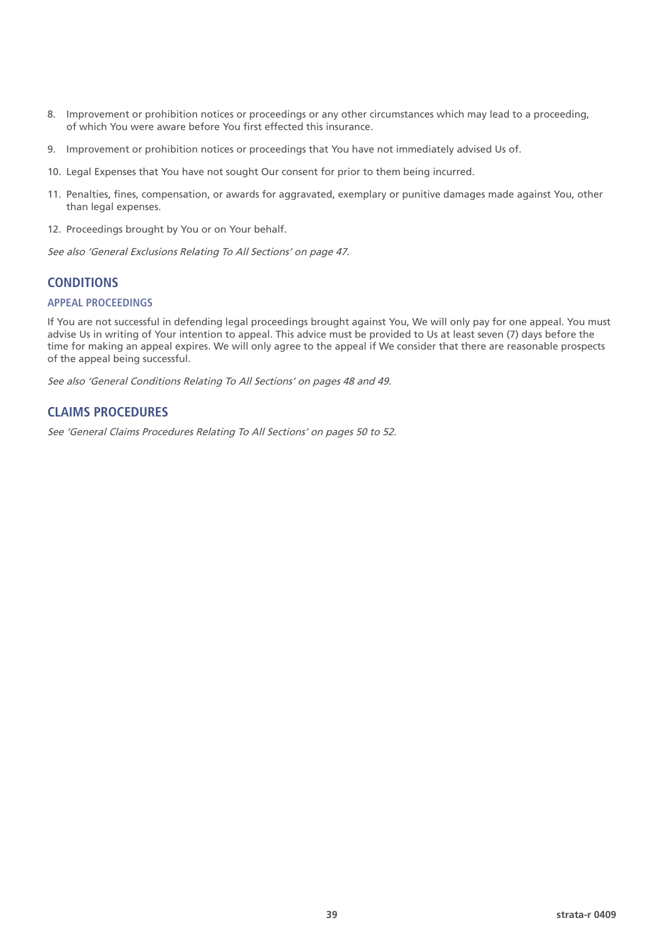- 8. Improvement or prohibition notices or proceedings or any other circumstances which may lead to a proceeding, of which You were aware before You first effected this insurance.
- 9. Improvement or prohibition notices or proceedings that You have not immediately advised Us of.
- 10. Legal Expenses that You have not sought Our consent for prior to them being incurred.
- 11. Penalties, fines, compensation, or awards for aggravated, exemplary or punitive damages made against You, other than legal expenses.
- 12. Proceedings brought by You or on Your behalf.

See also 'General Exclusions Relating To All Sections' on page 47.

## **CONDITIONS**

#### **APPEAL PROCEEDINGS**

If You are not successful in defending legal proceedings brought against You, We will only pay for one appeal. You must advise Us in writing of Your intention to appeal. This advice must be provided to Us at least seven (7) days before the time for making an appeal expires. We will only agree to the appeal if We consider that there are reasonable prospects of the appeal being successful.

See also 'General Conditions Relating To All Sections' on pages 48 and 49.

## **CLAIMS PROCEDURES**

See 'General Claims Procedures Relating To All Sections' on pages 50 to 52.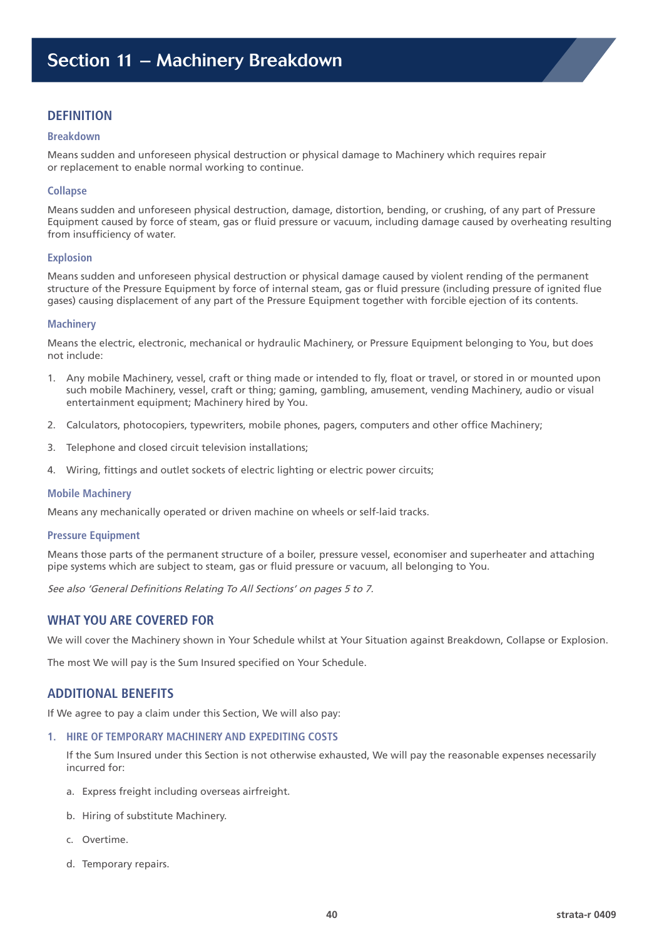## **DEFINITION**

#### **Breakdown**

Means sudden and unforeseen physical destruction or physical damage to Machinery which requires repair or replacement to enable normal working to continue.

#### **Collapse**

Means sudden and unforeseen physical destruction, damage, distortion, bending, or crushing, of any part of Pressure Equipment caused by force of steam, gas or fluid pressure or vacuum, including damage caused by overheating resulting from insufficiency of water.

#### **Explosion**

Means sudden and unforeseen physical destruction or physical damage caused by violent rending of the permanent structure of the Pressure Equipment by force of internal steam, gas or fluid pressure (including pressure of ignited flue gases) causing displacement of any part of the Pressure Equipment together with forcible ejection of its contents.

#### **Machinery**

Means the electric, electronic, mechanical or hydraulic Machinery, or Pressure Equipment belonging to You, but does not include:

- 1. Any mobile Machinery, vessel, craft or thing made or intended to fly, float or travel, or stored in or mounted upon such mobile Machinery, vessel, craft or thing; gaming, gambling, amusement, vending Machinery, audio or visual entertainment equipment; Machinery hired by You.
- 2. Calculators, photocopiers, typewriters, mobile phones, pagers, computers and other office Machinery;
- 3. Telephone and closed circuit television installations;
- 4. Wiring, fittings and outlet sockets of electric lighting or electric power circuits;

#### **Mobile Machinery**

Means any mechanically operated or driven machine on wheels or self-laid tracks.

#### **Pressure Equipment**

Means those parts of the permanent structure of a boiler, pressure vessel, economiser and superheater and attaching pipe systems which are subject to steam, gas or fluid pressure or vacuum, all belonging to You.

See also 'General Definitions Relating To All Sections' on pages 5 to 7.

## **WHAT YOU ARE COVERED FOR**

We will cover the Machinery shown in Your Schedule whilst at Your Situation against Breakdown, Collapse or Explosion.

The most We will pay is the Sum Insured specified on Your Schedule.

## **ADDITIONAL BENEFITS**

If We agree to pay a claim under this Section, We will also pay:

#### **1. HIRE OF TEMPORARY MACHINERY AND EXPEDITING COSTS**

If the Sum Insured under this Section is not otherwise exhausted, We will pay the reasonable expenses necessarily incurred for:

- a. Express freight including overseas airfreight.
- b. Hiring of substitute Machinery.
- c. Overtime.
- d. Temporary repairs.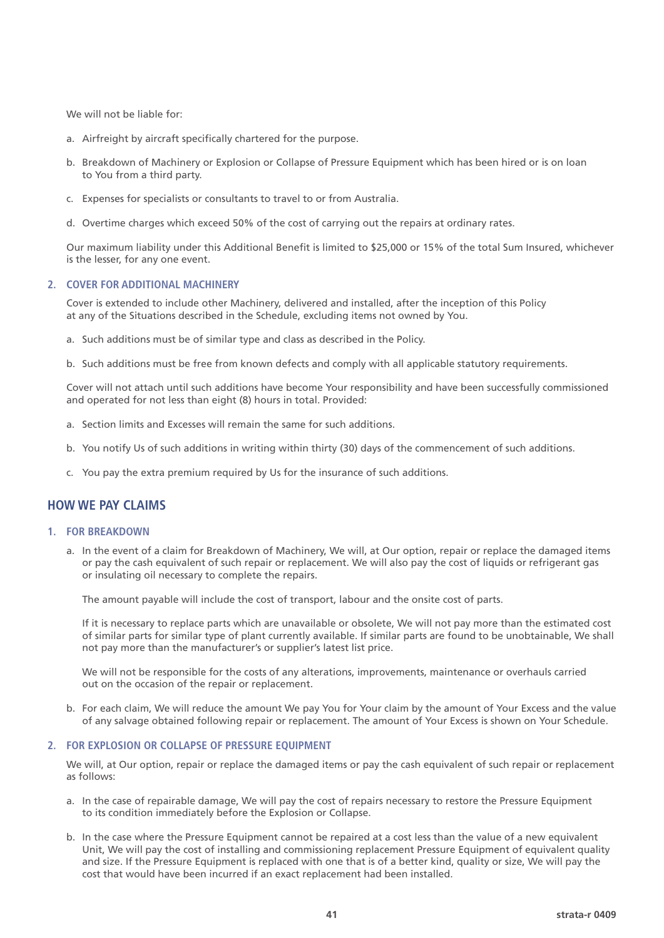We will not be liable for:

- a. Airfreight by aircraft specifically chartered for the purpose.
- b. Breakdown of Machinery or Explosion or Collapse of Pressure Equipment which has been hired or is on loan to You from a third party.
- c. Expenses for specialists or consultants to travel to or from Australia.
- d. Overtime charges which exceed 50% of the cost of carrying out the repairs at ordinary rates.

Our maximum liability under this Additional Benefit is limited to \$25,000 or 15% of the total Sum Insured, whichever is the lesser, for any one event.

#### **2. COVER FOR ADDITIONAL MACHINERY**

Cover is extended to include other Machinery, delivered and installed, after the inception of this Policy at any of the Situations described in the Schedule, excluding items not owned by You.

- a. Such additions must be of similar type and class as described in the Policy.
- b. Such additions must be free from known defects and comply with all applicable statutory requirements.

Cover will not attach until such additions have become Your responsibility and have been successfully commissioned and operated for not less than eight (8) hours in total. Provided:

- a. Section limits and Excesses will remain the same for such additions.
- b. You notify Us of such additions in writing within thirty (30) days of the commencement of such additions.
- c. You pay the extra premium required by Us for the insurance of such additions.

## **HOW WE PAY CLAIMS**

#### **1. FOR BREAKDOWN**

a. In the event of a claim for Breakdown of Machinery, We will, at Our option, repair or replace the damaged items or pay the cash equivalent of such repair or replacement. We will also pay the cost of liquids or refrigerant gas or insulating oil necessary to complete the repairs.

The amount payable will include the cost of transport, labour and the onsite cost of parts.

 If it is necessary to replace parts which are unavailable or obsolete, We will not pay more than the estimated cost of similar parts for similar type of plant currently available. If similar parts are found to be unobtainable, We shall not pay more than the manufacturer's or supplier's latest list price.

 We will not be responsible for the costs of any alterations, improvements, maintenance or overhauls carried out on the occasion of the repair or replacement.

b. For each claim, We will reduce the amount We pay You for Your claim by the amount of Your Excess and the value of any salvage obtained following repair or replacement. The amount of Your Excess is shown on Your Schedule.

#### **2. FOR EXPLOSION OR COLLAPSE OF PRESSURE EQUIPMENT**

We will, at Our option, repair or replace the damaged items or pay the cash equivalent of such repair or replacement as follows:

- a. In the case of repairable damage, We will pay the cost of repairs necessary to restore the Pressure Equipment to its condition immediately before the Explosion or Collapse.
- b. In the case where the Pressure Equipment cannot be repaired at a cost less than the value of a new equivalent Unit, We will pay the cost of installing and commissioning replacement Pressure Equipment of equivalent quality and size. If the Pressure Equipment is replaced with one that is of a better kind, quality or size, We will pay the cost that would have been incurred if an exact replacement had been installed.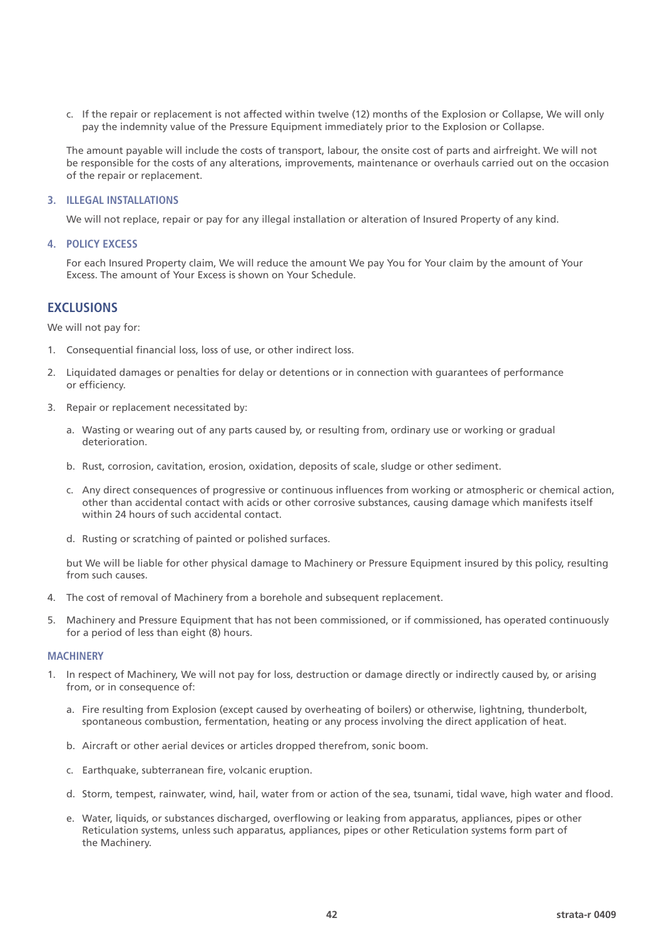c. If the repair or replacement is not affected within twelve (12) months of the Explosion or Collapse, We will only pay the indemnity value of the Pressure Equipment immediately prior to the Explosion or Collapse.

The amount payable will include the costs of transport, labour, the onsite cost of parts and airfreight. We will not be responsible for the costs of any alterations, improvements, maintenance or overhauls carried out on the occasion of the repair or replacement.

#### **3. ILLEGAL INSTALLATIONS**

We will not replace, repair or pay for any illegal installation or alteration of Insured Property of any kind.

#### **4. POLICY EXCESS**

For each Insured Property claim, We will reduce the amount We pay You for Your claim by the amount of Your Excess. The amount of Your Excess is shown on Your Schedule.

## **EXCLUSIONS**

We will not pay for:

- 1. Consequential financial loss, loss of use, or other indirect loss.
- 2. Liquidated damages or penalties for delay or detentions or in connection with guarantees of performance or efficiency.
- 3. Repair or replacement necessitated by:
	- a. Wasting or wearing out of any parts caused by, or resulting from, ordinary use or working or gradual deterioration.
	- b. Rust, corrosion, cavitation, erosion, oxidation, deposits of scale, sludge or other sediment.
	- c. Any direct consequences of progressive or continuous influences from working or atmospheric or chemical action, other than accidental contact with acids or other corrosive substances, causing damage which manifests itself within 24 hours of such accidental contact.
	- d. Rusting or scratching of painted or polished surfaces.

 but We will be liable for other physical damage to Machinery or Pressure Equipment insured by this policy, resulting from such causes.

- 4. The cost of removal of Machinery from a borehole and subsequent replacement.
- 5. Machinery and Pressure Equipment that has not been commissioned, or if commissioned, has operated continuously for a period of less than eight (8) hours.

#### **MACHINERY**

- 1. In respect of Machinery, We will not pay for loss, destruction or damage directly or indirectly caused by, or arising from, or in consequence of:
	- a. Fire resulting from Explosion (except caused by overheating of boilers) or otherwise, lightning, thunderbolt, spontaneous combustion, fermentation, heating or any process involving the direct application of heat.
	- b. Aircraft or other aerial devices or articles dropped therefrom, sonic boom.
	- c. Earthquake, subterranean fire, volcanic eruption.
	- d. Storm, tempest, rainwater, wind, hail, water from or action of the sea, tsunami, tidal wave, high water and flood.
	- e. Water, liquids, or substances discharged, overflowing or leaking from apparatus, appliances, pipes or other Reticulation systems, unless such apparatus, appliances, pipes or other Reticulation systems form part of the Machinery.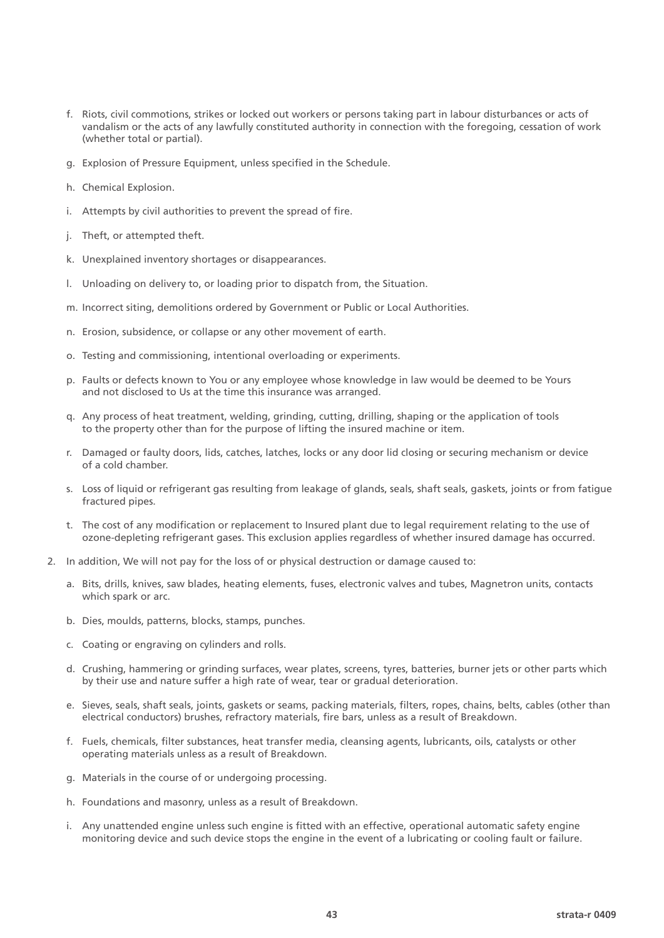- f. Riots, civil commotions, strikes or locked out workers or persons taking part in labour disturbances or acts of vandalism or the acts of any lawfully constituted authority in connection with the foregoing, cessation of work (whether total or partial).
- g. Explosion of Pressure Equipment, unless specified in the Schedule.
- h. Chemical Explosion.
- i. Attempts by civil authorities to prevent the spread of fire.
- j. Theft, or attempted theft.
- k. Unexplained inventory shortages or disappearances.
- l. Unloading on delivery to, or loading prior to dispatch from, the Situation.
- m. Incorrect siting, demolitions ordered by Government or Public or Local Authorities.
- n. Erosion, subsidence, or collapse or any other movement of earth.
- o. Testing and commissioning, intentional overloading or experiments.
- p. Faults or defects known to You or any employee whose knowledge in law would be deemed to be Yours and not disclosed to Us at the time this insurance was arranged.
- q. Any process of heat treatment, welding, grinding, cutting, drilling, shaping or the application of tools to the property other than for the purpose of lifting the insured machine or item.
- r. Damaged or faulty doors, lids, catches, latches, locks or any door lid closing or securing mechanism or device of a cold chamber.
- s. Loss of liquid or refrigerant gas resulting from leakage of glands, seals, shaft seals, gaskets, joints or from fatigue fractured pipes.
- t. The cost of any modification or replacement to Insured plant due to legal requirement relating to the use of ozone-depleting refrigerant gases. This exclusion applies regardless of whether insured damage has occurred.
- 2. In addition, We will not pay for the loss of or physical destruction or damage caused to:
	- a. Bits, drills, knives, saw blades, heating elements, fuses, electronic valves and tubes, Magnetron units, contacts which spark or arc.
	- b. Dies, moulds, patterns, blocks, stamps, punches.
	- c. Coating or engraving on cylinders and rolls.
	- d. Crushing, hammering or grinding surfaces, wear plates, screens, tyres, batteries, burner jets or other parts which by their use and nature suffer a high rate of wear, tear or gradual deterioration.
	- e. Sieves, seals, shaft seals, joints, gaskets or seams, packing materials, filters, ropes, chains, belts, cables (other than electrical conductors) brushes, refractory materials, fire bars, unless as a result of Breakdown.
	- f. Fuels, chemicals, filter substances, heat transfer media, cleansing agents, lubricants, oils, catalysts or other operating materials unless as a result of Breakdown.
	- g. Materials in the course of or undergoing processing.
	- h. Foundations and masonry, unless as a result of Breakdown.
	- i. Any unattended engine unless such engine is fitted with an effective, operational automatic safety engine monitoring device and such device stops the engine in the event of a lubricating or cooling fault or failure.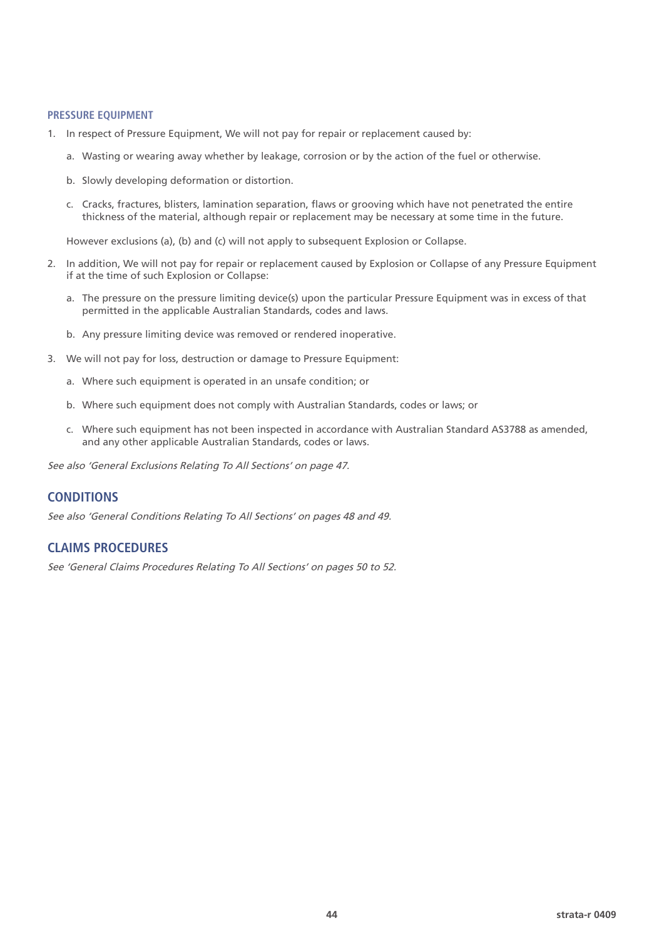#### **PRESSURE EQUIPMENT**

- 1. In respect of Pressure Equipment, We will not pay for repair or replacement caused by:
	- a. Wasting or wearing away whether by leakage, corrosion or by the action of the fuel or otherwise.
	- b. Slowly developing deformation or distortion.
	- c. Cracks, fractures, blisters, lamination separation, flaws or grooving which have not penetrated the entire thickness of the material, although repair or replacement may be necessary at some time in the future.

However exclusions (a), (b) and (c) will not apply to subsequent Explosion or Collapse.

- 2. In addition, We will not pay for repair or replacement caused by Explosion or Collapse of any Pressure Equipment if at the time of such Explosion or Collapse:
	- a. The pressure on the pressure limiting device(s) upon the particular Pressure Equipment was in excess of that permitted in the applicable Australian Standards, codes and laws.
	- b. Any pressure limiting device was removed or rendered inoperative.
- 3. We will not pay for loss, destruction or damage to Pressure Equipment:
	- a. Where such equipment is operated in an unsafe condition; or
	- b. Where such equipment does not comply with Australian Standards, codes or laws; or
	- c. Where such equipment has not been inspected in accordance with Australian Standard AS3788 as amended, and any other applicable Australian Standards, codes or laws.

See also 'General Exclusions Relating To All Sections' on page 47.

## **CONDITIONS**

See also 'General Conditions Relating To All Sections' on pages 48 and 49.

## **CLAIMS PROCEDURES**

See 'General Claims Procedures Relating To All Sections' on pages 50 to 52.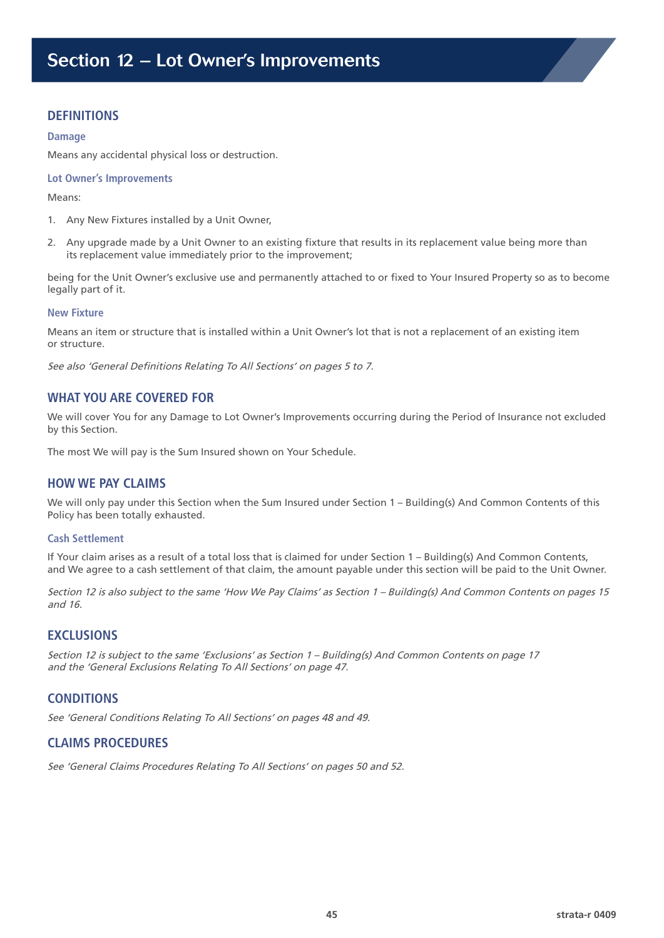## **DEFINITIONS**

#### **Damage**

Means any accidental physical loss or destruction.

#### **Lot Owner's Improvements**

Means:

- 1. Any New Fixtures installed by a Unit Owner,
- 2. Any upgrade made by a Unit Owner to an existing fixture that results in its replacement value being more than its replacement value immediately prior to the improvement;

being for the Unit Owner's exclusive use and permanently attached to or fixed to Your Insured Property so as to become legally part of it.

#### **New Fixture**

Means an item or structure that is installed within a Unit Owner's lot that is not a replacement of an existing item or structure.

See also 'General Definitions Relating To All Sections' on pages 5 to 7.

## **WHAT YOU ARE COVERED FOR**

We will cover You for any Damage to Lot Owner's Improvements occurring during the Period of Insurance not excluded by this Section.

The most We will pay is the Sum Insured shown on Your Schedule.

## **HOW WE PAY CLAIMS**

We will only pay under this Section when the Sum Insured under Section 1 – Building(s) And Common Contents of this Policy has been totally exhausted.

#### **Cash Settlement**

If Your claim arises as a result of a total loss that is claimed for under Section 1 – Building(s) And Common Contents, and We agree to a cash settlement of that claim, the amount payable under this section will be paid to the Unit Owner.

Section 12 is also subject to the same 'How We Pay Claims' as Section 1 – Building(s) And Common Contents on pages 15 and 16.

## **EXCLUSIONS**

Section 12 is subject to the same 'Exclusions' as Section 1 – Building(s) And Common Contents on page 17 and the 'General Exclusions Relating To All Sections' on page 47.

## **CONDITIONS**

See 'General Conditions Relating To All Sections' on pages 48 and 49.

## **CLAIMS PROCEDURES**

See 'General Claims Procedures Relating To All Sections' on pages 50 and 52.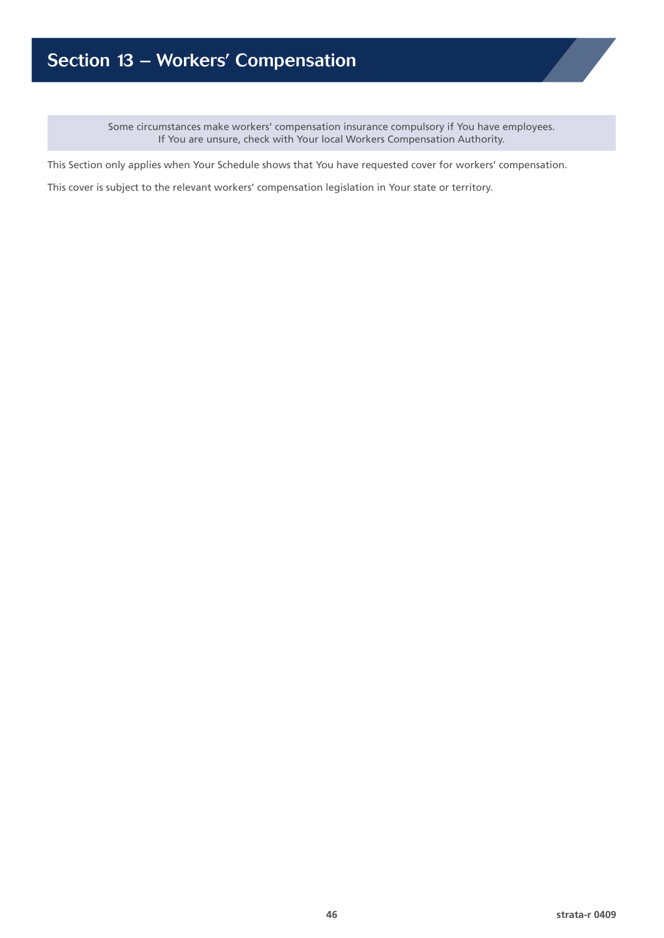## Section 13 – Workers' Compensation

Some circumstances make workers' compensation insurance compulsory if You have employees. If You are unsure, check with Your local Workers Compensation Authority.

This Section only applies when Your Schedule shows that You have requested cover for workers' compensation.

This cover is subject to the relevant workers' compensation legislation in Your state or territory.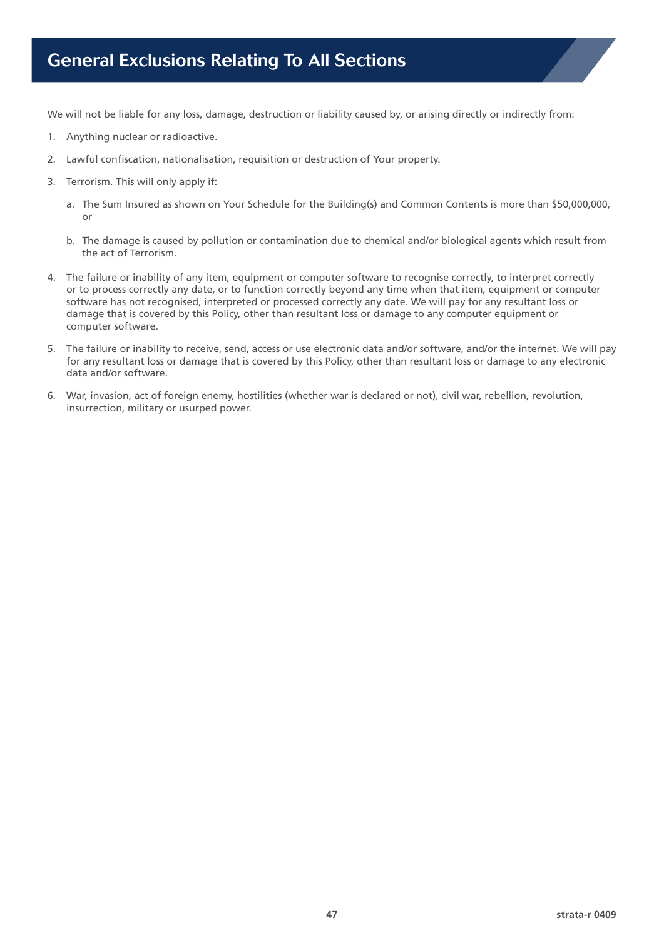## General Exclusions Relating To All Sections

We will not be liable for any loss, damage, destruction or liability caused by, or arising directly or indirectly from:

- 1. Anything nuclear or radioactive.
- 2. Lawful confiscation, nationalisation, requisition or destruction of Your property.
- 3. Terrorism. This will only apply if:
	- a. The Sum Insured as shown on Your Schedule for the Building(s) and Common Contents is more than \$50,000,000, or
	- b. The damage is caused by pollution or contamination due to chemical and/or biological agents which result from the act of Terrorism.
- 4. The failure or inability of any item, equipment or computer software to recognise correctly, to interpret correctly or to process correctly any date, or to function correctly beyond any time when that item, equipment or computer software has not recognised, interpreted or processed correctly any date. We will pay for any resultant loss or damage that is covered by this Policy, other than resultant loss or damage to any computer equipment or computer software.
- 5. The failure or inability to receive, send, access or use electronic data and/or software, and/or the internet. We will pay for any resultant loss or damage that is covered by this Policy, other than resultant loss or damage to any electronic data and/or software.
- 6. War, invasion, act of foreign enemy, hostilities (whether war is declared or not), civil war, rebellion, revolution, insurrection, military or usurped power.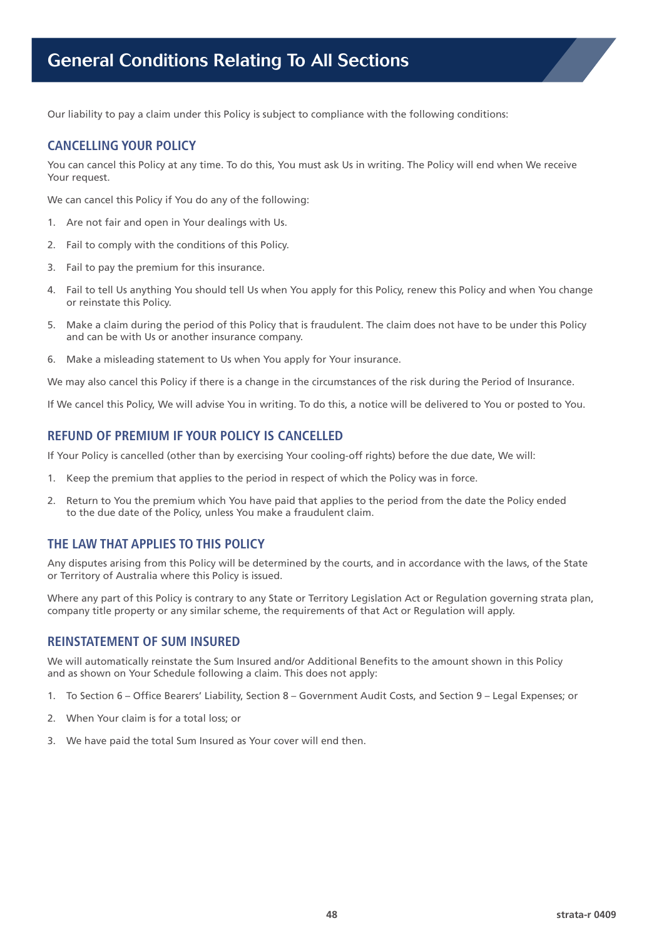## General Conditions Relating To All Sections

Our liability to pay a claim under this Policy is subject to compliance with the following conditions:

## **CANCELLING YOUR POLICY**

You can cancel this Policy at any time. To do this, You must ask Us in writing. The Policy will end when We receive Your request.

We can cancel this Policy if You do any of the following:

- 1. Are not fair and open in Your dealings with Us.
- 2. Fail to comply with the conditions of this Policy.
- 3. Fail to pay the premium for this insurance.
- 4. Fail to tell Us anything You should tell Us when You apply for this Policy, renew this Policy and when You change or reinstate this Policy.
- 5. Make a claim during the period of this Policy that is fraudulent. The claim does not have to be under this Policy and can be with Us or another insurance company.
- 6. Make a misleading statement to Us when You apply for Your insurance.

We may also cancel this Policy if there is a change in the circumstances of the risk during the Period of Insurance.

If We cancel this Policy, We will advise You in writing. To do this, a notice will be delivered to You or posted to You.

## **REFUND OF PREMIUM IF YOUR POLICY IS CANCELLED**

If Your Policy is cancelled (other than by exercising Your cooling-off rights) before the due date, We will:

- 1. Keep the premium that applies to the period in respect of which the Policy was in force.
- 2. Return to You the premium which You have paid that applies to the period from the date the Policy ended to the due date of the Policy, unless You make a fraudulent claim.

## **THE LAW THAT APPLIES TO THIS POLICY**

Any disputes arising from this Policy will be determined by the courts, and in accordance with the laws, of the State or Territory of Australia where this Policy is issued.

Where any part of this Policy is contrary to any State or Territory Legislation Act or Regulation governing strata plan, company title property or any similar scheme, the requirements of that Act or Regulation will apply.

## **REINSTATEMENT OF SUM INSURED**

We will automatically reinstate the Sum Insured and/or Additional Benefits to the amount shown in this Policy and as shown on Your Schedule following a claim. This does not apply:

- 1. To Section 6 Office Bearers' Liability, Section 8 Government Audit Costs, and Section 9 Legal Expenses; or
- 2. When Your claim is for a total loss; or
- 3. We have paid the total Sum Insured as Your cover will end then.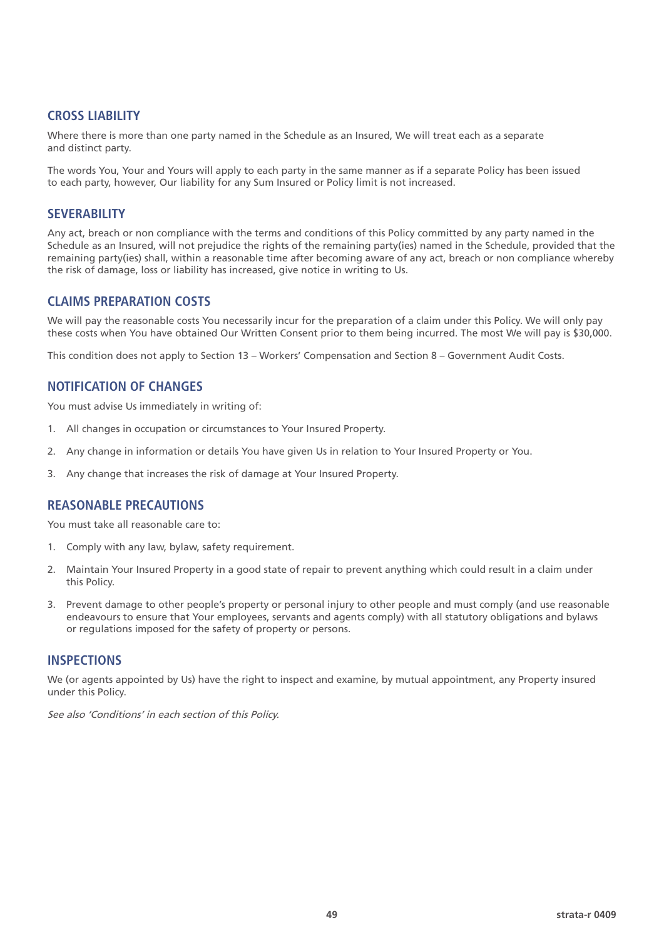## **CROSS LIABILITY**

Where there is more than one party named in the Schedule as an Insured, We will treat each as a separate and distinct party.

The words You, Your and Yours will apply to each party in the same manner as if a separate Policy has been issued to each party, however, Our liability for any Sum Insured or Policy limit is not increased.

## **SEVERABILITY**

Any act, breach or non compliance with the terms and conditions of this Policy committed by any party named in the Schedule as an Insured, will not prejudice the rights of the remaining party(ies) named in the Schedule, provided that the remaining party(ies) shall, within a reasonable time after becoming aware of any act, breach or non compliance whereby the risk of damage, loss or liability has increased, give notice in writing to Us.

## **CLAIMS PREPARATION COSTS**

We will pay the reasonable costs You necessarily incur for the preparation of a claim under this Policy. We will only pay these costs when You have obtained Our Written Consent prior to them being incurred. The most We will pay is \$30,000.

This condition does not apply to Section 13 – Workers' Compensation and Section 8 – Government Audit Costs.

## **NOTIFICATION OF CHANGES**

You must advise Us immediately in writing of:

- 1. All changes in occupation or circumstances to Your Insured Property.
- 2. Any change in information or details You have given Us in relation to Your Insured Property or You.
- 3. Any change that increases the risk of damage at Your Insured Property.

## **REASONABLE PRECAUTIONS**

You must take all reasonable care to:

- 1. Comply with any law, bylaw, safety requirement.
- 2. Maintain Your Insured Property in a good state of repair to prevent anything which could result in a claim under this Policy.
- 3. Prevent damage to other people's property or personal injury to other people and must comply (and use reasonable endeavours to ensure that Your employees, servants and agents comply) with all statutory obligations and bylaws or regulations imposed for the safety of property or persons.

## **INSPECTIONS**

We (or agents appointed by Us) have the right to inspect and examine, by mutual appointment, any Property insured under this Policy.

See also 'Conditions' in each section of this Policy.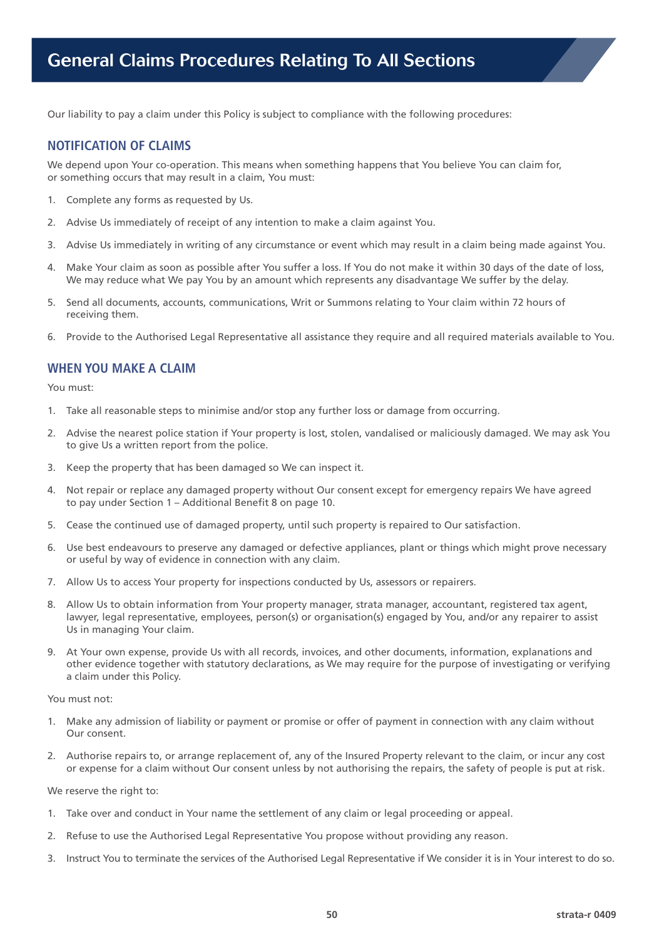## General Claims Procedures Relating To All Sections

Our liability to pay a claim under this Policy is subject to compliance with the following procedures:

## **NOTIFICATION OF CLAIMS**

We depend upon Your co-operation. This means when something happens that You believe You can claim for, or something occurs that may result in a claim, You must:

- 1. Complete any forms as requested by Us.
- 2. Advise Us immediately of receipt of any intention to make a claim against You.
- 3. Advise Us immediately in writing of any circumstance or event which may result in a claim being made against You.
- 4. Make Your claim as soon as possible after You suffer a loss. If You do not make it within 30 days of the date of loss, We may reduce what We pay You by an amount which represents any disadvantage We suffer by the delay.
- 5. Send all documents, accounts, communications, Writ or Summons relating to Your claim within 72 hours of receiving them.
- 6. Provide to the Authorised Legal Representative all assistance they require and all required materials available to You.

## **WHEN YOU MAKE A CLAIM**

You must:

- 1. Take all reasonable steps to minimise and/or stop any further loss or damage from occurring.
- 2. Advise the nearest police station if Your property is lost, stolen, vandalised or maliciously damaged. We may ask You to give Us a written report from the police.
- 3. Keep the property that has been damaged so We can inspect it.
- 4. Not repair or replace any damaged property without Our consent except for emergency repairs We have agreed to pay under Section 1 – Additional Benefit 8 on page 10.
- 5. Cease the continued use of damaged property, until such property is repaired to Our satisfaction.
- 6. Use best endeavours to preserve any damaged or defective appliances, plant or things which might prove necessary or useful by way of evidence in connection with any claim.
- 7. Allow Us to access Your property for inspections conducted by Us, assessors or repairers.
- 8. Allow Us to obtain information from Your property manager, strata manager, accountant, registered tax agent, lawyer, legal representative, employees, person(s) or organisation(s) engaged by You, and/or any repairer to assist Us in managing Your claim.
- 9. At Your own expense, provide Us with all records, invoices, and other documents, information, explanations and other evidence together with statutory declarations, as We may require for the purpose of investigating or verifying a claim under this Policy.

You must not:

- 1. Make any admission of liability or payment or promise or offer of payment in connection with any claim without Our consent.
- 2. Authorise repairs to, or arrange replacement of, any of the Insured Property relevant to the claim, or incur any cost or expense for a claim without Our consent unless by not authorising the repairs, the safety of people is put at risk.

We reserve the right to:

- 1. Take over and conduct in Your name the settlement of any claim or legal proceeding or appeal.
- 2. Refuse to use the Authorised Legal Representative You propose without providing any reason.
- 3. Instruct You to terminate the services of the Authorised Legal Representative if We consider it is in Your interest to do so.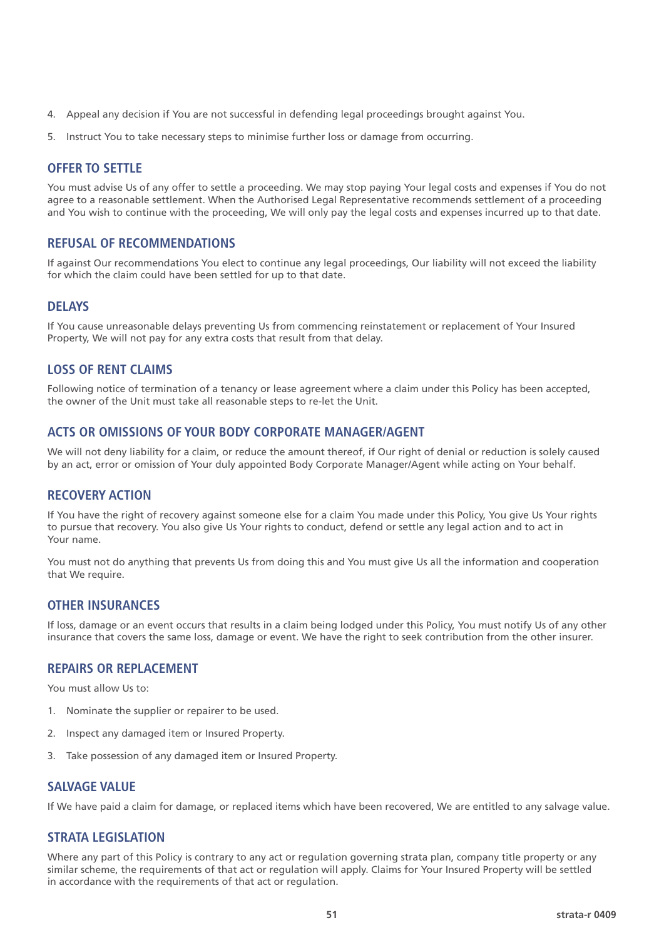- 4. Appeal any decision if You are not successful in defending legal proceedings brought against You.
- 5. Instruct You to take necessary steps to minimise further loss or damage from occurring.

## **OFFER TO SETTLE**

You must advise Us of any offer to settle a proceeding. We may stop paying Your legal costs and expenses if You do not agree to a reasonable settlement. When the Authorised Legal Representative recommends settlement of a proceeding and You wish to continue with the proceeding, We will only pay the legal costs and expenses incurred up to that date.

## **REFUSAL OF RECOMMENDATIONS**

If against Our recommendations You elect to continue any legal proceedings, Our liability will not exceed the liability for which the claim could have been settled for up to that date.

## **DELAYS**

If You cause unreasonable delays preventing Us from commencing reinstatement or replacement of Your Insured Property, We will not pay for any extra costs that result from that delay.

## **LOSS OF RENT CLAIMS**

Following notice of termination of a tenancy or lease agreement where a claim under this Policy has been accepted, the owner of the Unit must take all reasonable steps to re-let the Unit.

## **ACTS OR OMISSIONS OF YOUR BODY CORPORATE MANAGER/AGENT**

We will not deny liability for a claim, or reduce the amount thereof, if Our right of denial or reduction is solely caused by an act, error or omission of Your duly appointed Body Corporate Manager/Agent while acting on Your behalf.

## **RECOVERY ACTION**

If You have the right of recovery against someone else for a claim You made under this Policy, You give Us Your rights to pursue that recovery. You also give Us Your rights to conduct, defend or settle any legal action and to act in Your name.

You must not do anything that prevents Us from doing this and You must give Us all the information and cooperation that We require.

## **OTHER INSURANCES**

If loss, damage or an event occurs that results in a claim being lodged under this Policy, You must notify Us of any other insurance that covers the same loss, damage or event. We have the right to seek contribution from the other insurer.

## **REPAIRS OR REPLACEMENT**

You must allow Us to:

- 1. Nominate the supplier or repairer to be used.
- 2. Inspect any damaged item or Insured Property.
- 3. Take possession of any damaged item or Insured Property.

## **SALVAGE VALUE**

If We have paid a claim for damage, or replaced items which have been recovered, We are entitled to any salvage value.

## **STRATA LEGISLATION**

Where any part of this Policy is contrary to any act or regulation governing strata plan, company title property or any similar scheme, the requirements of that act or regulation will apply. Claims for Your Insured Property will be settled in accordance with the requirements of that act or regulation.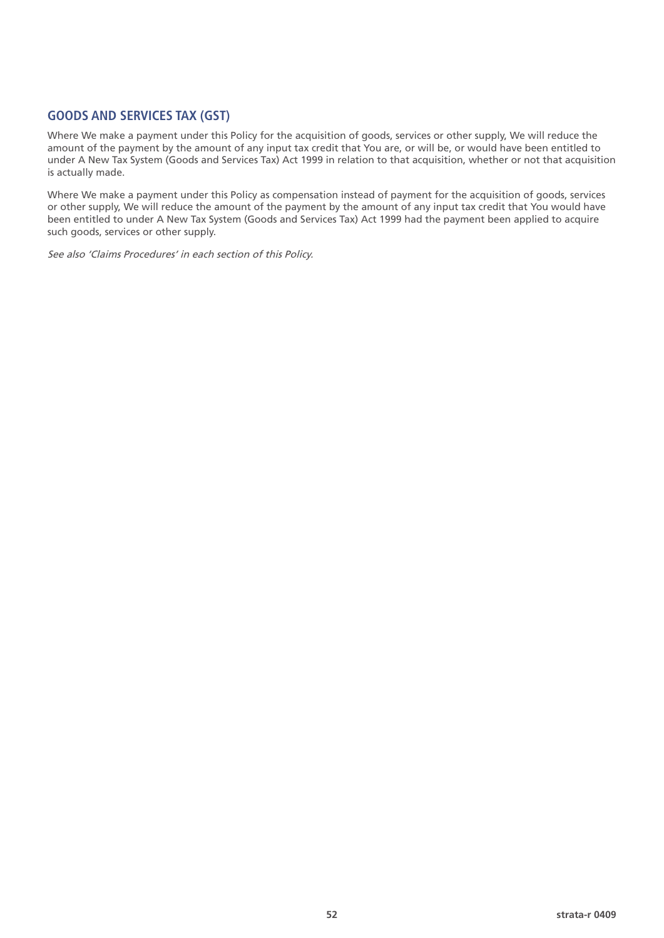## **GOODS AND SERVICES TAX (GST)**

Where We make a payment under this Policy for the acquisition of goods, services or other supply, We will reduce the amount of the payment by the amount of any input tax credit that You are, or will be, or would have been entitled to under A New Tax System (Goods and Services Tax) Act 1999 in relation to that acquisition, whether or not that acquisition is actually made.

Where We make a payment under this Policy as compensation instead of payment for the acquisition of goods, services or other supply, We will reduce the amount of the payment by the amount of any input tax credit that You would have been entitled to under A New Tax System (Goods and Services Tax) Act 1999 had the payment been applied to acquire such goods, services or other supply.

See also 'Claims Procedures' in each section of this Policy.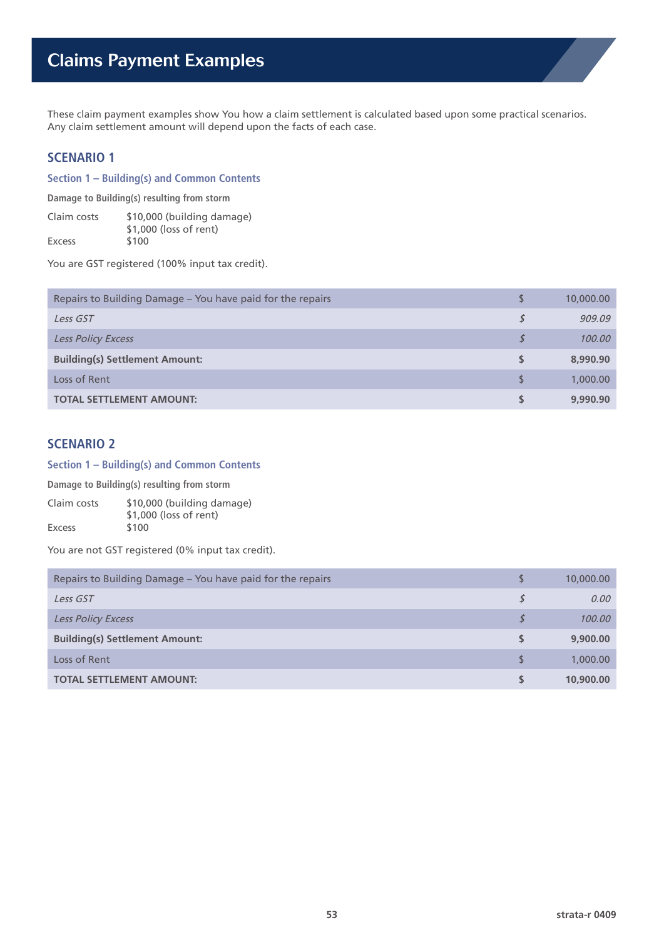## Claims Payment Examples

These claim payment examples show You how a claim settlement is calculated based upon some practical scenarios. Any claim settlement amount will depend upon the facts of each case.

## **SCENARIO 1**

#### **Section 1 – Building(s) and Common Contents**

**Damage to Building(s) resulting from storm**

| Claim costs   | \$10,000 (building damage) |
|---------------|----------------------------|
|               | \$1,000 (loss of rent)     |
| <b>Excess</b> | \$100                      |

You are GST registered (100% input tax credit).

| Repairs to Building Damage – You have paid for the repairs | 10,000.00 |
|------------------------------------------------------------|-----------|
| Less GST                                                   | 909.09    |
| <b>Less Policy Excess</b>                                  | 100.00    |
| <b>Building(s) Settlement Amount:</b>                      | 8,990,90  |
| Loss of Rent                                               | 1,000.00  |
| <b>TOTAL SETTLEMENT AMOUNT:</b>                            | 9,990.90  |

## **SCENARIO 2**

## **Section 1 – Building(s) and Common Contents**

**Damage to Building(s) resulting from storm**

Claim costs \$10,000 (building damage) \$1,000 (loss of rent) Excess \$100

You are not GST registered (0% input tax credit).

| Repairs to Building Damage – You have paid for the repairs |   | 10,000,00 |
|------------------------------------------------------------|---|-----------|
| Less GST                                                   |   | 0.00      |
| <b>Less Policy Excess</b>                                  |   | 100.00    |
| <b>Building(s) Settlement Amount:</b>                      | S | 9,900.00  |
| Loss of Rent                                               |   | 1,000.00  |
| <b>TOTAL SETTLEMENT AMOUNT:</b>                            |   | 10,900,00 |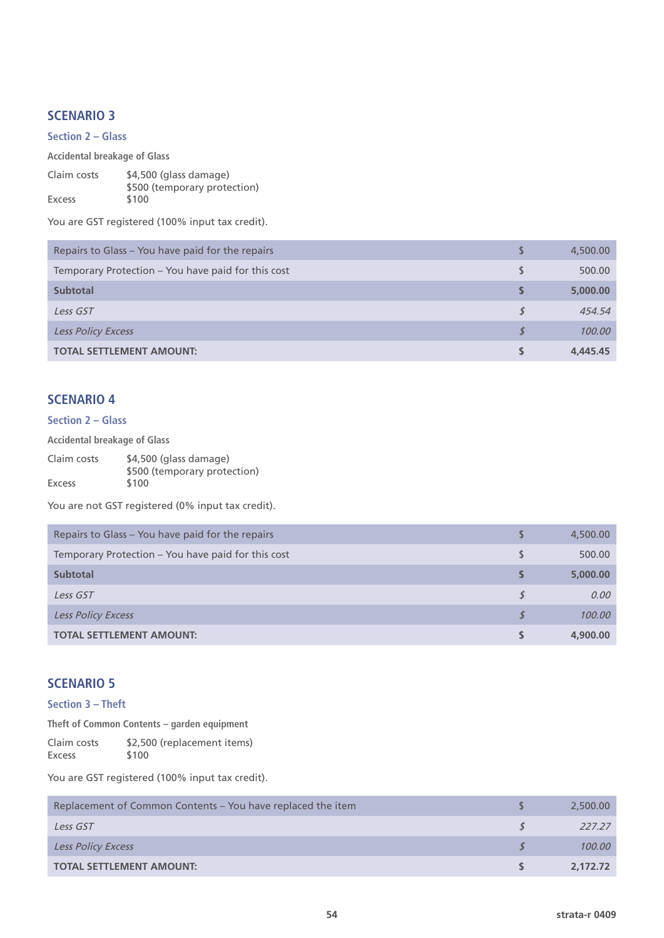## **SCENARIO 3**

## **Section 2 – Glass**

**Accidental breakage of Glass** 

| Claim costs   | \$4,500 (glass damage)       |
|---------------|------------------------------|
|               | \$500 (temporary protection) |
| <b>Excess</b> | \$100                        |

You are GST registered (100% input tax credit).

| Repairs to Glass – You have paid for the repairs   | 4,500,00 |
|----------------------------------------------------|----------|
| Temporary Protection – You have paid for this cost | 500.00   |
| <b>Subtotal</b>                                    | 5,000,00 |
| Less GST                                           | 454.54   |
| <b>Less Policy Excess</b>                          | 100.00   |
| <b>TOTAL SETTLEMENT AMOUNT:</b>                    | 4,445.45 |

## **SCENARIO 4**

## **Section 2 – Glass**

**Accidental breakage of Glass** 

| Claim costs   | \$4,500 (glass damage)       |
|---------------|------------------------------|
|               | \$500 (temporary protection) |
| <b>Excess</b> | \$100                        |

You are not GST registered (0% input tax credit).

| Repairs to Glass - You have paid for the repairs   | \$ | 4,500.00 |
|----------------------------------------------------|----|----------|
| Temporary Protection – You have paid for this cost | S  | 500.00   |
| <b>Subtotal</b>                                    | S  | 5,000,00 |
| Less GST                                           |    | 0.00     |
| <b>Less Policy Excess</b>                          |    | 100.00   |
| <b>TOTAL SETTLEMENT AMOUNT:</b>                    |    | 4,900.00 |

## **SCENARIO 5**

## **Section 3 – Theft**

**Theft of Common Contents – garden equipment**

Claim costs \$2,500 (replacement items)<br>Excess \$100 **Excess** 

You are GST registered (100% input tax credit).

| Replacement of Common Contents - You have replaced the item | 2,500,00 |
|-------------------------------------------------------------|----------|
| Less GST                                                    | 227.27   |
| <b>Less Policy Excess</b>                                   | 100.00   |
| <b>TOTAL SETTLEMENT AMOUNT:</b>                             | 2.172.72 |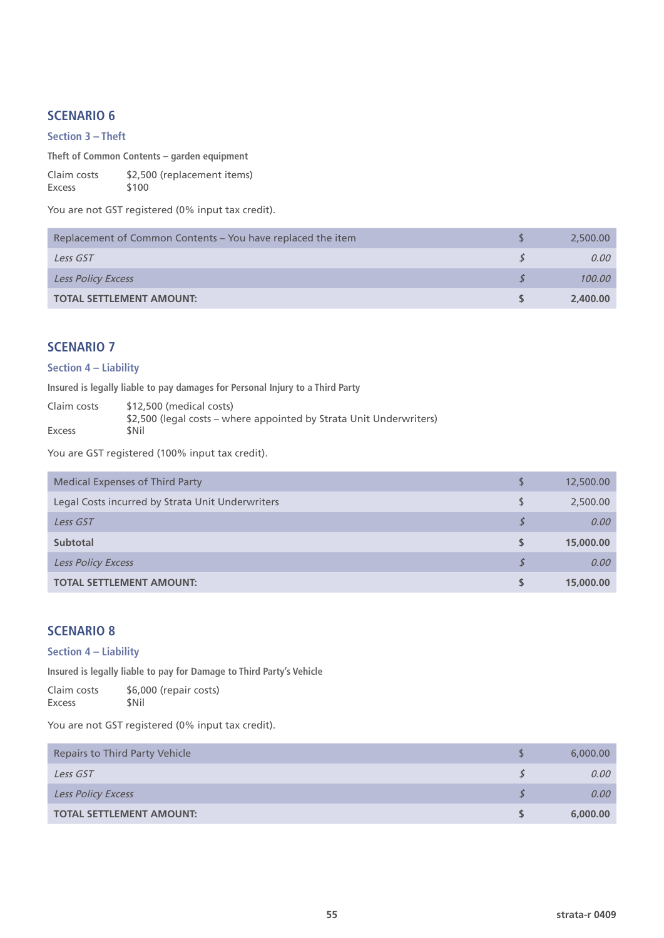## **SCENARIO 6**

## **Section 3 – Theft**

**Theft of Common Contents – garden equipment**

| Claim costs   | \$2,500 (replacement items) |
|---------------|-----------------------------|
| <b>Excess</b> | \$100                       |

You are not GST registered (0% input tax credit).

| Replacement of Common Contents – You have replaced the item | 2,500.00 |
|-------------------------------------------------------------|----------|
| Less GST                                                    | 0.00     |
| <b>Less Policy Excess</b>                                   | 100.00   |
| <b>TOTAL SETTLEMENT AMOUNT:</b>                             | 2,400.00 |

## **SCENARIO 7**

## **Section 4 – Liability**

**Insured is legally liable to pay damages for Personal Injury to a Third Party**

| Claim costs   | \$12,500 (medical costs)                                            |
|---------------|---------------------------------------------------------------------|
|               | \$2,500 (legal costs – where appointed by Strata Unit Underwriters) |
| <b>Excess</b> | \$Nil                                                               |

You are GST registered (100% input tax credit).

| <b>Medical Expenses of Third Party</b>           | \$ | 12,500.00 |
|--------------------------------------------------|----|-----------|
| Legal Costs incurred by Strata Unit Underwriters | S  | 2,500.00  |
| Less GST                                         |    | 0.00      |
| Subtotal                                         |    | 15,000,00 |
| <b>Less Policy Excess</b>                        |    | 0.00      |
| <b>TOTAL SETTLEMENT AMOUNT:</b>                  |    | 15,000,00 |

## **SCENARIO 8**

## **Section 4 – Liability**

**Insured is legally liable to pay for Damage to Third Party's Vehicle**

Claim costs \$6,000 (repair costs)<br>Excess \$Nil Excess

You are not GST registered (0% input tax credit).

| <b>Repairs to Third Party Vehicle</b> | 6,000.00 |
|---------------------------------------|----------|
| Less GST                              | 0.00     |
| <b>Less Policy Excess</b>             | 0.00     |
| <b>TOTAL SETTLEMENT AMOUNT:</b>       | 6,000.00 |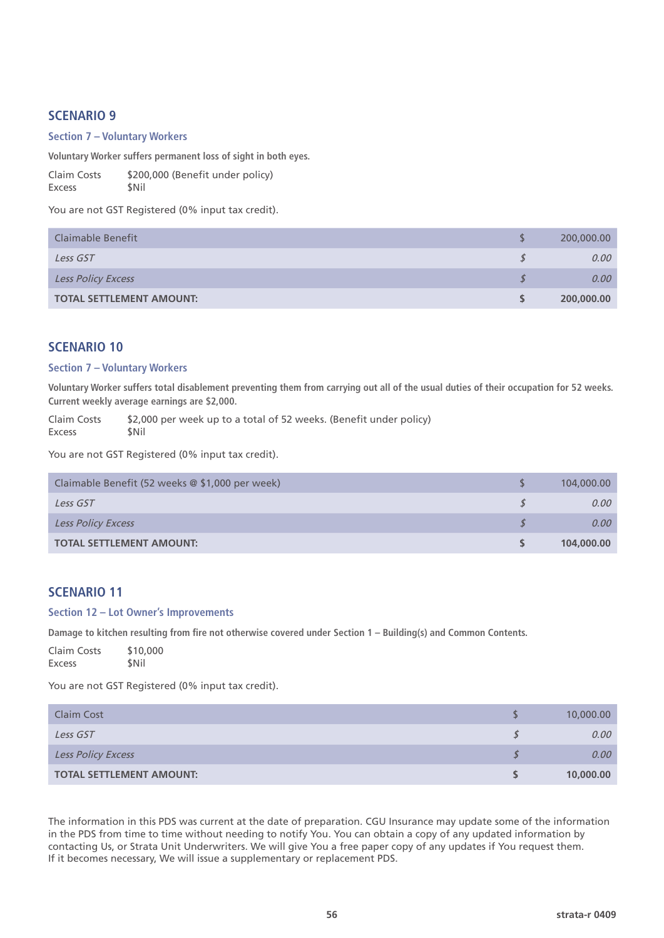## **SCENARIO 9**

#### **Section 7 – Voluntary Workers**

**Voluntary Worker suffers permanent loss of sight in both eyes.**

Claim Costs \$200,000 (Benefit under policy) Excess \$Nil

You are not GST Registered (0% input tax credit).

| <b>Claimable Benefit</b>        | 200,000.00 |
|---------------------------------|------------|
| Less GST                        | 0.00       |
| <b>Less Policy Excess</b>       | 0.00       |
| <b>TOTAL SETTLEMENT AMOUNT:</b> | 200,000.00 |

## **SCENARIO 10**

#### **Section 7 – Voluntary Workers**

**Voluntary Worker suffers total disablement preventing them from carrying out all of the usual duties of their occupation for 52 weeks. Current weekly average earnings are \$2,000.**

Claim Costs \$2,000 per week up to a total of 52 weeks. (Benefit under policy)<br>Excess \$Nil Excess

You are not GST Registered (0% input tax credit).

| Claimable Benefit (52 weeks @ \$1,000 per week) | 104,000,00 |
|-------------------------------------------------|------------|
| Less GST                                        | 0.00       |
| <b>Less Policy Excess</b>                       | 0.00       |
| <b>TOTAL SETTLEMENT AMOUNT:</b>                 | 104,000.00 |

## **SCENARIO 11**

## **Section 12 – Lot Owner's Improvements**

**Damage to kitchen resulting from fire not otherwise covered under Section 1 – Building(s) and Common Contents.**

Claim Costs \$10,000<br>Excess \$Nil Excess

You are not GST Registered (0% input tax credit).

| Claim Cost                      | 10,000.00      |
|---------------------------------|----------------|
| Less GST                        | 0.00           |
| <b>Less Policy Excess</b>       | $0.00^{\circ}$ |
| <b>TOTAL SETTLEMENT AMOUNT:</b> | 10,000.00      |

The information in this PDS was current at the date of preparation. CGU Insurance may update some of the information in the PDS from time to time without needing to notify You. You can obtain a copy of any updated information by contacting Us, or Strata Unit Underwriters. We will give You a free paper copy of any updates if You request them. If it becomes necessary, We will issue a supplementary or replacement PDS.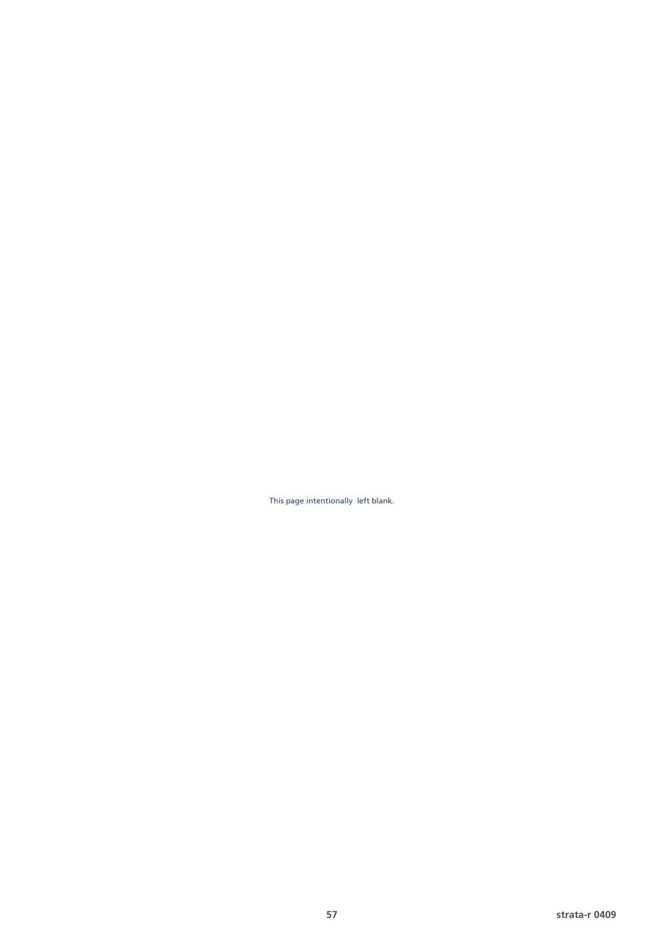This page intentionally left blank.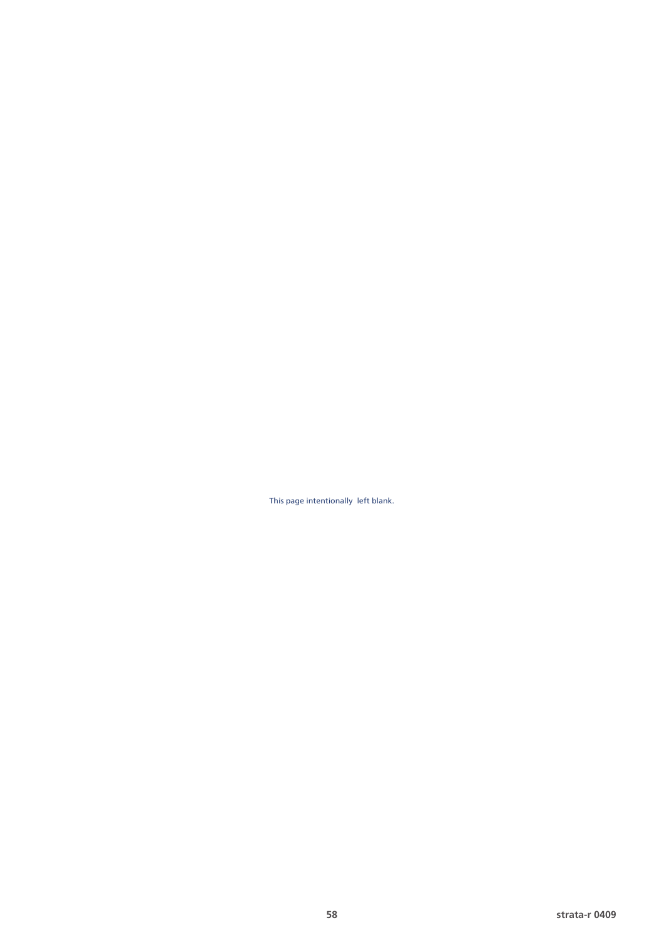This page intentionally left blank.